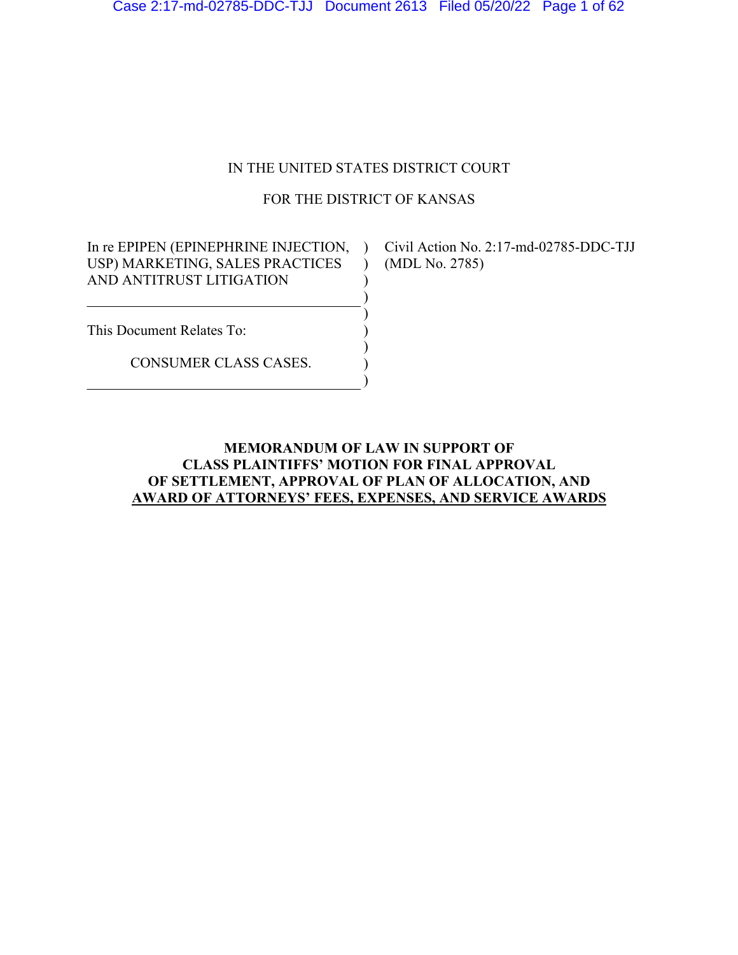## IN THE UNITED STATES DISTRICT COURT

## FOR THE DISTRICT OF KANSAS

) ) ) ) ) ) )

In re EPIPEN (EPINEPHRINE INJECTION, ) Civil Action No. 2:17-md-02785-DDC-TJJ USP) MARKETING, SALES PRACTICES AND ANTITRUST LITIGATION  $\rightarrow$ 

(MDL No. 2785)

This Document Relates To:

CONSUMER CLASS CASES.

## **MEMORANDUM OF LAW IN SUPPORT OF CLASS PLAINTIFFS' MOTION FOR FINAL APPROVAL OF SETTLEMENT, APPROVAL OF PLAN OF ALLOCATION, AND AWARD OF ATTORNEYS' FEES, EXPENSES, AND SERVICE AWARDS**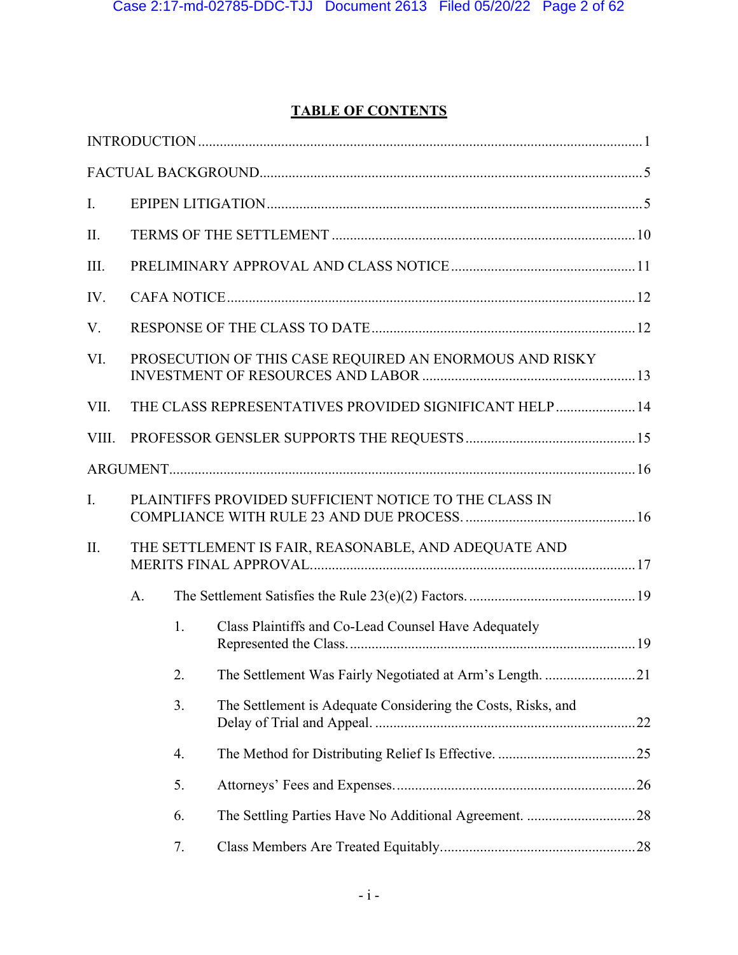# **TABLE OF CONTENTS**

| I.    |    |    |                                                              |  |
|-------|----|----|--------------------------------------------------------------|--|
| II.   |    |    |                                                              |  |
| III.  |    |    |                                                              |  |
| IV.   |    |    |                                                              |  |
| V.    |    |    |                                                              |  |
| VI.   |    |    | PROSECUTION OF THIS CASE REQUIRED AN ENORMOUS AND RISKY      |  |
| VII.  |    |    | THE CLASS REPRESENTATIVES PROVIDED SIGNIFICANT HELP  14      |  |
| VIII. |    |    |                                                              |  |
|       |    |    |                                                              |  |
| I.    |    |    | PLAINTIFFS PROVIDED SUFFICIENT NOTICE TO THE CLASS IN        |  |
| II.   |    |    | THE SETTLEMENT IS FAIR, REASONABLE, AND ADEQUATE AND         |  |
|       | A. |    |                                                              |  |
|       |    | 1. | Class Plaintiffs and Co-Lead Counsel Have Adequately         |  |
|       |    | 2. | The Settlement Was Fairly Negotiated at Arm's Length. 21     |  |
|       |    | 3. | The Settlement is Adequate Considering the Costs, Risks, and |  |
|       |    | 4. |                                                              |  |
|       |    | 5. |                                                              |  |
|       |    | 6. |                                                              |  |
|       |    | 7. |                                                              |  |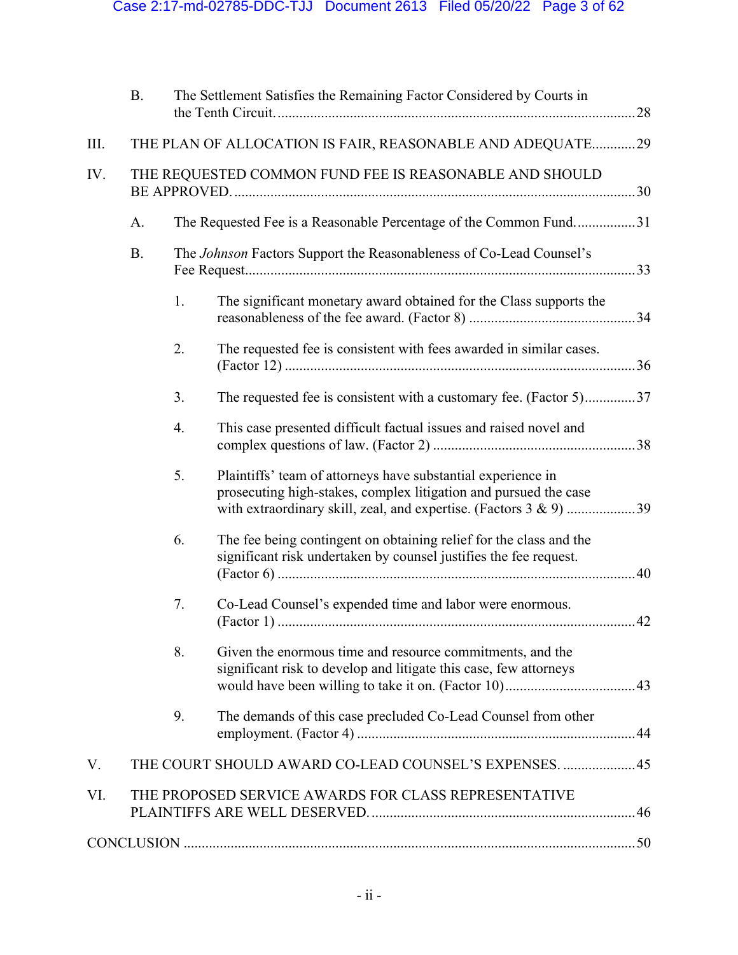|      | <b>B.</b> |    | The Settlement Satisfies the Remaining Factor Considered by Courts in                                                                                                                                 |
|------|-----------|----|-------------------------------------------------------------------------------------------------------------------------------------------------------------------------------------------------------|
| III. |           |    | THE PLAN OF ALLOCATION IS FAIR, REASONABLE AND ADEQUATE29                                                                                                                                             |
| IV.  |           |    | THE REQUESTED COMMON FUND FEE IS REASONABLE AND SHOULD                                                                                                                                                |
|      | A.        |    | The Requested Fee is a Reasonable Percentage of the Common Fund31                                                                                                                                     |
|      | <b>B.</b> |    | The Johnson Factors Support the Reasonableness of Co-Lead Counsel's                                                                                                                                   |
|      |           | 1. | The significant monetary award obtained for the Class supports the                                                                                                                                    |
|      |           | 2. | The requested fee is consistent with fees awarded in similar cases.                                                                                                                                   |
|      |           | 3. | The requested fee is consistent with a customary fee. (Factor 5)37                                                                                                                                    |
|      |           | 4. | This case presented difficult factual issues and raised novel and                                                                                                                                     |
|      |           | 5. | Plaintiffs' team of attorneys have substantial experience in<br>prosecuting high-stakes, complex litigation and pursued the case<br>with extraordinary skill, zeal, and expertise. (Factors 3 & 9) 39 |
|      |           | 6. | The fee being contingent on obtaining relief for the class and the<br>significant risk undertaken by counsel justifies the fee request.                                                               |
|      |           | 7. | Co-Lead Counsel's expended time and labor were enormous.                                                                                                                                              |
|      |           | 8. | Given the enormous time and resource commitments, and the<br>significant risk to develop and litigate this case, few attorneys                                                                        |
|      |           | 9. | The demands of this case precluded Co-Lead Counsel from other                                                                                                                                         |
| V.   |           |    | THE COURT SHOULD AWARD CO-LEAD COUNSEL'S EXPENSES.  45                                                                                                                                                |
| VI.  |           |    | THE PROPOSED SERVICE AWARDS FOR CLASS REPRESENTATIVE                                                                                                                                                  |
|      |           |    |                                                                                                                                                                                                       |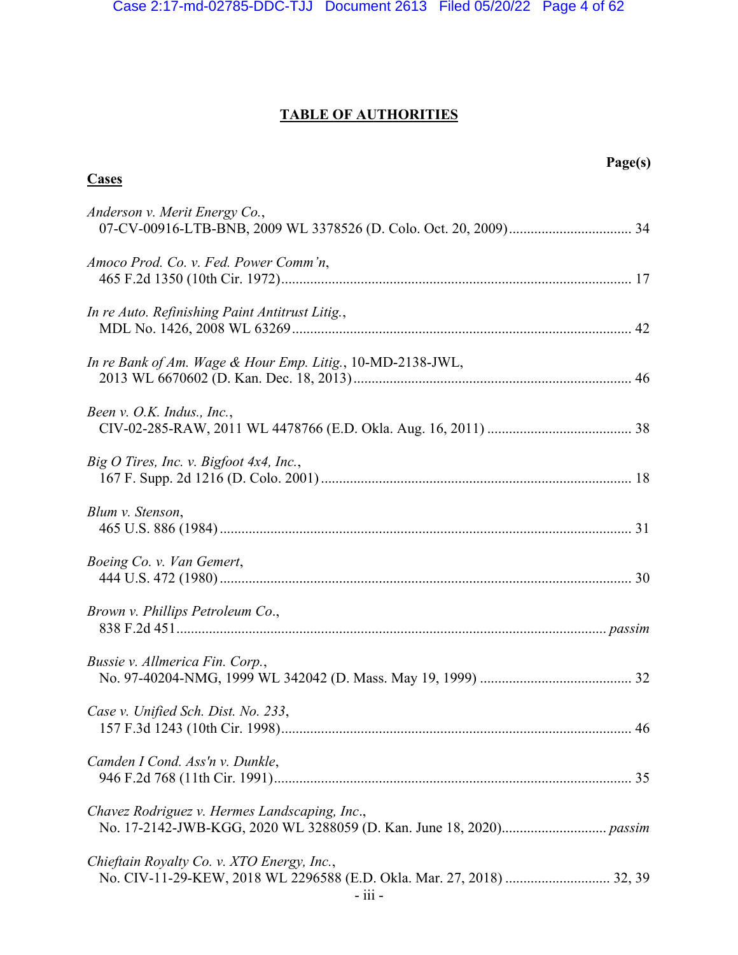# **TABLE OF AUTHORITIES**

| Page(s)<br><b>Cases</b>                                                                                             |
|---------------------------------------------------------------------------------------------------------------------|
| Anderson v. Merit Energy Co.,                                                                                       |
| Amoco Prod. Co. v. Fed. Power Comm'n,                                                                               |
| In re Auto. Refinishing Paint Antitrust Litig.,                                                                     |
| In re Bank of Am. Wage & Hour Emp. Litig., 10-MD-2138-JWL,                                                          |
| Been v. O.K. Indus., Inc.,                                                                                          |
| Big O Tires, Inc. v. Bigfoot 4x4, Inc.,                                                                             |
| Blum v. Stenson,                                                                                                    |
| Boeing Co. v. Van Gemert,                                                                                           |
| Brown v. Phillips Petroleum Co.,                                                                                    |
| Bussie v. Allmerica Fin. Corp.,                                                                                     |
| Case v. Unified Sch. Dist. No. 233,                                                                                 |
| Camden I Cond. Ass'n v. Dunkle,                                                                                     |
| Chavez Rodriguez v. Hermes Landscaping, Inc.,                                                                       |
| Chieftain Royalty Co. v. XTO Energy, Inc.,<br>No. CIV-11-29-KEW, 2018 WL 2296588 (E.D. Okla. Mar. 27, 2018)  32, 39 |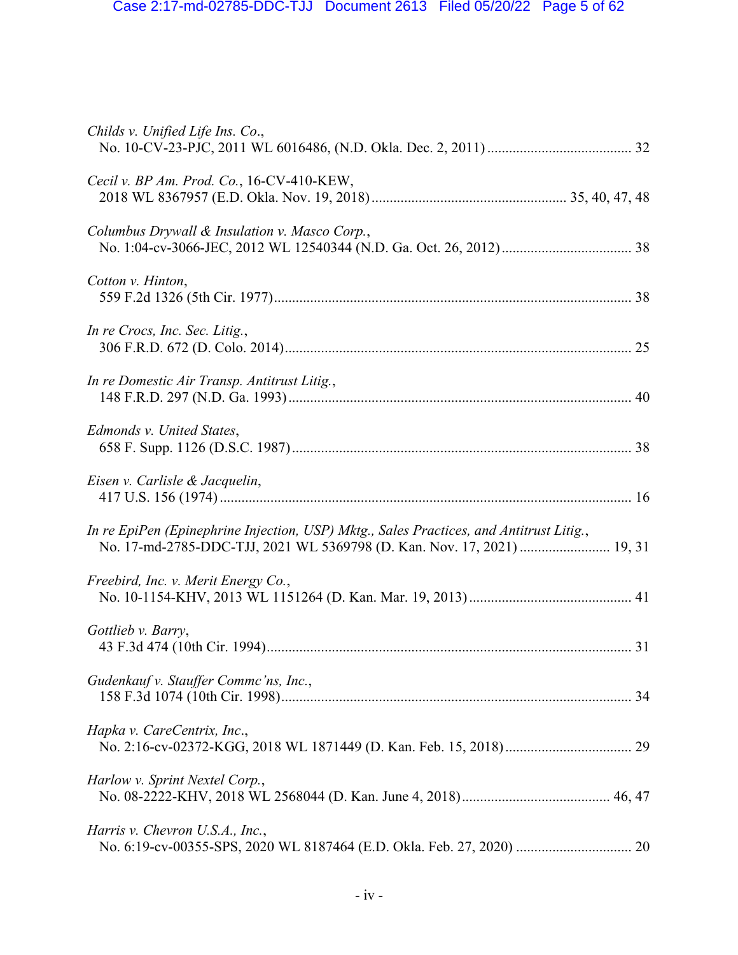| Childs v. Unified Life Ins. Co.,                                                                                                                                   |
|--------------------------------------------------------------------------------------------------------------------------------------------------------------------|
| Cecil v. BP Am. Prod. Co., 16-CV-410-KEW,                                                                                                                          |
| Columbus Drywall & Insulation v. Masco Corp.,                                                                                                                      |
| Cotton v. Hinton,                                                                                                                                                  |
| In re Crocs, Inc. Sec. Litig.,                                                                                                                                     |
| In re Domestic Air Transp. Antitrust Litig.,                                                                                                                       |
| Edmonds v. United States,                                                                                                                                          |
| Eisen v. Carlisle & Jacquelin,                                                                                                                                     |
| In re EpiPen (Epinephrine Injection, USP) Mktg., Sales Practices, and Antitrust Litig.,<br>No. 17-md-2785-DDC-TJJ, 2021 WL 5369798 (D. Kan. Nov. 17, 2021)  19, 31 |
| Freebird, Inc. v. Merit Energy Co.,                                                                                                                                |
| Gottlieb v. Barry,                                                                                                                                                 |
| Gudenkauf v. Stauffer Commc'ns, Inc.,                                                                                                                              |
| Hapka v. CareCentrix, Inc.,                                                                                                                                        |
| Harlow v. Sprint Nextel Corp.,                                                                                                                                     |
| Harris v. Chevron U.S.A., Inc.,                                                                                                                                    |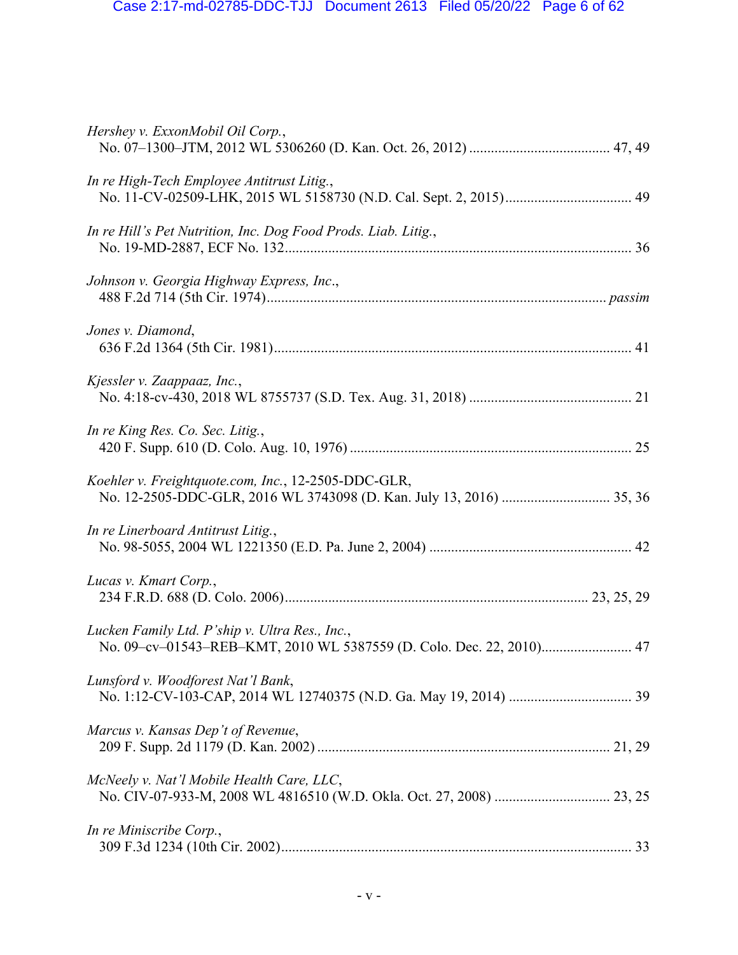| Hershey v. ExxonMobil Oil Corp.,                                                                                       |
|------------------------------------------------------------------------------------------------------------------------|
| In re High-Tech Employee Antitrust Litig.,                                                                             |
| In re Hill's Pet Nutrition, Inc. Dog Food Prods. Liab. Litig.,                                                         |
| Johnson v. Georgia Highway Express, Inc.,                                                                              |
| Jones v. Diamond,                                                                                                      |
| Kjessler v. Zaappaaz, Inc.,                                                                                            |
| In re King Res. Co. Sec. Litig.,                                                                                       |
| Koehler v. Freightquote.com, Inc., 12-2505-DDC-GLR,                                                                    |
| In re Linerboard Antitrust Litig.,                                                                                     |
| Lucas v. Kmart Corp.,                                                                                                  |
| Lucken Family Ltd. P'ship v. Ultra Res., Inc.,<br>No. 09-cv-01543-REB-KMT, 2010 WL 5387559 (D. Colo. Dec. 22, 2010) 47 |
| Lunsford v. Woodforest Nat'l Bank,                                                                                     |
| Marcus v. Kansas Dep't of Revenue,                                                                                     |
| McNeely v. Nat'l Mobile Health Care, LLC,                                                                              |
| In re Miniscribe Corp.,                                                                                                |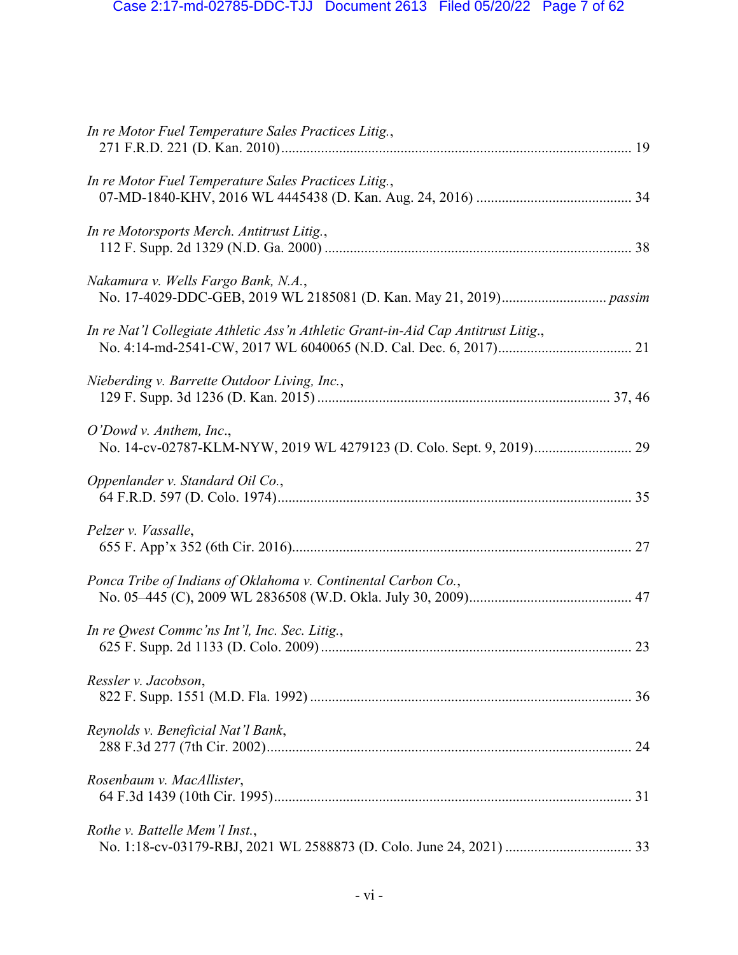| In re Motor Fuel Temperature Sales Practices Litig.,                              |  |
|-----------------------------------------------------------------------------------|--|
| In re Motor Fuel Temperature Sales Practices Litig.,                              |  |
| In re Motorsports Merch. Antitrust Litig.,                                        |  |
| Nakamura v. Wells Fargo Bank, N.A.,                                               |  |
| In re Nat'l Collegiate Athletic Ass'n Athletic Grant-in-Aid Cap Antitrust Litig., |  |
| Nieberding v. Barrette Outdoor Living, Inc.,                                      |  |
| $O'$ Dowd v. Anthem, Inc.,                                                        |  |
| Oppenlander v. Standard Oil Co.,                                                  |  |
| Pelzer v. Vassalle,                                                               |  |
| Ponca Tribe of Indians of Oklahoma v. Continental Carbon Co.,                     |  |
| In re Qwest Commc'ns Int'l, Inc. Sec. Litig.,                                     |  |
| Ressler v. Jacobson,                                                              |  |
| Reynolds v. Beneficial Nat'l Bank,                                                |  |
| Rosenbaum v. MacAllister,                                                         |  |
| Rothe v. Battelle Mem'l Inst.,                                                    |  |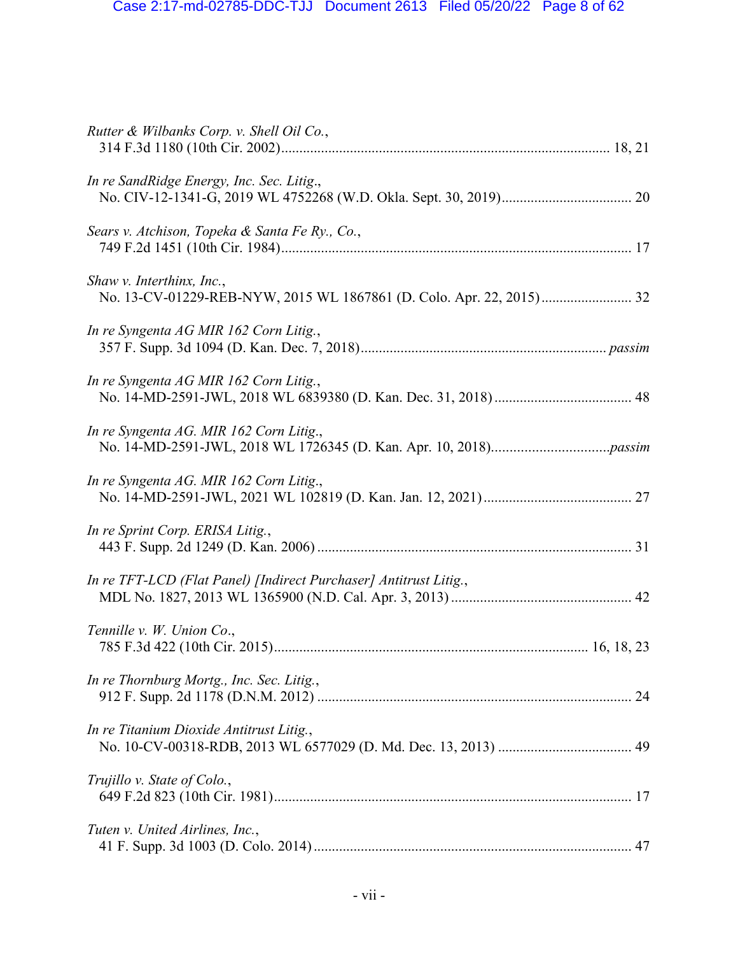| Rutter & Wilbanks Corp. v. Shell Oil Co.,                         |
|-------------------------------------------------------------------|
| In re SandRidge Energy, Inc. Sec. Litig.,                         |
| Sears v. Atchison, Topeka & Santa Fe Ry., Co.,                    |
| Shaw v. Interthinx, Inc.,                                         |
| In re Syngenta AG MIR 162 Corn Litig.,                            |
| In re Syngenta AG MIR 162 Corn Litig.,                            |
| In re Syngenta AG. MIR 162 Corn Litig.,                           |
| In re Syngenta AG. MIR 162 Corn Litig.,                           |
| In re Sprint Corp. ERISA Litig.,                                  |
| In re TFT-LCD (Flat Panel) [Indirect Purchaser] Antitrust Litig., |
| Tennille v. W. Union Co.,                                         |
| In re Thornburg Mortg., Inc. Sec. Litig.,                         |
| In re Titanium Dioxide Antitrust Litig.,                          |
| Trujillo v. State of Colo.,                                       |
| Tuten v. United Airlines, Inc.,                                   |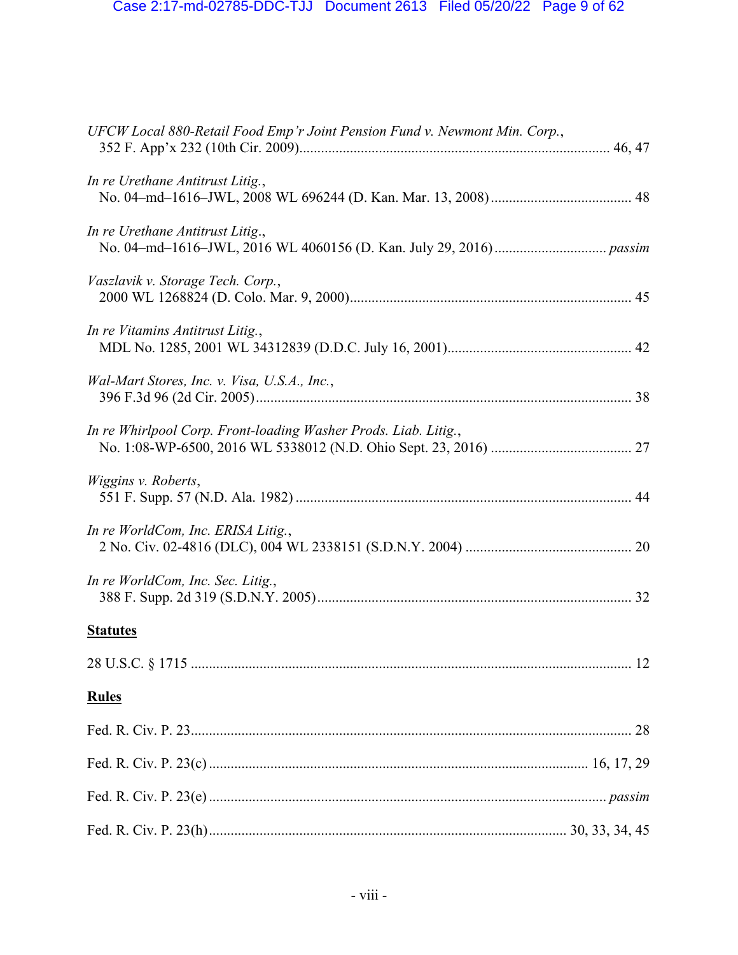| UFCW Local 880-Retail Food Emp'r Joint Pension Fund v. Newmont Min. Corp., |
|----------------------------------------------------------------------------|
| In re Urethane Antitrust Litig.,                                           |
| In re Urethane Antitrust Litig.,                                           |
| Vaszlavik v. Storage Tech. Corp.,                                          |
| In re Vitamins Antitrust Litig.,                                           |
| Wal-Mart Stores, Inc. v. Visa, U.S.A., Inc.,                               |
| In re Whirlpool Corp. Front-loading Washer Prods. Liab. Litig.,            |
| Wiggins v. Roberts,                                                        |
| In re WorldCom, Inc. ERISA Litig.,                                         |
| In re WorldCom, Inc. Sec. Litig.,                                          |
| <b>Statutes</b>                                                            |
|                                                                            |
| <b>Rules</b>                                                               |
|                                                                            |
|                                                                            |
|                                                                            |
|                                                                            |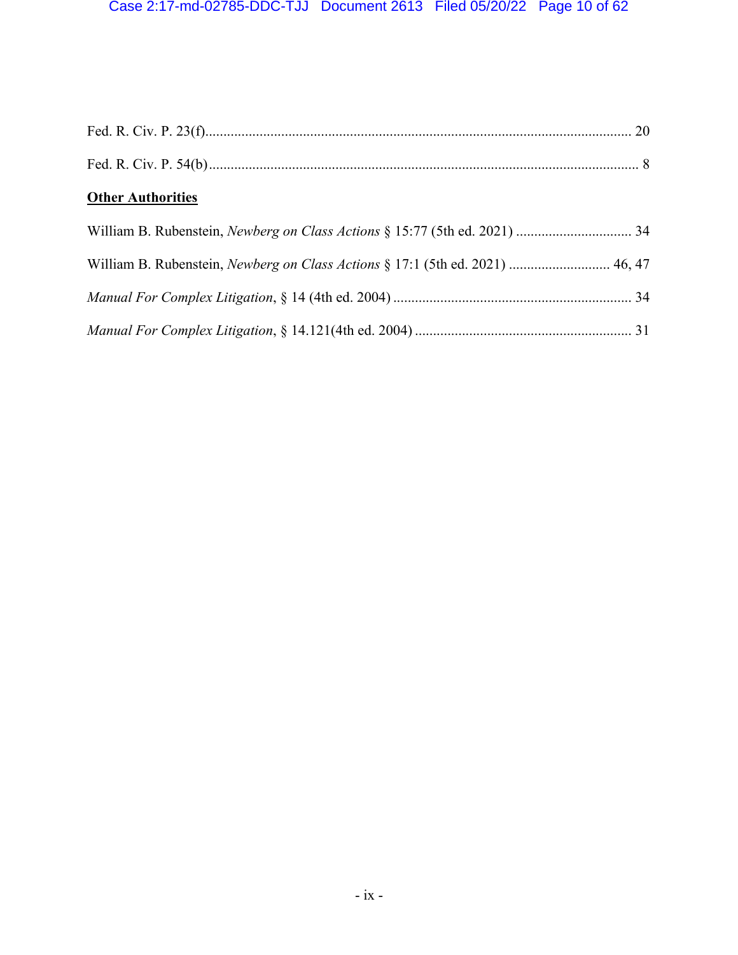| <b>Other Authorities</b>                                                      |
|-------------------------------------------------------------------------------|
|                                                                               |
| William B. Rubenstein, Newberg on Class Actions § 17:1 (5th ed. 2021)  46, 47 |
|                                                                               |
|                                                                               |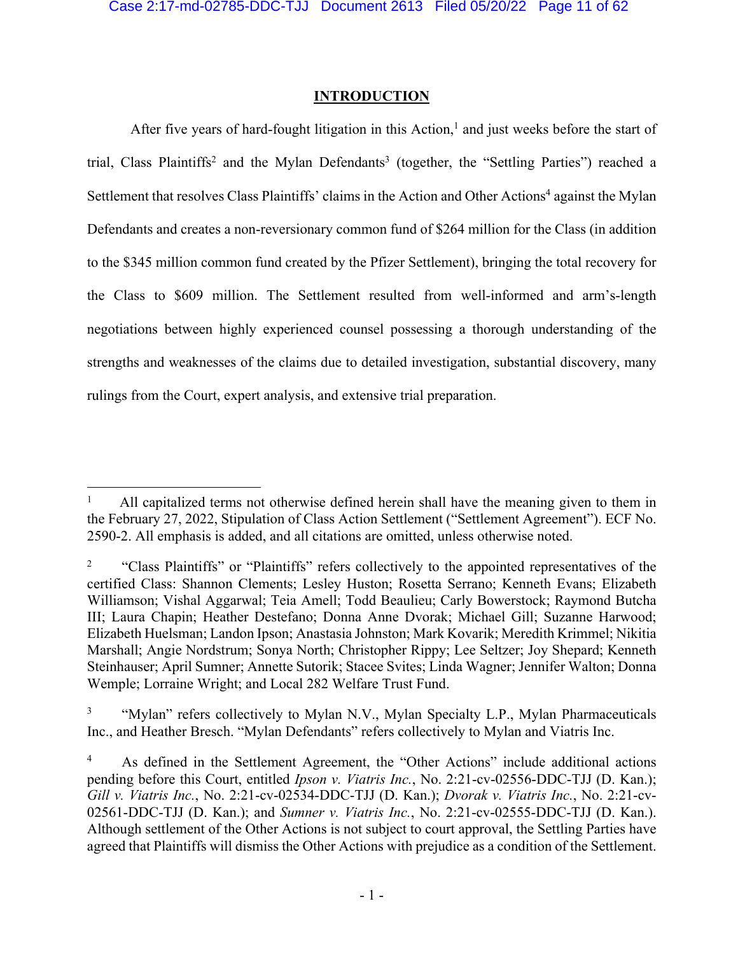## **INTRODUCTION**

After five years of hard-fought litigation in this Action, $<sup>1</sup>$  and just weeks before the start of</sup> trial, Class Plaintiffs<sup>2</sup> and the Mylan Defendants<sup>3</sup> (together, the "Settling Parties") reached a Settlement that resolves Class Plaintiffs' claims in the Action and Other Actions<sup>4</sup> against the Mylan Defendants and creates a non-reversionary common fund of \$264 million for the Class (in addition to the \$345 million common fund created by the Pfizer Settlement), bringing the total recovery for the Class to \$609 million. The Settlement resulted from well-informed and arm's-length negotiations between highly experienced counsel possessing a thorough understanding of the strengths and weaknesses of the claims due to detailed investigation, substantial discovery, many rulings from the Court, expert analysis, and extensive trial preparation.

"Mylan" refers collectively to Mylan N.V., Mylan Specialty L.P., Mylan Pharmaceuticals Inc., and Heather Bresch. "Mylan Defendants" refers collectively to Mylan and Viatris Inc.

<sup>1</sup> All capitalized terms not otherwise defined herein shall have the meaning given to them in the February 27, 2022, Stipulation of Class Action Settlement ("Settlement Agreement"). ECF No. 2590-2. All emphasis is added, and all citations are omitted, unless otherwise noted.

<sup>&</sup>lt;sup>2</sup> "Class Plaintiffs" or "Plaintiffs" refers collectively to the appointed representatives of the certified Class: Shannon Clements; Lesley Huston; Rosetta Serrano; Kenneth Evans; Elizabeth Williamson; Vishal Aggarwal; Teia Amell; Todd Beaulieu; Carly Bowerstock; Raymond Butcha III; Laura Chapin; Heather Destefano; Donna Anne Dvorak; Michael Gill; Suzanne Harwood; Elizabeth Huelsman; Landon Ipson; Anastasia Johnston; Mark Kovarik; Meredith Krimmel; Nikitia Marshall; Angie Nordstrum; Sonya North; Christopher Rippy; Lee Seltzer; Joy Shepard; Kenneth Steinhauser; April Sumner; Annette Sutorik; Stacee Svites; Linda Wagner; Jennifer Walton; Donna Wemple; Lorraine Wright; and Local 282 Welfare Trust Fund.

<sup>&</sup>lt;sup>4</sup> As defined in the Settlement Agreement, the "Other Actions" include additional actions pending before this Court, entitled *Ipson v. Viatris Inc.*, No. 2:21-cv-02556-DDC-TJJ (D. Kan.); *Gill v. Viatris Inc.*, No. 2:21-cv-02534-DDC-TJJ (D. Kan.); *Dvorak v. Viatris Inc.*, No. 2:21-cv-02561-DDC-TJJ (D. Kan.); and *Sumner v. Viatris Inc.*, No. 2:21-cv-02555-DDC-TJJ (D. Kan.). Although settlement of the Other Actions is not subject to court approval, the Settling Parties have agreed that Plaintiffs will dismiss the Other Actions with prejudice as a condition of the Settlement.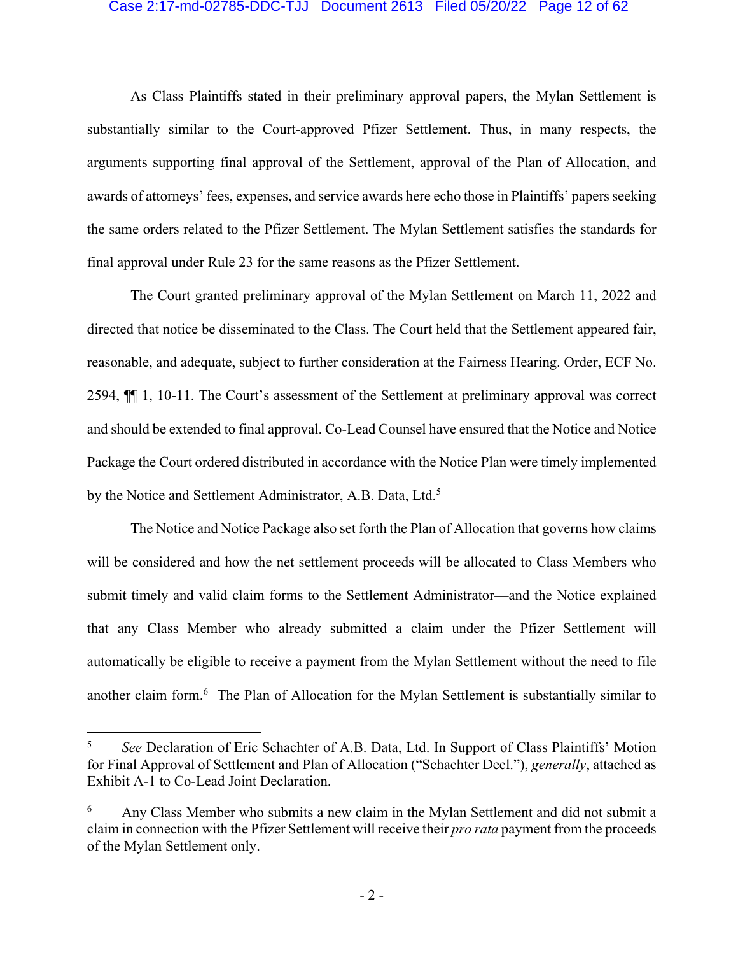#### Case 2:17-md-02785-DDC-TJJ Document 2613 Filed 05/20/22 Page 12 of 62

As Class Plaintiffs stated in their preliminary approval papers, the Mylan Settlement is substantially similar to the Court-approved Pfizer Settlement. Thus, in many respects, the arguments supporting final approval of the Settlement, approval of the Plan of Allocation, and awards of attorneys' fees, expenses, and service awards here echo those in Plaintiffs' papers seeking the same orders related to the Pfizer Settlement. The Mylan Settlement satisfies the standards for final approval under Rule 23 for the same reasons as the Pfizer Settlement.

The Court granted preliminary approval of the Mylan Settlement on March 11, 2022 and directed that notice be disseminated to the Class. The Court held that the Settlement appeared fair, reasonable, and adequate, subject to further consideration at the Fairness Hearing. Order, ECF No. 2594, ¶¶ 1, 10-11. The Court's assessment of the Settlement at preliminary approval was correct and should be extended to final approval. Co-Lead Counsel have ensured that the Notice and Notice Package the Court ordered distributed in accordance with the Notice Plan were timely implemented by the Notice and Settlement Administrator, A.B. Data, Ltd.<sup>5</sup>

The Notice and Notice Package also set forth the Plan of Allocation that governs how claims will be considered and how the net settlement proceeds will be allocated to Class Members who submit timely and valid claim forms to the Settlement Administrator—and the Notice explained that any Class Member who already submitted a claim under the Pfizer Settlement will automatically be eligible to receive a payment from the Mylan Settlement without the need to file another claim form.<sup>6</sup> The Plan of Allocation for the Mylan Settlement is substantially similar to

<sup>5</sup> *See* Declaration of Eric Schachter of A.B. Data, Ltd. In Support of Class Plaintiffs' Motion for Final Approval of Settlement and Plan of Allocation ("Schachter Decl."), *generally*, attached as Exhibit A-1 to Co-Lead Joint Declaration.

<sup>6</sup> Any Class Member who submits a new claim in the Mylan Settlement and did not submit a claim in connection with the Pfizer Settlement will receive their *pro rata* payment from the proceeds of the Mylan Settlement only.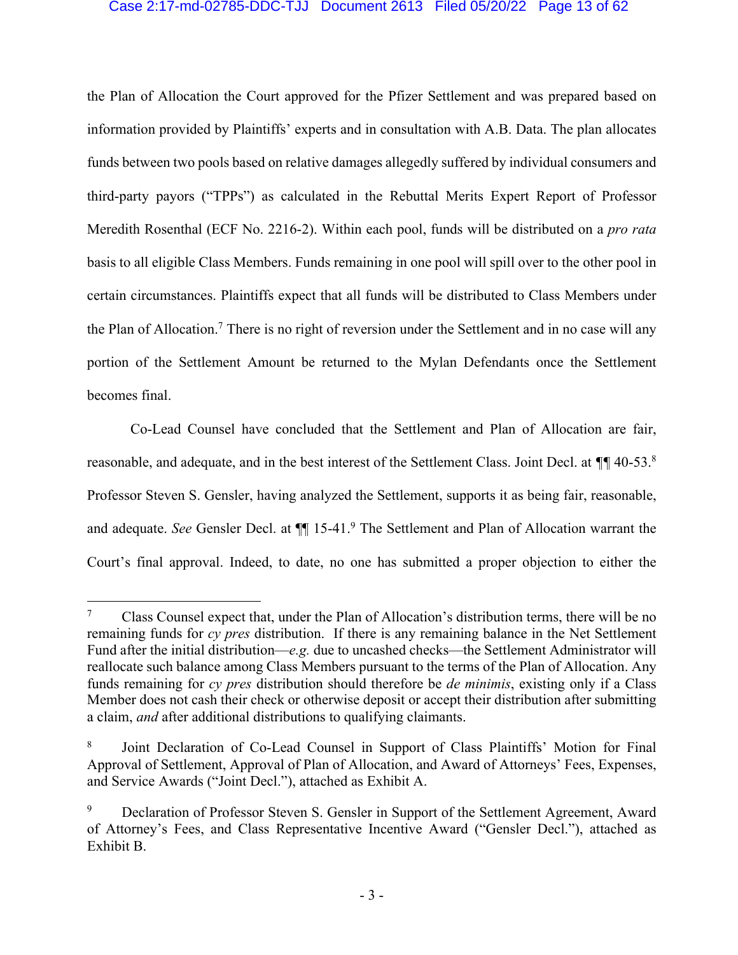#### Case 2:17-md-02785-DDC-TJJ Document 2613 Filed 05/20/22 Page 13 of 62

the Plan of Allocation the Court approved for the Pfizer Settlement and was prepared based on information provided by Plaintiffs' experts and in consultation with A.B. Data. The plan allocates funds between two pools based on relative damages allegedly suffered by individual consumers and third-party payors ("TPPs") as calculated in the Rebuttal Merits Expert Report of Professor Meredith Rosenthal (ECF No. 2216-2). Within each pool, funds will be distributed on a *pro rata* basis to all eligible Class Members. Funds remaining in one pool will spill over to the other pool in certain circumstances. Plaintiffs expect that all funds will be distributed to Class Members under the Plan of Allocation.<sup>7</sup> There is no right of reversion under the Settlement and in no case will any portion of the Settlement Amount be returned to the Mylan Defendants once the Settlement becomes final.

Co-Lead Counsel have concluded that the Settlement and Plan of Allocation are fair, reasonable, and adequate, and in the best interest of the Settlement Class. Joint Decl. at *¶¶* 40-53.8 Professor Steven S. Gensler, having analyzed the Settlement, supports it as being fair, reasonable, and adequate. *See* Gensler Decl. at ¶¶ 15-41.9 The Settlement and Plan of Allocation warrant the Court's final approval. Indeed, to date, no one has submitted a proper objection to either the

Class Counsel expect that, under the Plan of Allocation's distribution terms, there will be no remaining funds for *cy pres* distribution. If there is any remaining balance in the Net Settlement Fund after the initial distribution—*e.g.* due to uncashed checks—the Settlement Administrator will reallocate such balance among Class Members pursuant to the terms of the Plan of Allocation. Any funds remaining for *cy pres* distribution should therefore be *de minimis*, existing only if a Class Member does not cash their check or otherwise deposit or accept their distribution after submitting a claim, *and* after additional distributions to qualifying claimants.

<sup>8</sup> Joint Declaration of Co-Lead Counsel in Support of Class Plaintiffs' Motion for Final Approval of Settlement, Approval of Plan of Allocation, and Award of Attorneys' Fees, Expenses, and Service Awards ("Joint Decl."), attached as Exhibit A.

Declaration of Professor Steven S. Gensler in Support of the Settlement Agreement, Award of Attorney's Fees, and Class Representative Incentive Award ("Gensler Decl."), attached as Exhibit B.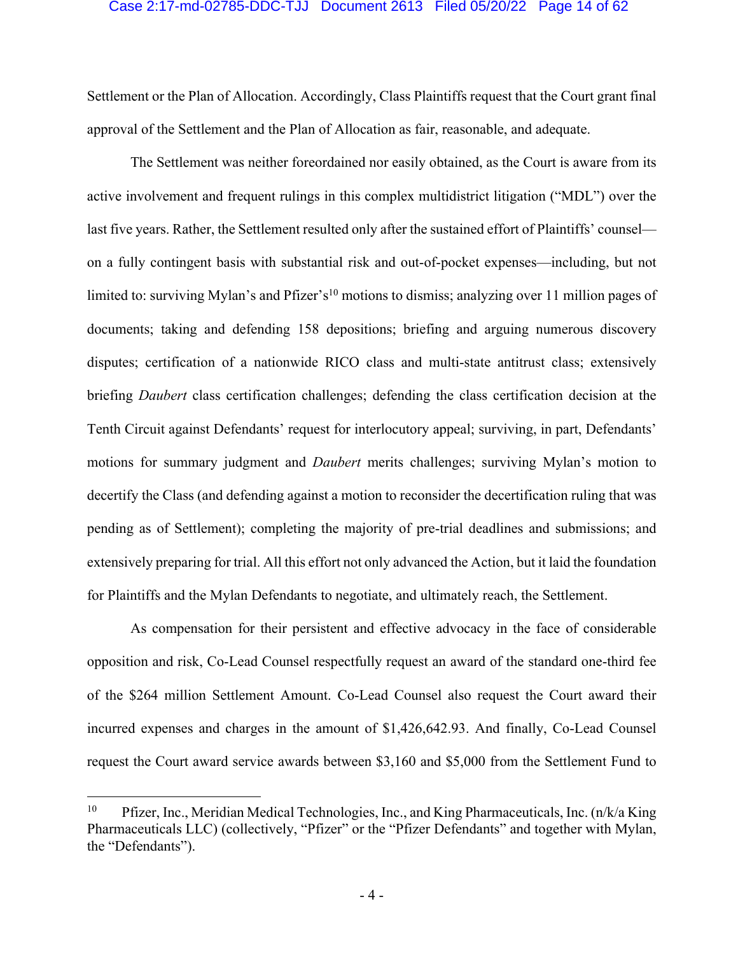#### Case 2:17-md-02785-DDC-TJJ Document 2613 Filed 05/20/22 Page 14 of 62

Settlement or the Plan of Allocation. Accordingly, Class Plaintiffs request that the Court grant final approval of the Settlement and the Plan of Allocation as fair, reasonable, and adequate.

The Settlement was neither foreordained nor easily obtained, as the Court is aware from its active involvement and frequent rulings in this complex multidistrict litigation ("MDL") over the last five years. Rather, the Settlement resulted only after the sustained effort of Plaintiffs' counsel on a fully contingent basis with substantial risk and out-of-pocket expenses—including, but not limited to: surviving Mylan's and Pfizer's<sup>10</sup> motions to dismiss; analyzing over 11 million pages of documents; taking and defending 158 depositions; briefing and arguing numerous discovery disputes; certification of a nationwide RICO class and multi-state antitrust class; extensively briefing *Daubert* class certification challenges; defending the class certification decision at the Tenth Circuit against Defendants' request for interlocutory appeal; surviving, in part, Defendants' motions for summary judgment and *Daubert* merits challenges; surviving Mylan's motion to decertify the Class (and defending against a motion to reconsider the decertification ruling that was pending as of Settlement); completing the majority of pre-trial deadlines and submissions; and extensively preparing for trial. All this effort not only advanced the Action, but it laid the foundation for Plaintiffs and the Mylan Defendants to negotiate, and ultimately reach, the Settlement.

As compensation for their persistent and effective advocacy in the face of considerable opposition and risk, Co-Lead Counsel respectfully request an award of the standard one-third fee of the \$264 million Settlement Amount. Co-Lead Counsel also request the Court award their incurred expenses and charges in the amount of \$1,426,642.93. And finally, Co-Lead Counsel request the Court award service awards between \$3,160 and \$5,000 from the Settlement Fund to

<sup>&</sup>lt;sup>10</sup> Pfizer, Inc., Meridian Medical Technologies, Inc., and King Pharmaceuticals, Inc. (n/k/a King Pharmaceuticals LLC) (collectively, "Pfizer" or the "Pfizer Defendants" and together with Mylan, the "Defendants").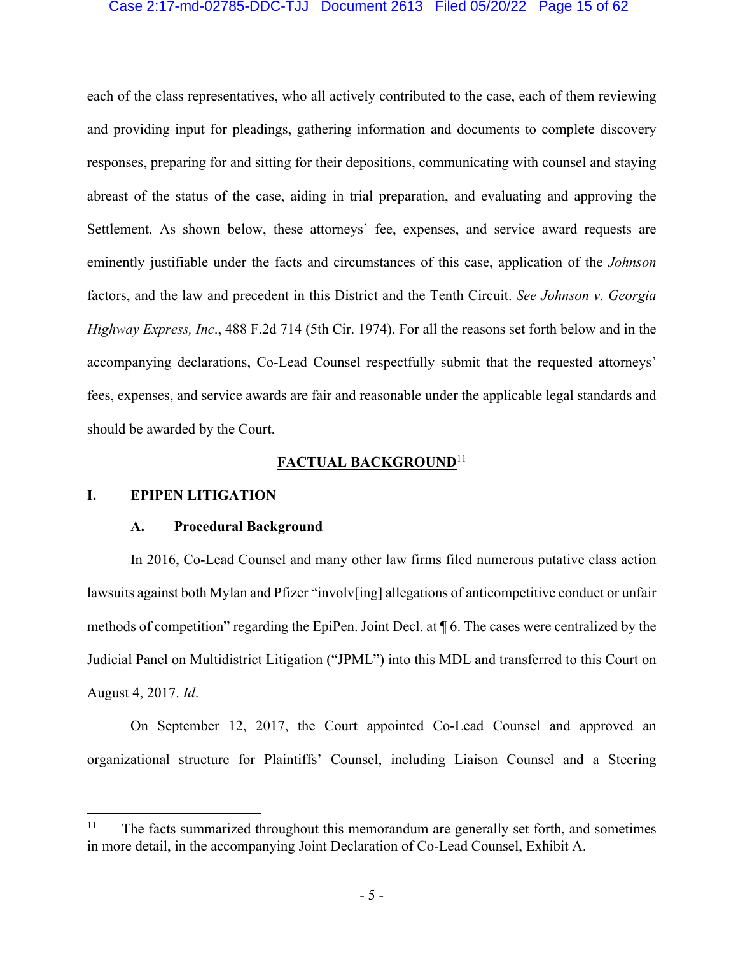#### Case 2:17-md-02785-DDC-TJJ Document 2613 Filed 05/20/22 Page 15 of 62

each of the class representatives, who all actively contributed to the case, each of them reviewing and providing input for pleadings, gathering information and documents to complete discovery responses, preparing for and sitting for their depositions, communicating with counsel and staying abreast of the status of the case, aiding in trial preparation, and evaluating and approving the Settlement. As shown below, these attorneys' fee, expenses, and service award requests are eminently justifiable under the facts and circumstances of this case, application of the *Johnson*  factors, and the law and precedent in this District and the Tenth Circuit. *See Johnson v. Georgia Highway Express, Inc*., 488 F.2d 714 (5th Cir. 1974). For all the reasons set forth below and in the accompanying declarations, Co-Lead Counsel respectfully submit that the requested attorneys' fees, expenses, and service awards are fair and reasonable under the applicable legal standards and should be awarded by the Court.

## **FACTUAL BACKGROUND**<sup>11</sup>

#### **I. EPIPEN LITIGATION**

#### **A. Procedural Background**

In 2016, Co-Lead Counsel and many other law firms filed numerous putative class action lawsuits against both Mylan and Pfizer "involv[ing] allegations of anticompetitive conduct or unfair methods of competition" regarding the EpiPen. Joint Decl. at ¶ 6. The cases were centralized by the Judicial Panel on Multidistrict Litigation ("JPML") into this MDL and transferred to this Court on August 4, 2017. *Id*.

On September 12, 2017, the Court appointed Co-Lead Counsel and approved an organizational structure for Plaintiffs' Counsel, including Liaison Counsel and a Steering

<sup>&</sup>lt;sup>11</sup> The facts summarized throughout this memorandum are generally set forth, and sometimes in more detail, in the accompanying Joint Declaration of Co-Lead Counsel, Exhibit A.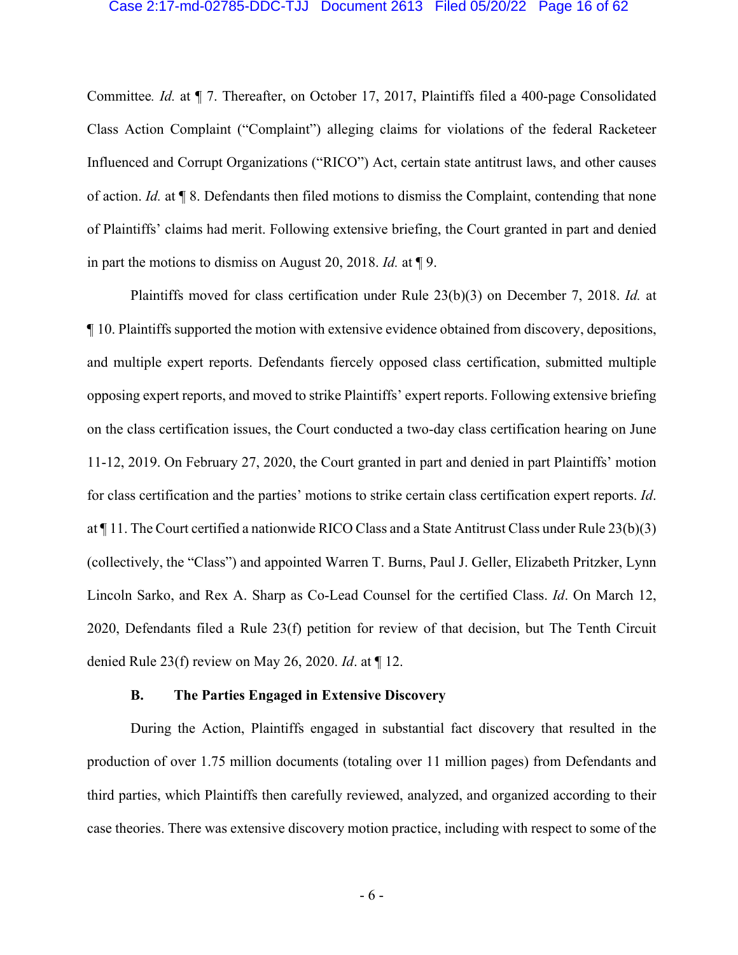#### Case 2:17-md-02785-DDC-TJJ Document 2613 Filed 05/20/22 Page 16 of 62

Committee*. Id.* at ¶ 7. Thereafter, on October 17, 2017, Plaintiffs filed a 400-page Consolidated Class Action Complaint ("Complaint") alleging claims for violations of the federal Racketeer Influenced and Corrupt Organizations ("RICO") Act, certain state antitrust laws, and other causes of action. *Id.* at ¶ 8. Defendants then filed motions to dismiss the Complaint, contending that none of Plaintiffs' claims had merit. Following extensive briefing, the Court granted in part and denied in part the motions to dismiss on August 20, 2018. *Id.* at ¶ 9.

Plaintiffs moved for class certification under Rule 23(b)(3) on December 7, 2018. *Id.* at ¶ 10. Plaintiffs supported the motion with extensive evidence obtained from discovery, depositions, and multiple expert reports. Defendants fiercely opposed class certification, submitted multiple opposing expert reports, and moved to strike Plaintiffs' expert reports. Following extensive briefing on the class certification issues, the Court conducted a two-day class certification hearing on June 11-12, 2019. On February 27, 2020, the Court granted in part and denied in part Plaintiffs' motion for class certification and the parties' motions to strike certain class certification expert reports. *Id*. at ¶ 11. The Court certified a nationwide RICO Class and a State Antitrust Class under Rule 23(b)(3) (collectively, the "Class") and appointed Warren T. Burns, Paul J. Geller, Elizabeth Pritzker, Lynn Lincoln Sarko, and Rex A. Sharp as Co-Lead Counsel for the certified Class. *Id*. On March 12, 2020, Defendants filed a Rule 23(f) petition for review of that decision, but The Tenth Circuit denied Rule 23(f) review on May 26, 2020. *Id*. at ¶ 12.

#### **B. The Parties Engaged in Extensive Discovery**

During the Action, Plaintiffs engaged in substantial fact discovery that resulted in the production of over 1.75 million documents (totaling over 11 million pages) from Defendants and third parties, which Plaintiffs then carefully reviewed, analyzed, and organized according to their case theories. There was extensive discovery motion practice, including with respect to some of the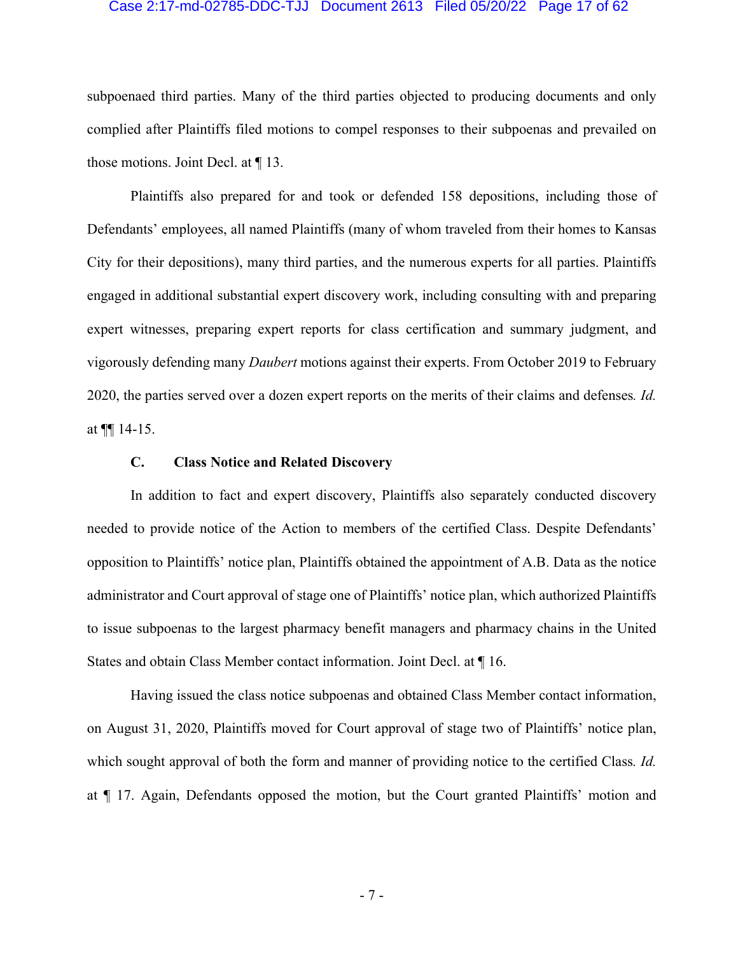#### Case 2:17-md-02785-DDC-TJJ Document 2613 Filed 05/20/22 Page 17 of 62

subpoenaed third parties. Many of the third parties objected to producing documents and only complied after Plaintiffs filed motions to compel responses to their subpoenas and prevailed on those motions. Joint Decl. at ¶ 13.

Plaintiffs also prepared for and took or defended 158 depositions, including those of Defendants' employees, all named Plaintiffs (many of whom traveled from their homes to Kansas City for their depositions), many third parties, and the numerous experts for all parties. Plaintiffs engaged in additional substantial expert discovery work, including consulting with and preparing expert witnesses, preparing expert reports for class certification and summary judgment, and vigorously defending many *Daubert* motions against their experts. From October 2019 to February 2020, the parties served over a dozen expert reports on the merits of their claims and defenses*. Id.* at  $\P\P$  14-15.

#### **C. Class Notice and Related Discovery**

In addition to fact and expert discovery, Plaintiffs also separately conducted discovery needed to provide notice of the Action to members of the certified Class. Despite Defendants' opposition to Plaintiffs' notice plan, Plaintiffs obtained the appointment of A.B. Data as the notice administrator and Court approval of stage one of Plaintiffs' notice plan, which authorized Plaintiffs to issue subpoenas to the largest pharmacy benefit managers and pharmacy chains in the United States and obtain Class Member contact information. Joint Decl. at ¶ 16.

Having issued the class notice subpoenas and obtained Class Member contact information, on August 31, 2020, Plaintiffs moved for Court approval of stage two of Plaintiffs' notice plan, which sought approval of both the form and manner of providing notice to the certified Class*. Id.* at ¶ 17. Again, Defendants opposed the motion, but the Court granted Plaintiffs' motion and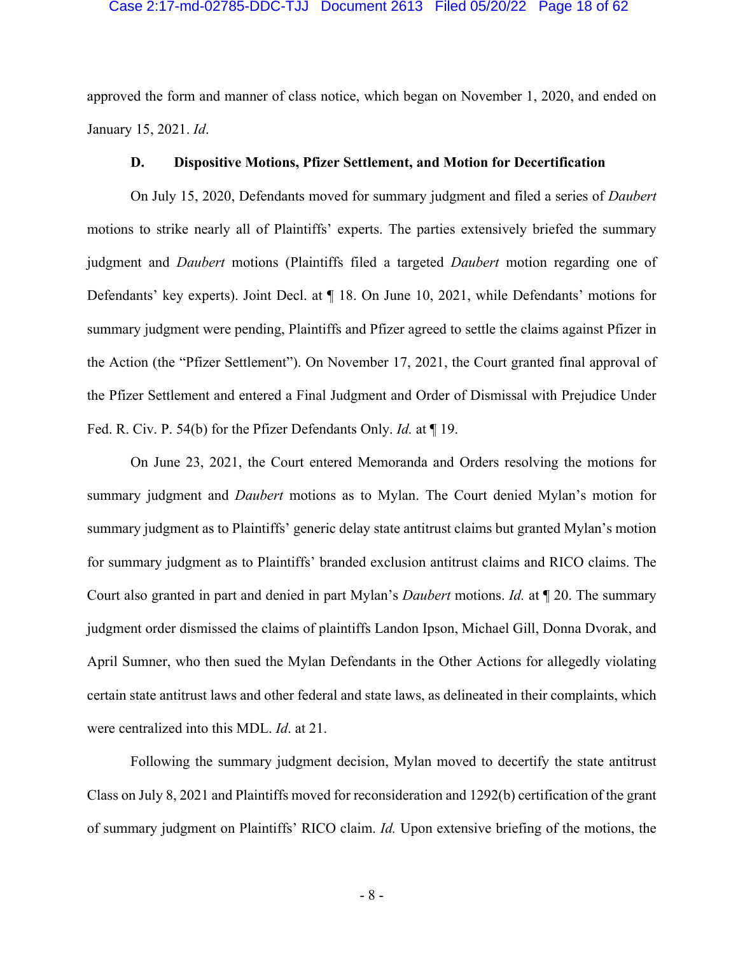#### Case 2:17-md-02785-DDC-TJJ Document 2613 Filed 05/20/22 Page 18 of 62

approved the form and manner of class notice, which began on November 1, 2020, and ended on January 15, 2021. *Id*.

#### **D. Dispositive Motions, Pfizer Settlement, and Motion for Decertification**

On July 15, 2020, Defendants moved for summary judgment and filed a series of *Daubert* motions to strike nearly all of Plaintiffs' experts. The parties extensively briefed the summary judgment and *Daubert* motions (Plaintiffs filed a targeted *Daubert* motion regarding one of Defendants' key experts). Joint Decl. at ¶ 18. On June 10, 2021, while Defendants' motions for summary judgment were pending, Plaintiffs and Pfizer agreed to settle the claims against Pfizer in the Action (the "Pfizer Settlement"). On November 17, 2021, the Court granted final approval of the Pfizer Settlement and entered a Final Judgment and Order of Dismissal with Prejudice Under Fed. R. Civ. P. 54(b) for the Pfizer Defendants Only. *Id.* at ¶ 19.

On June 23, 2021, the Court entered Memoranda and Orders resolving the motions for summary judgment and *Daubert* motions as to Mylan. The Court denied Mylan's motion for summary judgment as to Plaintiffs' generic delay state antitrust claims but granted Mylan's motion for summary judgment as to Plaintiffs' branded exclusion antitrust claims and RICO claims. The Court also granted in part and denied in part Mylan's *Daubert* motions. *Id.* at ¶ 20. The summary judgment order dismissed the claims of plaintiffs Landon Ipson, Michael Gill, Donna Dvorak, and April Sumner, who then sued the Mylan Defendants in the Other Actions for allegedly violating certain state antitrust laws and other federal and state laws, as delineated in their complaints, which were centralized into this MDL. *Id*. at 21.

Following the summary judgment decision, Mylan moved to decertify the state antitrust Class on July 8, 2021 and Plaintiffs moved for reconsideration and 1292(b) certification of the grant of summary judgment on Plaintiffs' RICO claim. *Id.* Upon extensive briefing of the motions, the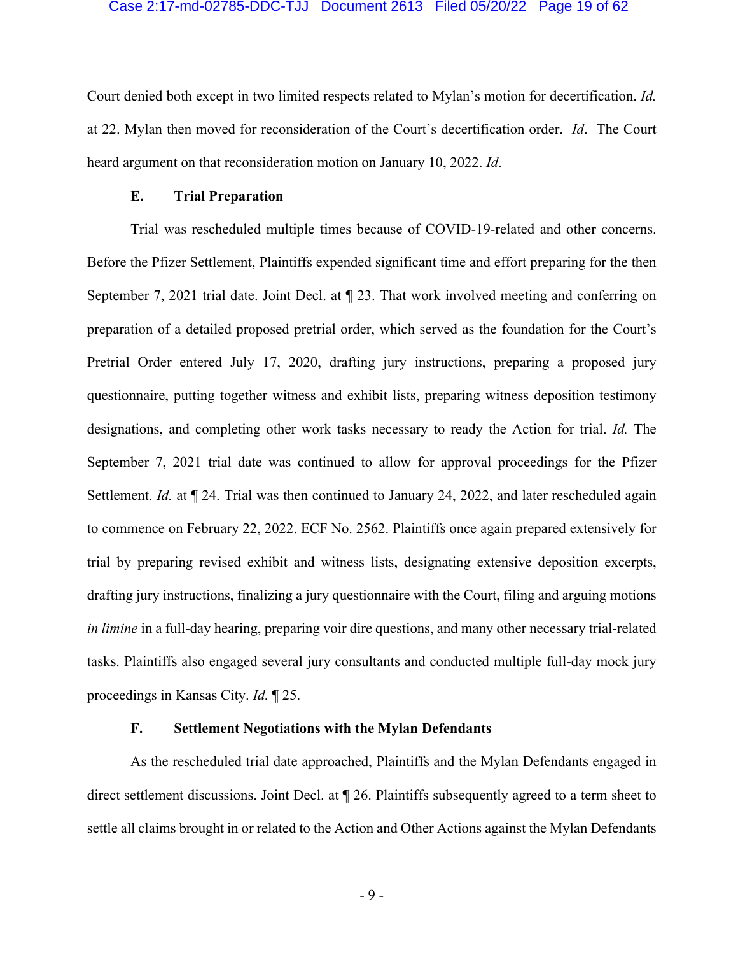#### Case 2:17-md-02785-DDC-TJJ Document 2613 Filed 05/20/22 Page 19 of 62

Court denied both except in two limited respects related to Mylan's motion for decertification. *Id.* at 22. Mylan then moved for reconsideration of the Court's decertification order. *Id*. The Court heard argument on that reconsideration motion on January 10, 2022. *Id*.

#### **E. Trial Preparation**

Trial was rescheduled multiple times because of COVID-19-related and other concerns. Before the Pfizer Settlement, Plaintiffs expended significant time and effort preparing for the then September 7, 2021 trial date. Joint Decl. at ¶ 23. That work involved meeting and conferring on preparation of a detailed proposed pretrial order, which served as the foundation for the Court's Pretrial Order entered July 17, 2020, drafting jury instructions, preparing a proposed jury questionnaire, putting together witness and exhibit lists, preparing witness deposition testimony designations, and completing other work tasks necessary to ready the Action for trial. *Id.* The September 7, 2021 trial date was continued to allow for approval proceedings for the Pfizer Settlement. *Id.* at  $\P$  24. Trial was then continued to January 24, 2022, and later rescheduled again to commence on February 22, 2022. ECF No. 2562. Plaintiffs once again prepared extensively for trial by preparing revised exhibit and witness lists, designating extensive deposition excerpts, drafting jury instructions, finalizing a jury questionnaire with the Court, filing and arguing motions *in limine* in a full-day hearing, preparing voir dire questions, and many other necessary trial-related tasks. Plaintiffs also engaged several jury consultants and conducted multiple full-day mock jury proceedings in Kansas City. *Id.* ¶ 25.

## **F. Settlement Negotiations with the Mylan Defendants**

As the rescheduled trial date approached, Plaintiffs and the Mylan Defendants engaged in direct settlement discussions. Joint Decl. at ¶ 26. Plaintiffs subsequently agreed to a term sheet to settle all claims brought in or related to the Action and Other Actions against the Mylan Defendants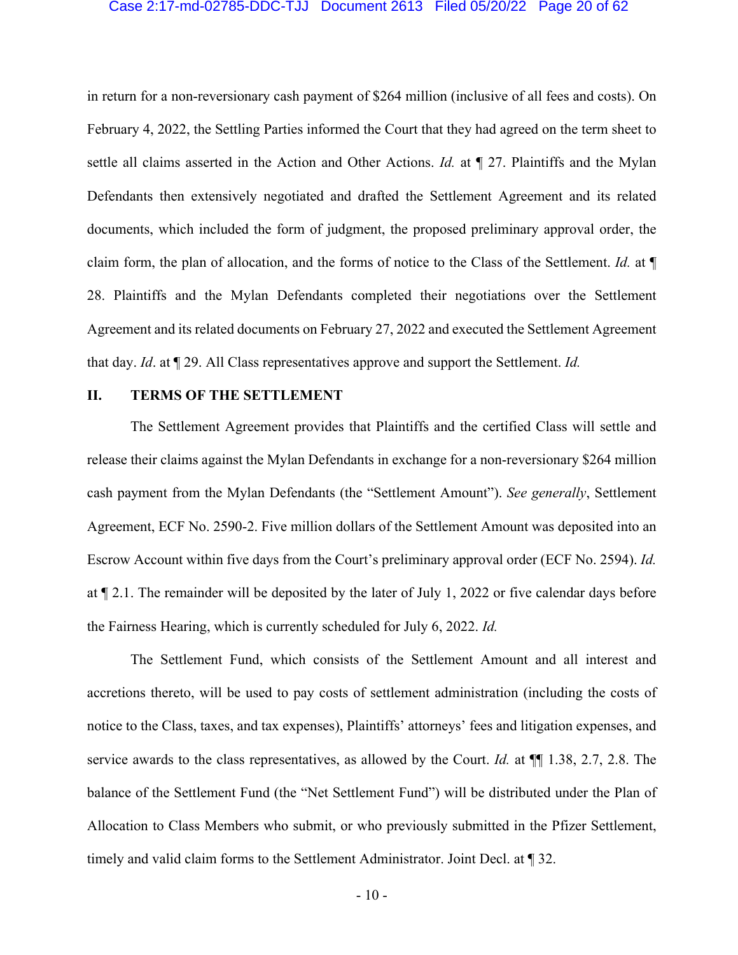#### Case 2:17-md-02785-DDC-TJJ Document 2613 Filed 05/20/22 Page 20 of 62

in return for a non-reversionary cash payment of \$264 million (inclusive of all fees and costs). On February 4, 2022, the Settling Parties informed the Court that they had agreed on the term sheet to settle all claims asserted in the Action and Other Actions. *Id.* at ¶ 27. Plaintiffs and the Mylan Defendants then extensively negotiated and drafted the Settlement Agreement and its related documents, which included the form of judgment, the proposed preliminary approval order, the claim form, the plan of allocation, and the forms of notice to the Class of the Settlement. *Id.* at ¶ 28. Plaintiffs and the Mylan Defendants completed their negotiations over the Settlement Agreement and its related documents on February 27, 2022 and executed the Settlement Agreement that day. *Id*. at ¶ 29. All Class representatives approve and support the Settlement. *Id.* 

#### **II. TERMS OF THE SETTLEMENT**

The Settlement Agreement provides that Plaintiffs and the certified Class will settle and release their claims against the Mylan Defendants in exchange for a non-reversionary \$264 million cash payment from the Mylan Defendants (the "Settlement Amount"). *See generally*, Settlement Agreement, ECF No. 2590-2. Five million dollars of the Settlement Amount was deposited into an Escrow Account within five days from the Court's preliminary approval order (ECF No. 2594). *Id.* at ¶ 2.1. The remainder will be deposited by the later of July 1, 2022 or five calendar days before the Fairness Hearing, which is currently scheduled for July 6, 2022. *Id.*

The Settlement Fund, which consists of the Settlement Amount and all interest and accretions thereto, will be used to pay costs of settlement administration (including the costs of notice to the Class, taxes, and tax expenses), Plaintiffs' attorneys' fees and litigation expenses, and service awards to the class representatives, as allowed by the Court. *Id.* at ¶¶ 1.38, 2.7, 2.8. The balance of the Settlement Fund (the "Net Settlement Fund") will be distributed under the Plan of Allocation to Class Members who submit, or who previously submitted in the Pfizer Settlement, timely and valid claim forms to the Settlement Administrator. Joint Decl. at ¶ 32.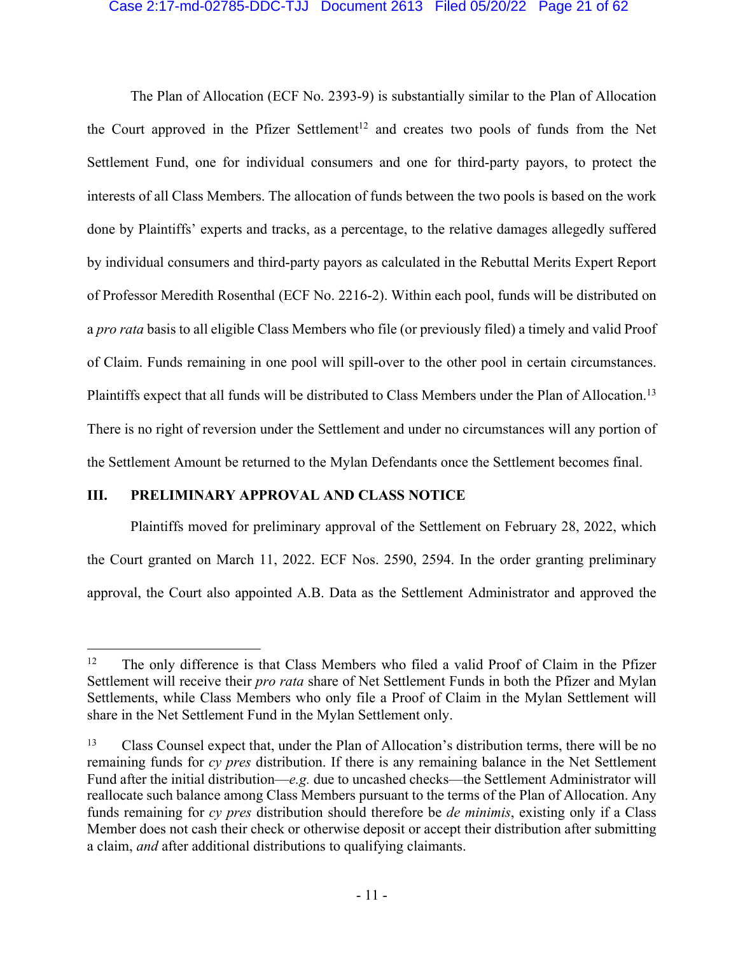#### Case 2:17-md-02785-DDC-TJJ Document 2613 Filed 05/20/22 Page 21 of 62

The Plan of Allocation (ECF No. 2393-9) is substantially similar to the Plan of Allocation the Court approved in the Pfizer Settlement<sup>12</sup> and creates two pools of funds from the Net Settlement Fund, one for individual consumers and one for third-party payors, to protect the interests of all Class Members. The allocation of funds between the two pools is based on the work done by Plaintiffs' experts and tracks, as a percentage, to the relative damages allegedly suffered by individual consumers and third-party payors as calculated in the Rebuttal Merits Expert Report of Professor Meredith Rosenthal (ECF No. 2216-2). Within each pool, funds will be distributed on a *pro rata* basis to all eligible Class Members who file (or previously filed) a timely and valid Proof of Claim. Funds remaining in one pool will spill-over to the other pool in certain circumstances. Plaintiffs expect that all funds will be distributed to Class Members under the Plan of Allocation.<sup>13</sup> There is no right of reversion under the Settlement and under no circumstances will any portion of the Settlement Amount be returned to the Mylan Defendants once the Settlement becomes final.

## **III. PRELIMINARY APPROVAL AND CLASS NOTICE**

Plaintiffs moved for preliminary approval of the Settlement on February 28, 2022, which the Court granted on March 11, 2022. ECF Nos. 2590, 2594. In the order granting preliminary approval, the Court also appointed A.B. Data as the Settlement Administrator and approved the

 $12$  The only difference is that Class Members who filed a valid Proof of Claim in the Pfizer Settlement will receive their *pro rata* share of Net Settlement Funds in both the Pfizer and Mylan Settlements, while Class Members who only file a Proof of Claim in the Mylan Settlement will share in the Net Settlement Fund in the Mylan Settlement only.

<sup>13</sup> Class Counsel expect that, under the Plan of Allocation's distribution terms, there will be no remaining funds for *cy pres* distribution. If there is any remaining balance in the Net Settlement Fund after the initial distribution—*e.g.* due to uncashed checks—the Settlement Administrator will reallocate such balance among Class Members pursuant to the terms of the Plan of Allocation. Any funds remaining for *cy pres* distribution should therefore be *de minimis*, existing only if a Class Member does not cash their check or otherwise deposit or accept their distribution after submitting a claim, *and* after additional distributions to qualifying claimants.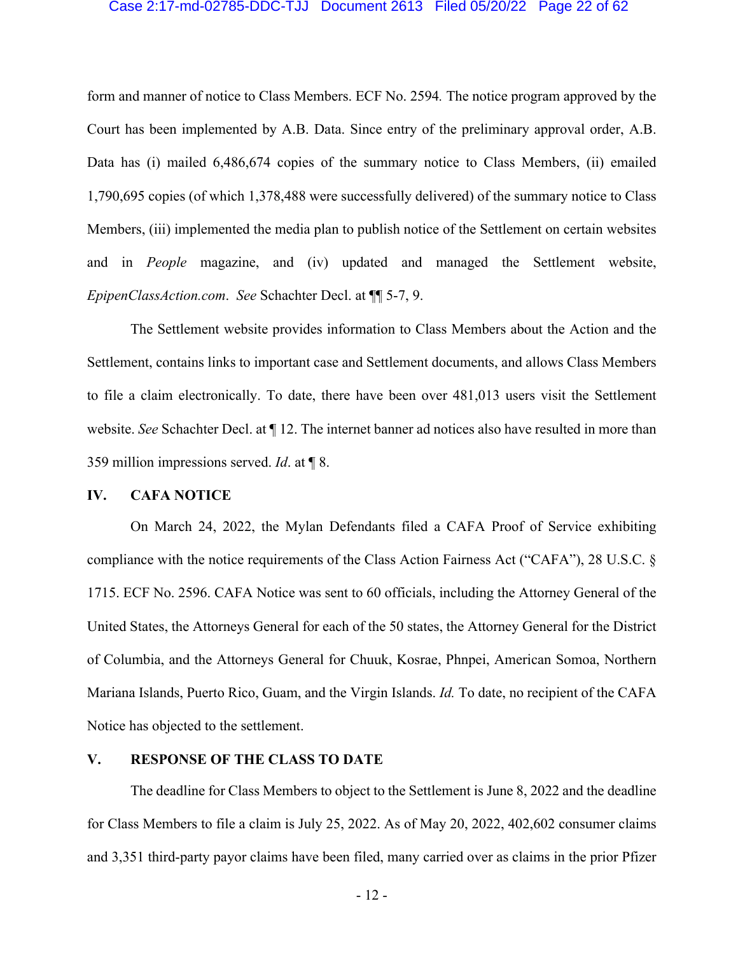#### Case 2:17-md-02785-DDC-TJJ Document 2613 Filed 05/20/22 Page 22 of 62

form and manner of notice to Class Members. ECF No. 2594*.* The notice program approved by the Court has been implemented by A.B. Data. Since entry of the preliminary approval order, A.B. Data has (i) mailed 6,486,674 copies of the summary notice to Class Members, (ii) emailed 1,790,695 copies (of which 1,378,488 were successfully delivered) of the summary notice to Class Members, (iii) implemented the media plan to publish notice of the Settlement on certain websites and in *People* magazine, and (iv) updated and managed the Settlement website, *EpipenClassAction.com*. *See* Schachter Decl. at ¶¶ 5-7, 9.

The Settlement website provides information to Class Members about the Action and the Settlement, contains links to important case and Settlement documents, and allows Class Members to file a claim electronically. To date, there have been over 481,013 users visit the Settlement website. *See* Schachter Decl. at ¶ 12. The internet banner ad notices also have resulted in more than 359 million impressions served. *Id*. at ¶ 8.

#### **IV. CAFA NOTICE**

On March 24, 2022, the Mylan Defendants filed a CAFA Proof of Service exhibiting compliance with the notice requirements of the Class Action Fairness Act ("CAFA"), 28 U.S.C. § 1715. ECF No. 2596. CAFA Notice was sent to 60 officials, including the Attorney General of the United States, the Attorneys General for each of the 50 states, the Attorney General for the District of Columbia, and the Attorneys General for Chuuk, Kosrae, Phnpei, American Somoa, Northern Mariana Islands, Puerto Rico, Guam, and the Virgin Islands. *Id.* To date, no recipient of the CAFA Notice has objected to the settlement.

## **V. RESPONSE OF THE CLASS TO DATE**

The deadline for Class Members to object to the Settlement is June 8, 2022 and the deadline for Class Members to file a claim is July 25, 2022. As of May 20, 2022, 402,602 consumer claims and 3,351 third-party payor claims have been filed, many carried over as claims in the prior Pfizer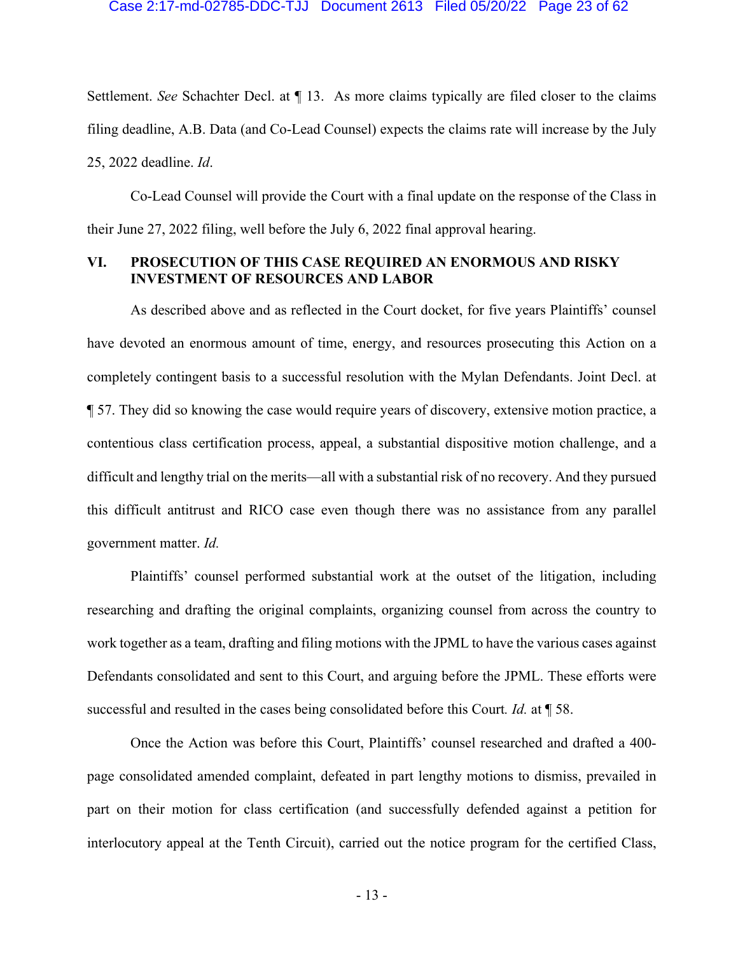Settlement. *See* Schachter Decl. at ¶ 13. As more claims typically are filed closer to the claims filing deadline, A.B. Data (and Co-Lead Counsel) expects the claims rate will increase by the July 25, 2022 deadline. *Id*.

Co-Lead Counsel will provide the Court with a final update on the response of the Class in their June 27, 2022 filing, well before the July 6, 2022 final approval hearing.

## **VI. PROSECUTION OF THIS CASE REQUIRED AN ENORMOUS AND RISKY INVESTMENT OF RESOURCES AND LABOR**

As described above and as reflected in the Court docket, for five years Plaintiffs' counsel have devoted an enormous amount of time, energy, and resources prosecuting this Action on a completely contingent basis to a successful resolution with the Mylan Defendants. Joint Decl. at ¶ 57. They did so knowing the case would require years of discovery, extensive motion practice, a contentious class certification process, appeal, a substantial dispositive motion challenge, and a difficult and lengthy trial on the merits—all with a substantial risk of no recovery. And they pursued this difficult antitrust and RICO case even though there was no assistance from any parallel government matter. *Id.*

Plaintiffs' counsel performed substantial work at the outset of the litigation, including researching and drafting the original complaints, organizing counsel from across the country to work together as a team, drafting and filing motions with the JPML to have the various cases against Defendants consolidated and sent to this Court, and arguing before the JPML. These efforts were successful and resulted in the cases being consolidated before this Court*. Id.* at ¶ 58.

Once the Action was before this Court, Plaintiffs' counsel researched and drafted a 400 page consolidated amended complaint, defeated in part lengthy motions to dismiss, prevailed in part on their motion for class certification (and successfully defended against a petition for interlocutory appeal at the Tenth Circuit), carried out the notice program for the certified Class,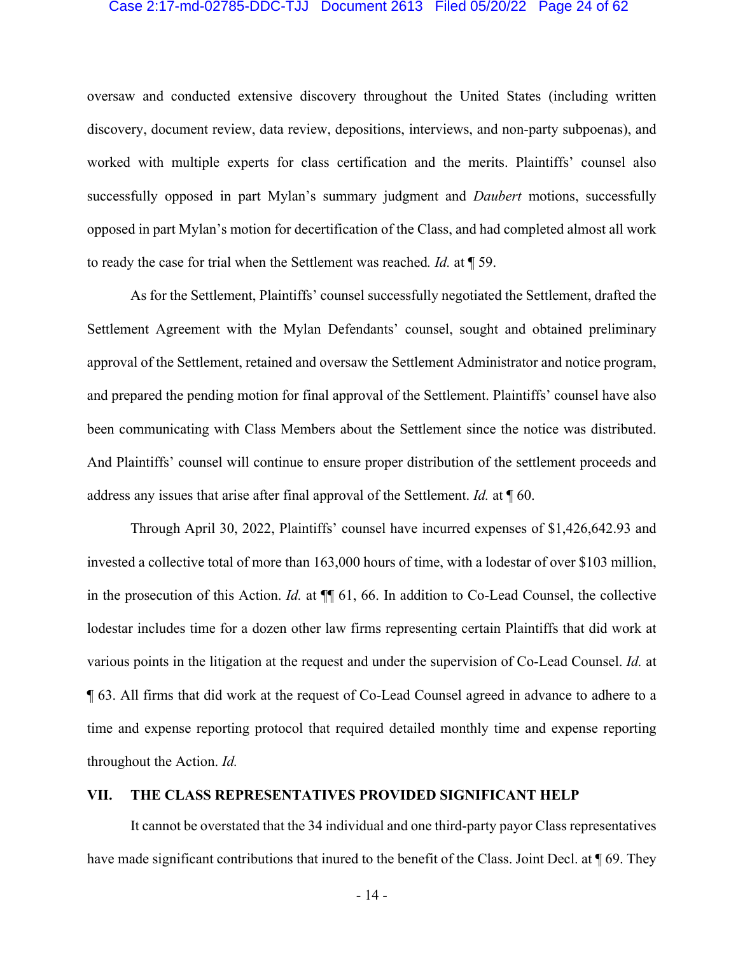#### Case 2:17-md-02785-DDC-TJJ Document 2613 Filed 05/20/22 Page 24 of 62

oversaw and conducted extensive discovery throughout the United States (including written discovery, document review, data review, depositions, interviews, and non-party subpoenas), and worked with multiple experts for class certification and the merits. Plaintiffs' counsel also successfully opposed in part Mylan's summary judgment and *Daubert* motions, successfully opposed in part Mylan's motion for decertification of the Class, and had completed almost all work to ready the case for trial when the Settlement was reached*. Id.* at ¶ 59.

As for the Settlement, Plaintiffs' counsel successfully negotiated the Settlement, drafted the Settlement Agreement with the Mylan Defendants' counsel, sought and obtained preliminary approval of the Settlement, retained and oversaw the Settlement Administrator and notice program, and prepared the pending motion for final approval of the Settlement. Plaintiffs' counsel have also been communicating with Class Members about the Settlement since the notice was distributed. And Plaintiffs' counsel will continue to ensure proper distribution of the settlement proceeds and address any issues that arise after final approval of the Settlement. *Id.* at ¶ 60.

Through April 30, 2022, Plaintiffs' counsel have incurred expenses of \$1,426,642.93 and invested a collective total of more than 163,000 hours of time, with a lodestar of over \$103 million, in the prosecution of this Action. *Id.* at ¶¶ 61, 66. In addition to Co-Lead Counsel, the collective lodestar includes time for a dozen other law firms representing certain Plaintiffs that did work at various points in the litigation at the request and under the supervision of Co-Lead Counsel. *Id.* at ¶ 63. All firms that did work at the request of Co-Lead Counsel agreed in advance to adhere to a time and expense reporting protocol that required detailed monthly time and expense reporting throughout the Action. *Id.*

## **VII. THE CLASS REPRESENTATIVES PROVIDED SIGNIFICANT HELP**

It cannot be overstated that the 34 individual and one third-party payor Class representatives have made significant contributions that inured to the benefit of the Class. Joint Decl. at  $\parallel$  69. They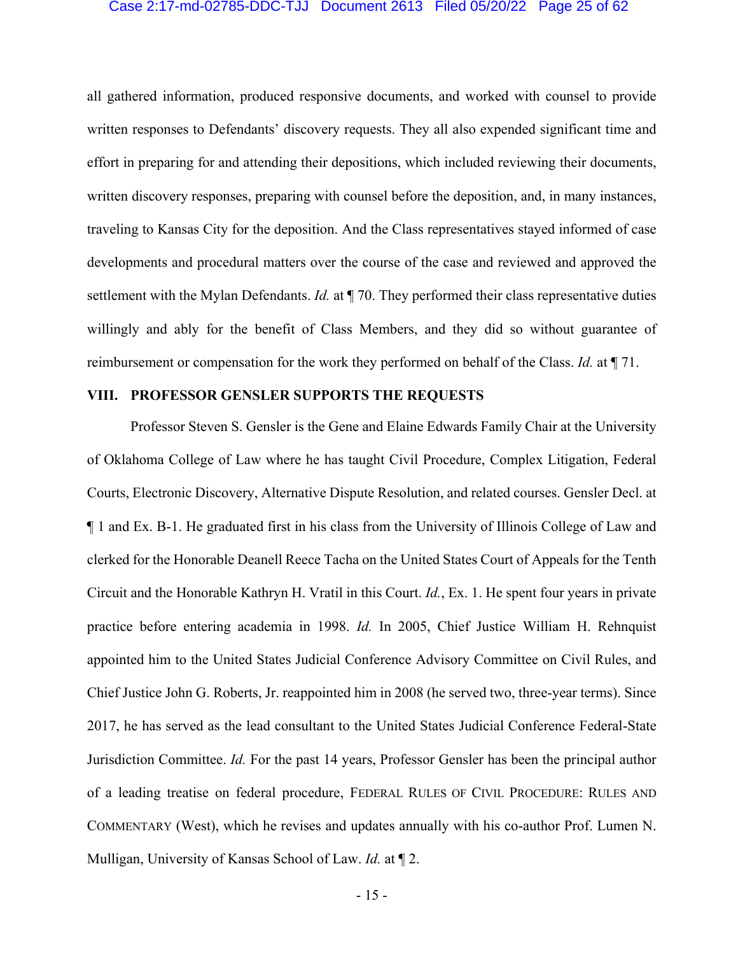#### Case 2:17-md-02785-DDC-TJJ Document 2613 Filed 05/20/22 Page 25 of 62

all gathered information, produced responsive documents, and worked with counsel to provide written responses to Defendants' discovery requests. They all also expended significant time and effort in preparing for and attending their depositions, which included reviewing their documents, written discovery responses, preparing with counsel before the deposition, and, in many instances, traveling to Kansas City for the deposition. And the Class representatives stayed informed of case developments and procedural matters over the course of the case and reviewed and approved the settlement with the Mylan Defendants. *Id.* at ¶ 70. They performed their class representative duties willingly and ably for the benefit of Class Members, and they did so without guarantee of reimbursement or compensation for the work they performed on behalf of the Class. *Id.* at ¶ 71.

#### **VIII. PROFESSOR GENSLER SUPPORTS THE REQUESTS**

Professor Steven S. Gensler is the Gene and Elaine Edwards Family Chair at the University of Oklahoma College of Law where he has taught Civil Procedure, Complex Litigation, Federal Courts, Electronic Discovery, Alternative Dispute Resolution, and related courses. Gensler Decl. at ¶ 1 and Ex. B-1. He graduated first in his class from the University of Illinois College of Law and clerked for the Honorable Deanell Reece Tacha on the United States Court of Appeals for the Tenth Circuit and the Honorable Kathryn H. Vratil in this Court. *Id.*, Ex. 1. He spent four years in private practice before entering academia in 1998. *Id.* In 2005, Chief Justice William H. Rehnquist appointed him to the United States Judicial Conference Advisory Committee on Civil Rules, and Chief Justice John G. Roberts, Jr. reappointed him in 2008 (he served two, three-year terms). Since 2017, he has served as the lead consultant to the United States Judicial Conference Federal-State Jurisdiction Committee. *Id.* For the past 14 years, Professor Gensler has been the principal author of a leading treatise on federal procedure, FEDERAL RULES OF CIVIL PROCEDURE: RULES AND COMMENTARY (West), which he revises and updates annually with his co-author Prof. Lumen N. Mulligan, University of Kansas School of Law. *Id.* at ¶ 2.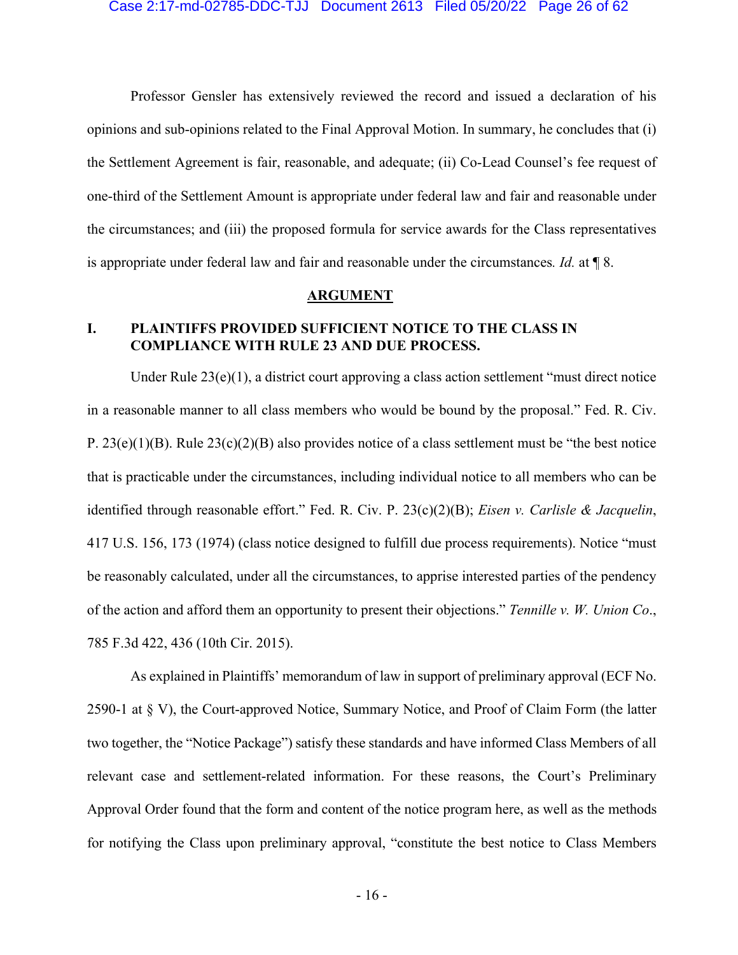Professor Gensler has extensively reviewed the record and issued a declaration of his opinions and sub-opinions related to the Final Approval Motion. In summary, he concludes that (i) the Settlement Agreement is fair, reasonable, and adequate; (ii) Co-Lead Counsel's fee request of one-third of the Settlement Amount is appropriate under federal law and fair and reasonable under the circumstances; and (iii) the proposed formula for service awards for the Class representatives is appropriate under federal law and fair and reasonable under the circumstances*. Id.* at ¶ 8.

#### **ARGUMENT**

## **I. PLAINTIFFS PROVIDED SUFFICIENT NOTICE TO THE CLASS IN COMPLIANCE WITH RULE 23 AND DUE PROCESS.**

Under Rule 23(e)(1), a district court approving a class action settlement "must direct notice in a reasonable manner to all class members who would be bound by the proposal." Fed. R. Civ. P.  $23(e)(1)(B)$ . Rule  $23(c)(2)(B)$  also provides notice of a class settlement must be "the best notice" that is practicable under the circumstances, including individual notice to all members who can be identified through reasonable effort." Fed. R. Civ. P. 23(c)(2)(B); *Eisen v. Carlisle & Jacquelin*, 417 U.S. 156, 173 (1974) (class notice designed to fulfill due process requirements). Notice "must be reasonably calculated, under all the circumstances, to apprise interested parties of the pendency of the action and afford them an opportunity to present their objections." *Tennille v. W. Union Co*., 785 F.3d 422, 436 (10th Cir. 2015).

As explained in Plaintiffs' memorandum of law in support of preliminary approval (ECF No. 2590-1 at § V), the Court-approved Notice, Summary Notice, and Proof of Claim Form (the latter two together, the "Notice Package") satisfy these standards and have informed Class Members of all relevant case and settlement-related information. For these reasons, the Court's Preliminary Approval Order found that the form and content of the notice program here, as well as the methods for notifying the Class upon preliminary approval, "constitute the best notice to Class Members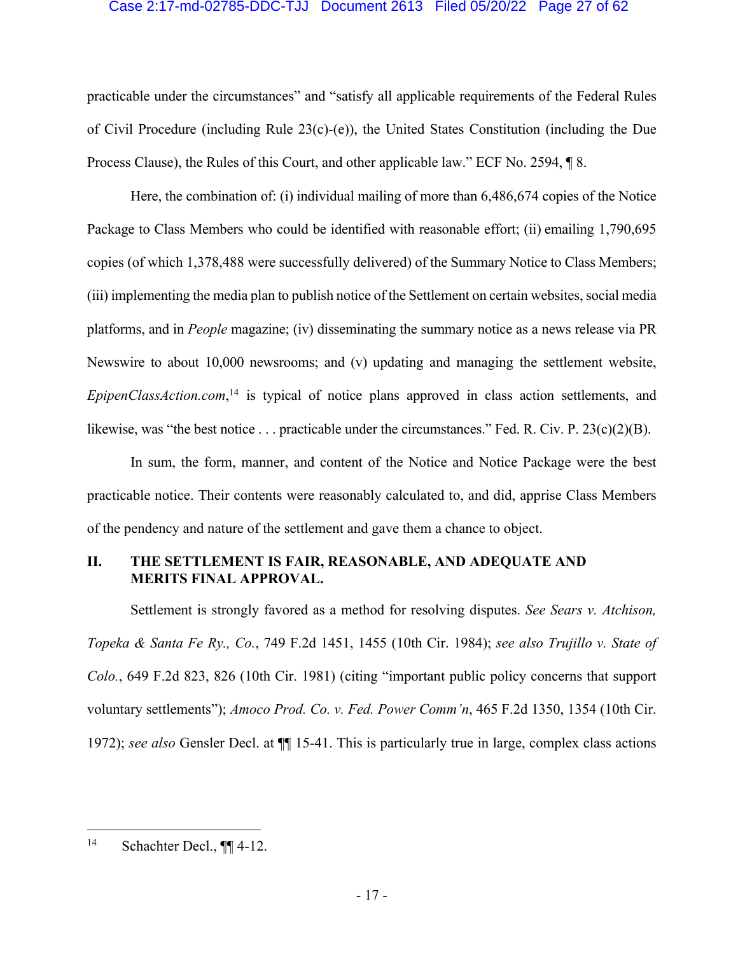#### Case 2:17-md-02785-DDC-TJJ Document 2613 Filed 05/20/22 Page 27 of 62

practicable under the circumstances" and "satisfy all applicable requirements of the Federal Rules of Civil Procedure (including Rule  $23(c)-(e)$ ), the United States Constitution (including the Due Process Clause), the Rules of this Court, and other applicable law." ECF No. 2594, ¶ 8.

Here, the combination of: (i) individual mailing of more than 6,486,674 copies of the Notice Package to Class Members who could be identified with reasonable effort; (ii) emailing 1,790,695 copies (of which 1,378,488 were successfully delivered) of the Summary Notice to Class Members; (iii) implementing the media plan to publish notice of the Settlement on certain websites, social media platforms, and in *People* magazine; (iv) disseminating the summary notice as a news release via PR Newswire to about 10,000 newsrooms; and (v) updating and managing the settlement website, *EpipenClassAction.com*, <sup>14</sup> is typical of notice plans approved in class action settlements, and likewise, was "the best notice . . . practicable under the circumstances." Fed. R. Civ. P. 23(c)(2)(B).

In sum, the form, manner, and content of the Notice and Notice Package were the best practicable notice. Their contents were reasonably calculated to, and did, apprise Class Members of the pendency and nature of the settlement and gave them a chance to object.

## **II. THE SETTLEMENT IS FAIR, REASONABLE, AND ADEQUATE AND MERITS FINAL APPROVAL.**

Settlement is strongly favored as a method for resolving disputes. *See Sears v. Atchison, Topeka & Santa Fe Ry., Co.*, 749 F.2d 1451, 1455 (10th Cir. 1984); *see also Trujillo v. State of Colo.*, 649 F.2d 823, 826 (10th Cir. 1981) (citing "important public policy concerns that support voluntary settlements"); *Amoco Prod. Co. v. Fed. Power Comm'n*, 465 F.2d 1350, 1354 (10th Cir. 1972); *see also* Gensler Decl. at ¶¶ 15-41. This is particularly true in large, complex class actions

<sup>14</sup> Schachter Decl., ¶¶ 4-12.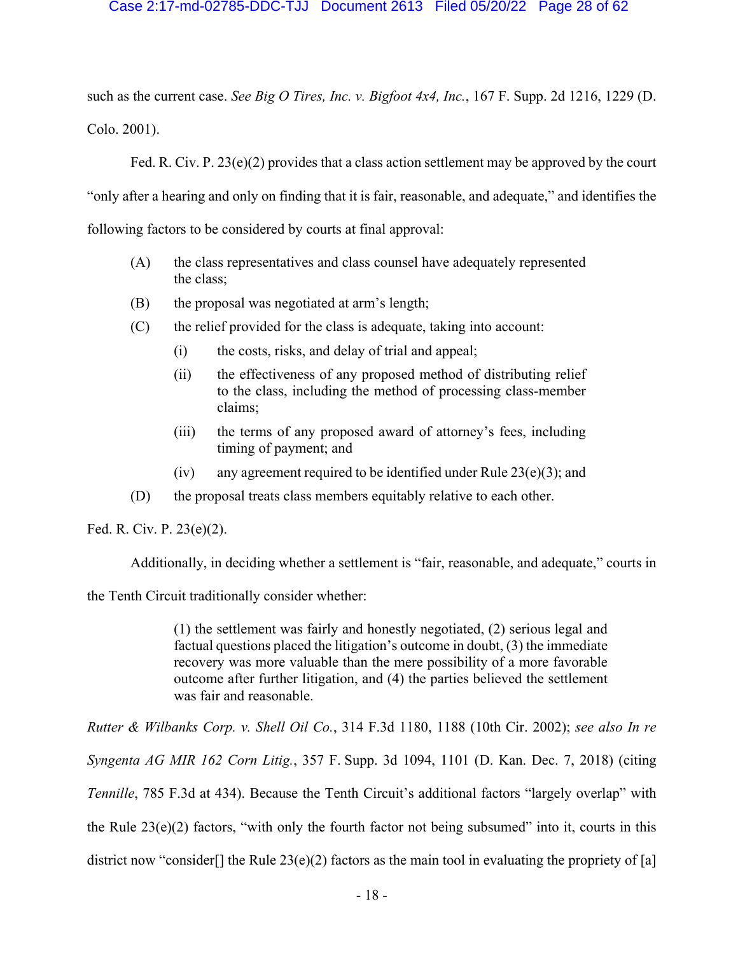### Case 2:17-md-02785-DDC-TJJ Document 2613 Filed 05/20/22 Page 28 of 62

such as the current case. *See Big O Tires, Inc. v. Bigfoot 4x4, Inc.*, 167 F. Supp. 2d 1216, 1229 (D. Colo. 2001).

Fed. R. Civ. P.  $23(e)(2)$  provides that a class action settlement may be approved by the court

"only after a hearing and only on finding that it is fair, reasonable, and adequate," and identifies the

following factors to be considered by courts at final approval:

- (A) the class representatives and class counsel have adequately represented the class;
- (B) the proposal was negotiated at arm's length;
- (C) the relief provided for the class is adequate, taking into account:
	- (i) the costs, risks, and delay of trial and appeal;
	- (ii) the effectiveness of any proposed method of distributing relief to the class, including the method of processing class-member claims;
	- (iii) the terms of any proposed award of attorney's fees, including timing of payment; and
	- (iv) any agreement required to be identified under Rule  $23(e)(3)$ ; and
- (D) the proposal treats class members equitably relative to each other.

Fed. R. Civ. P. 23(e)(2).

Additionally, in deciding whether a settlement is "fair, reasonable, and adequate," courts in

the Tenth Circuit traditionally consider whether:

(1) the settlement was fairly and honestly negotiated, (2) serious legal and factual questions placed the litigation's outcome in doubt, (3) the immediate recovery was more valuable than the mere possibility of a more favorable outcome after further litigation, and (4) the parties believed the settlement was fair and reasonable.

*Rutter & Wilbanks Corp. v. Shell Oil Co.*, 314 F.3d 1180, 1188 (10th Cir. 2002); *see also In re Syngenta AG MIR 162 Corn Litig.*, 357 F. Supp. 3d 1094, 1101 (D. Kan. Dec. 7, 2018) (citing *Tennille*, 785 F.3d at 434). Because the Tenth Circuit's additional factors "largely overlap" with the Rule  $23(e)(2)$  factors, "with only the fourth factor not being subsumed" into it, courts in this district now "consider<sup>[]</sup> the Rule 23(e)(2) factors as the main tool in evaluating the propriety of [a]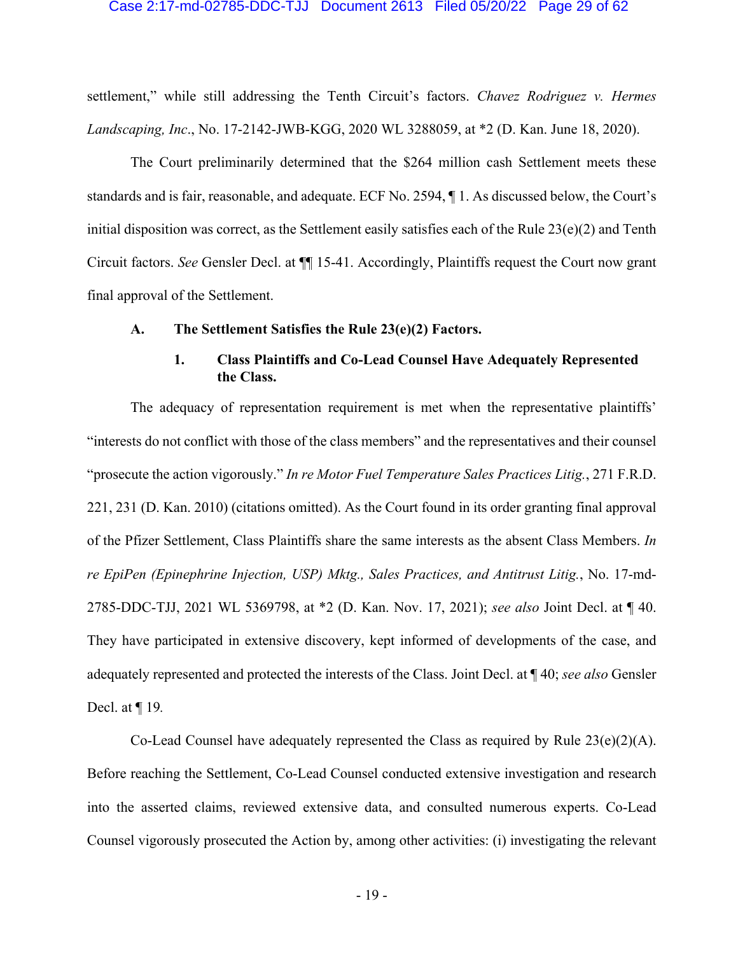#### Case 2:17-md-02785-DDC-TJJ Document 2613 Filed 05/20/22 Page 29 of 62

settlement," while still addressing the Tenth Circuit's factors. *Chavez Rodriguez v. Hermes Landscaping, Inc*., No. 17-2142-JWB-KGG, 2020 WL 3288059, at \*2 (D. Kan. June 18, 2020).

The Court preliminarily determined that the \$264 million cash Settlement meets these standards and is fair, reasonable, and adequate. ECF No. 2594, ¶ 1. As discussed below, the Court's initial disposition was correct, as the Settlement easily satisfies each of the Rule  $23(e)(2)$  and Tenth Circuit factors. *See* Gensler Decl. at ¶¶ 15-41. Accordingly, Plaintiffs request the Court now grant final approval of the Settlement.

#### **A. The Settlement Satisfies the Rule 23(e)(2) Factors.**

## **1. Class Plaintiffs and Co-Lead Counsel Have Adequately Represented the Class.**

The adequacy of representation requirement is met when the representative plaintiffs' "interests do not conflict with those of the class members" and the representatives and their counsel "prosecute the action vigorously." *In re Motor Fuel Temperature Sales Practices Litig.*, 271 F.R.D. 221, 231 (D. Kan. 2010) (citations omitted). As the Court found in its order granting final approval of the Pfizer Settlement, Class Plaintiffs share the same interests as the absent Class Members. *In re EpiPen (Epinephrine Injection, USP) Mktg., Sales Practices, and Antitrust Litig.*, No. 17-md-2785-DDC-TJJ, 2021 WL 5369798, at \*2 (D. Kan. Nov. 17, 2021); *see also* Joint Decl. at ¶ 40. They have participated in extensive discovery, kept informed of developments of the case, and adequately represented and protected the interests of the Class. Joint Decl. at ¶ 40; *see also* Gensler Decl. at ¶ 19*.*

Co-Lead Counsel have adequately represented the Class as required by Rule 23(e)(2)(A). Before reaching the Settlement, Co-Lead Counsel conducted extensive investigation and research into the asserted claims, reviewed extensive data, and consulted numerous experts. Co-Lead Counsel vigorously prosecuted the Action by, among other activities: (i) investigating the relevant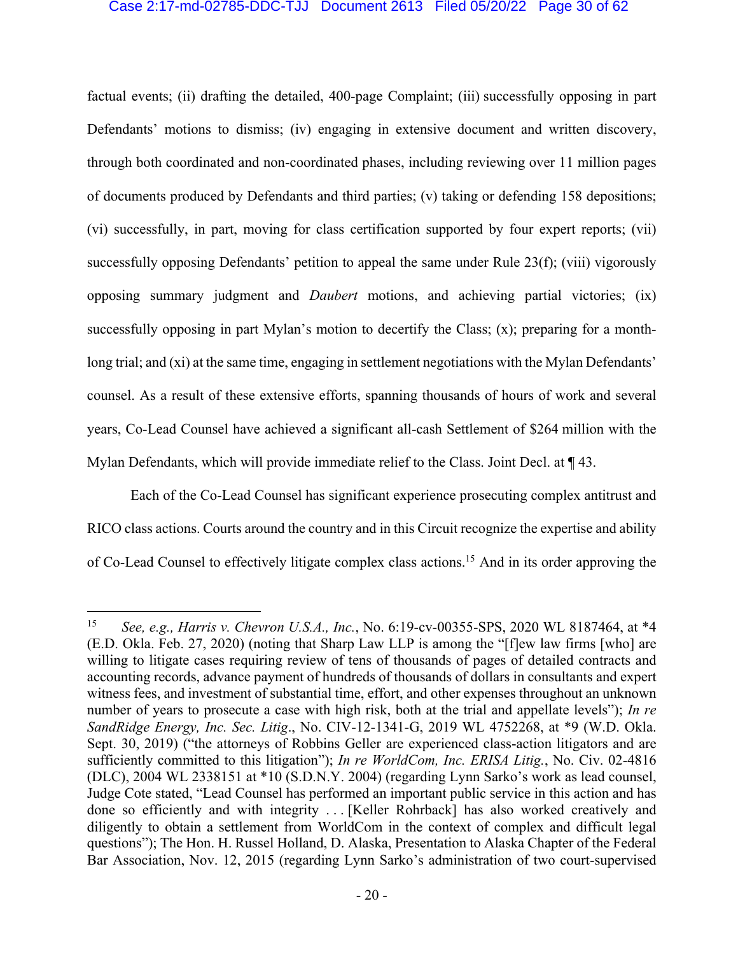#### Case 2:17-md-02785-DDC-TJJ Document 2613 Filed 05/20/22 Page 30 of 62

factual events; (ii) drafting the detailed, 400-page Complaint; (iii) successfully opposing in part Defendants' motions to dismiss; (iv) engaging in extensive document and written discovery, through both coordinated and non-coordinated phases, including reviewing over 11 million pages of documents produced by Defendants and third parties; (v) taking or defending 158 depositions; (vi) successfully, in part, moving for class certification supported by four expert reports; (vii) successfully opposing Defendants' petition to appeal the same under Rule 23(f); (viii) vigorously opposing summary judgment and *Daubert* motions, and achieving partial victories; (ix) successfully opposing in part Mylan's motion to decertify the Class; (x); preparing for a monthlong trial; and (xi) at the same time, engaging in settlement negotiations with the Mylan Defendants' counsel. As a result of these extensive efforts, spanning thousands of hours of work and several years, Co-Lead Counsel have achieved a significant all-cash Settlement of \$264 million with the Mylan Defendants, which will provide immediate relief to the Class. Joint Decl. at ¶ 43.

Each of the Co-Lead Counsel has significant experience prosecuting complex antitrust and RICO class actions. Courts around the country and in this Circuit recognize the expertise and ability of Co-Lead Counsel to effectively litigate complex class actions.15 And in its order approving the

<sup>15</sup> *See, e.g., Harris v. Chevron U.S.A., Inc.*, No. 6:19-cv-00355-SPS, 2020 WL 8187464, at \*4 (E.D. Okla. Feb. 27, 2020) (noting that Sharp Law LLP is among the "[f]ew law firms [who] are willing to litigate cases requiring review of tens of thousands of pages of detailed contracts and accounting records, advance payment of hundreds of thousands of dollars in consultants and expert witness fees, and investment of substantial time, effort, and other expenses throughout an unknown number of years to prosecute a case with high risk, both at the trial and appellate levels"); *In re SandRidge Energy, Inc. Sec. Litig*., No. CIV-12-1341-G, 2019 WL 4752268, at \*9 (W.D. Okla. Sept. 30, 2019) ("the attorneys of Robbins Geller are experienced class-action litigators and are sufficiently committed to this litigation"); *In re WorldCom, Inc. ERISA Litig.*, No. Civ. 02-4816 (DLC), 2004 WL 2338151 at \*10 (S.D.N.Y. 2004) (regarding Lynn Sarko's work as lead counsel, Judge Cote stated, "Lead Counsel has performed an important public service in this action and has done so efficiently and with integrity . . . [Keller Rohrback] has also worked creatively and diligently to obtain a settlement from WorldCom in the context of complex and difficult legal questions"); The Hon. H. Russel Holland, D. Alaska, Presentation to Alaska Chapter of the Federal Bar Association, Nov. 12, 2015 (regarding Lynn Sarko's administration of two court-supervised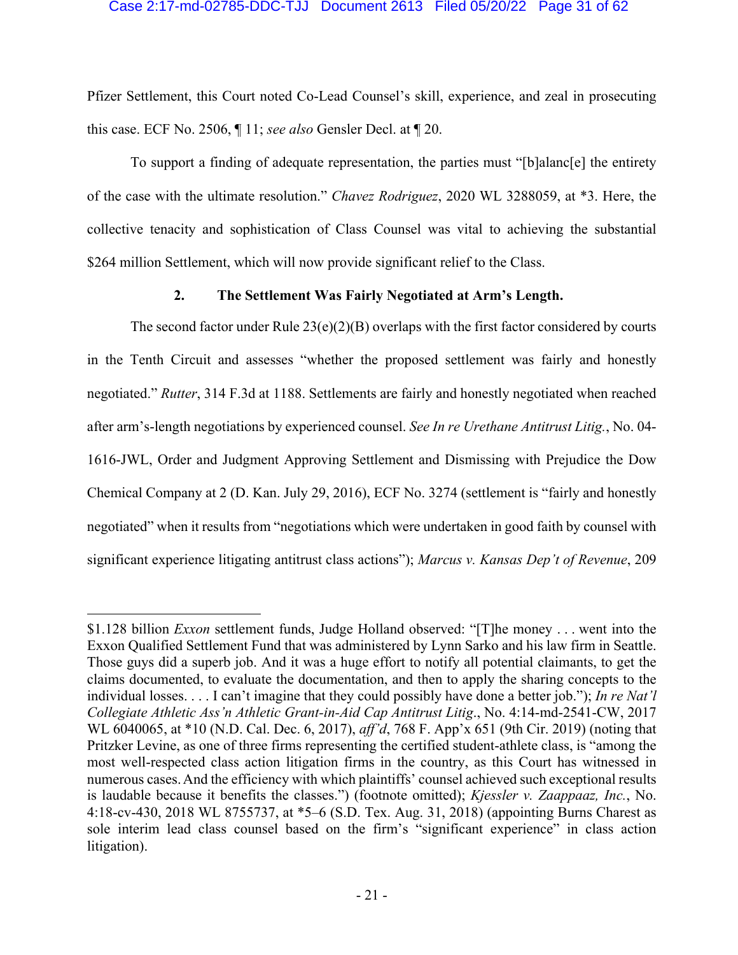#### Case 2:17-md-02785-DDC-TJJ Document 2613 Filed 05/20/22 Page 31 of 62

Pfizer Settlement, this Court noted Co-Lead Counsel's skill, experience, and zeal in prosecuting this case. ECF No. 2506, ¶ 11; *see also* Gensler Decl. at ¶ 20.

To support a finding of adequate representation, the parties must "[b]alanc[e] the entirety of the case with the ultimate resolution." *Chavez Rodriguez*, 2020 WL 3288059, at \*3. Here, the collective tenacity and sophistication of Class Counsel was vital to achieving the substantial \$264 million Settlement, which will now provide significant relief to the Class.

## **2. The Settlement Was Fairly Negotiated at Arm's Length.**

The second factor under Rule  $23(e)(2)(B)$  overlaps with the first factor considered by courts in the Tenth Circuit and assesses "whether the proposed settlement was fairly and honestly negotiated." *Rutter*, 314 F.3d at 1188. Settlements are fairly and honestly negotiated when reached after arm's-length negotiations by experienced counsel. *See In re Urethane Antitrust Litig.*, No. 04- 1616-JWL, Order and Judgment Approving Settlement and Dismissing with Prejudice the Dow Chemical Company at 2 (D. Kan. July 29, 2016), ECF No. 3274 (settlement is "fairly and honestly negotiated" when it results from "negotiations which were undertaken in good faith by counsel with significant experience litigating antitrust class actions"); *Marcus v. Kansas Dep't of Revenue*, 209

<sup>\$1.128</sup> billion *Exxon* settlement funds, Judge Holland observed: "[T]he money . . . went into the Exxon Qualified Settlement Fund that was administered by Lynn Sarko and his law firm in Seattle. Those guys did a superb job. And it was a huge effort to notify all potential claimants, to get the claims documented, to evaluate the documentation, and then to apply the sharing concepts to the individual losses. . . . I can't imagine that they could possibly have done a better job."); *In re Nat'l Collegiate Athletic Ass'n Athletic Grant-in-Aid Cap Antitrust Litig*., No. 4:14-md-2541-CW, 2017 WL 6040065, at \*10 (N.D. Cal. Dec. 6, 2017), *aff'd*, 768 F. App'x 651 (9th Cir. 2019) (noting that Pritzker Levine, as one of three firms representing the certified student-athlete class, is "among the most well-respected class action litigation firms in the country, as this Court has witnessed in numerous cases.And the efficiency with which plaintiffs' counsel achieved such exceptional results is laudable because it benefits the classes.") (footnote omitted); *Kjessler v. Zaappaaz, Inc.*, No. 4:18-cv-430, 2018 WL 8755737, at \*5–6 (S.D. Tex. Aug. 31, 2018) (appointing Burns Charest as sole interim lead class counsel based on the firm's "significant experience" in class action litigation).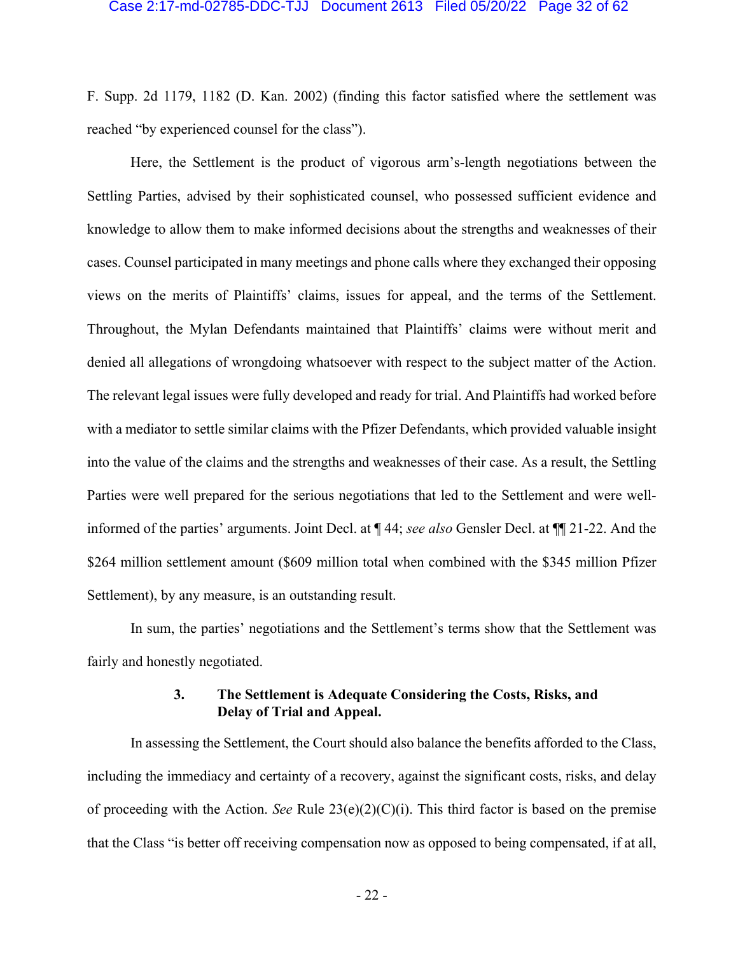#### Case 2:17-md-02785-DDC-TJJ Document 2613 Filed 05/20/22 Page 32 of 62

F. Supp. 2d 1179, 1182 (D. Kan. 2002) (finding this factor satisfied where the settlement was reached "by experienced counsel for the class").

Here, the Settlement is the product of vigorous arm's-length negotiations between the Settling Parties, advised by their sophisticated counsel, who possessed sufficient evidence and knowledge to allow them to make informed decisions about the strengths and weaknesses of their cases. Counsel participated in many meetings and phone calls where they exchanged their opposing views on the merits of Plaintiffs' claims, issues for appeal, and the terms of the Settlement. Throughout, the Mylan Defendants maintained that Plaintiffs' claims were without merit and denied all allegations of wrongdoing whatsoever with respect to the subject matter of the Action. The relevant legal issues were fully developed and ready for trial. And Plaintiffs had worked before with a mediator to settle similar claims with the Pfizer Defendants, which provided valuable insight into the value of the claims and the strengths and weaknesses of their case. As a result, the Settling Parties were well prepared for the serious negotiations that led to the Settlement and were wellinformed of the parties' arguments. Joint Decl. at ¶ 44; *see also* Gensler Decl. at ¶¶ 21-22. And the \$264 million settlement amount (\$609 million total when combined with the \$345 million Pfizer Settlement), by any measure, is an outstanding result.

In sum, the parties' negotiations and the Settlement's terms show that the Settlement was fairly and honestly negotiated.

## **3. The Settlement is Adequate Considering the Costs, Risks, and Delay of Trial and Appeal.**

In assessing the Settlement, the Court should also balance the benefits afforded to the Class, including the immediacy and certainty of a recovery, against the significant costs, risks, and delay of proceeding with the Action. *See* Rule 23(e)(2)(C)(i). This third factor is based on the premise that the Class "is better off receiving compensation now as opposed to being compensated, if at all,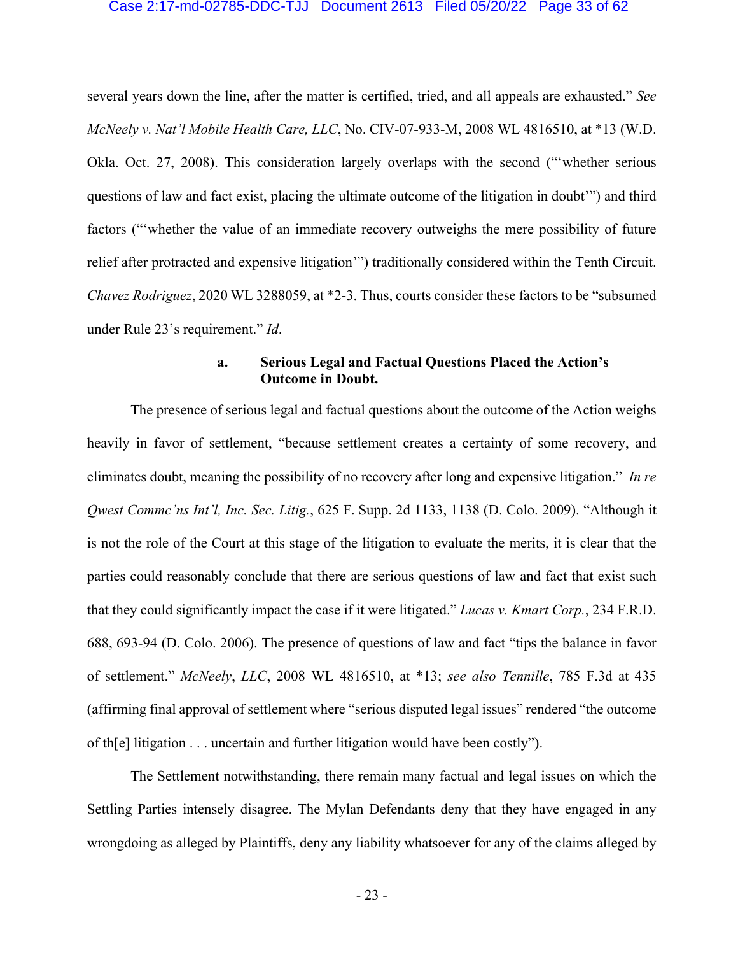#### Case 2:17-md-02785-DDC-TJJ Document 2613 Filed 05/20/22 Page 33 of 62

several years down the line, after the matter is certified, tried, and all appeals are exhausted." *See McNeely v. Nat'l Mobile Health Care, LLC*, No. CIV-07-933-M, 2008 WL 4816510, at \*13 (W.D. Okla. Oct. 27, 2008). This consideration largely overlaps with the second ("'whether serious questions of law and fact exist, placing the ultimate outcome of the litigation in doubt'") and third factors ("'whether the value of an immediate recovery outweighs the mere possibility of future relief after protracted and expensive litigation'") traditionally considered within the Tenth Circuit. *Chavez Rodriguez*, 2020 WL 3288059, at \*2-3. Thus, courts consider these factors to be "subsumed under Rule 23's requirement." *Id*.

## **a. Serious Legal and Factual Questions Placed the Action's Outcome in Doubt.**

The presence of serious legal and factual questions about the outcome of the Action weighs heavily in favor of settlement, "because settlement creates a certainty of some recovery, and eliminates doubt, meaning the possibility of no recovery after long and expensive litigation." *In re Qwest Commc'ns Int'l, Inc. Sec. Litig.*, 625 F. Supp. 2d 1133, 1138 (D. Colo. 2009). "Although it is not the role of the Court at this stage of the litigation to evaluate the merits, it is clear that the parties could reasonably conclude that there are serious questions of law and fact that exist such that they could significantly impact the case if it were litigated." *Lucas v. Kmart Corp.*, 234 F.R.D. 688, 693-94 (D. Colo. 2006). The presence of questions of law and fact "tips the balance in favor of settlement." *McNeely*, *LLC*, 2008 WL 4816510, at \*13; *see also Tennille*, 785 F.3d at 435 (affirming final approval of settlement where "serious disputed legal issues" rendered "the outcome of th[e] litigation . . . uncertain and further litigation would have been costly").

The Settlement notwithstanding, there remain many factual and legal issues on which the Settling Parties intensely disagree. The Mylan Defendants deny that they have engaged in any wrongdoing as alleged by Plaintiffs, deny any liability whatsoever for any of the claims alleged by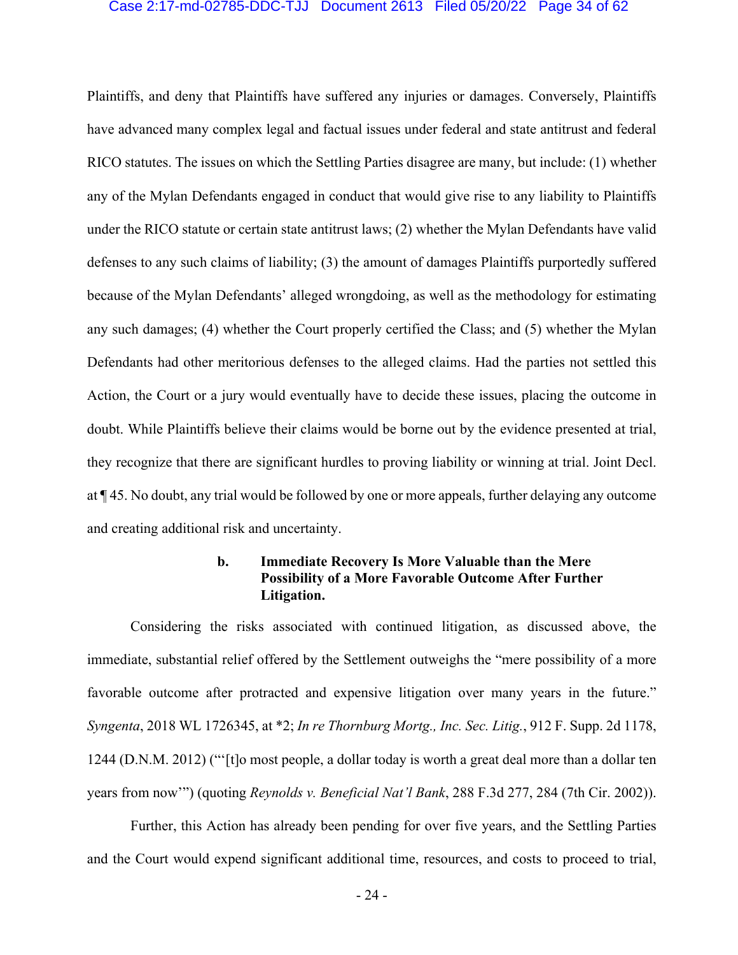#### Case 2:17-md-02785-DDC-TJJ Document 2613 Filed 05/20/22 Page 34 of 62

Plaintiffs, and deny that Plaintiffs have suffered any injuries or damages. Conversely, Plaintiffs have advanced many complex legal and factual issues under federal and state antitrust and federal RICO statutes. The issues on which the Settling Parties disagree are many, but include: (1) whether any of the Mylan Defendants engaged in conduct that would give rise to any liability to Plaintiffs under the RICO statute or certain state antitrust laws; (2) whether the Mylan Defendants have valid defenses to any such claims of liability; (3) the amount of damages Plaintiffs purportedly suffered because of the Mylan Defendants' alleged wrongdoing, as well as the methodology for estimating any such damages; (4) whether the Court properly certified the Class; and (5) whether the Mylan Defendants had other meritorious defenses to the alleged claims. Had the parties not settled this Action, the Court or a jury would eventually have to decide these issues, placing the outcome in doubt. While Plaintiffs believe their claims would be borne out by the evidence presented at trial, they recognize that there are significant hurdles to proving liability or winning at trial. Joint Decl. at ¶ 45. No doubt, any trial would be followed by one or more appeals, further delaying any outcome and creating additional risk and uncertainty.

## **b. Immediate Recovery Is More Valuable than the Mere Possibility of a More Favorable Outcome After Further Litigation.**

Considering the risks associated with continued litigation, as discussed above, the immediate, substantial relief offered by the Settlement outweighs the "mere possibility of a more favorable outcome after protracted and expensive litigation over many years in the future." *Syngenta*, 2018 WL 1726345, at \*2; *In re Thornburg Mortg., Inc. Sec. Litig.*, 912 F. Supp. 2d 1178, 1244 (D.N.M. 2012) ("'[t]o most people, a dollar today is worth a great deal more than a dollar ten years from now'") (quoting *Reynolds v. Beneficial Nat'l Bank*, 288 F.3d 277, 284 (7th Cir. 2002)).

Further, this Action has already been pending for over five years, and the Settling Parties and the Court would expend significant additional time, resources, and costs to proceed to trial,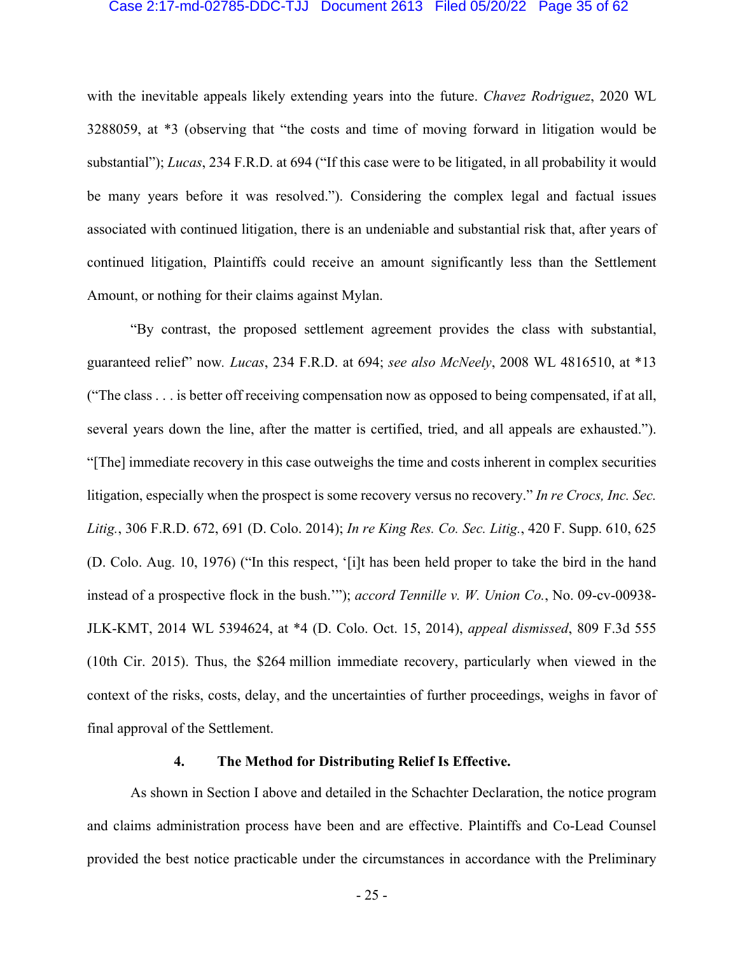#### Case 2:17-md-02785-DDC-TJJ Document 2613 Filed 05/20/22 Page 35 of 62

with the inevitable appeals likely extending years into the future. *Chavez Rodriguez*, 2020 WL 3288059, at \*3 (observing that "the costs and time of moving forward in litigation would be substantial"); *Lucas*, 234 F.R.D. at 694 ("If this case were to be litigated, in all probability it would be many years before it was resolved."). Considering the complex legal and factual issues associated with continued litigation, there is an undeniable and substantial risk that, after years of continued litigation, Plaintiffs could receive an amount significantly less than the Settlement Amount, or nothing for their claims against Mylan.

"By contrast, the proposed settlement agreement provides the class with substantial, guaranteed relief" now*. Lucas*, 234 F.R.D. at 694; *see also McNeely*, 2008 WL 4816510, at \*13 ("The class . . . is better off receiving compensation now as opposed to being compensated, if at all, several years down the line, after the matter is certified, tried, and all appeals are exhausted."). "[The] immediate recovery in this case outweighs the time and costs inherent in complex securities litigation, especially when the prospect is some recovery versus no recovery." *In re Crocs, Inc. Sec. Litig.*, 306 F.R.D. 672, 691 (D. Colo. 2014); *In re King Res. Co. Sec. Litig.*, 420 F. Supp. 610, 625 (D. Colo. Aug. 10, 1976) ("In this respect, '[i]t has been held proper to take the bird in the hand instead of a prospective flock in the bush.'"); *accord Tennille v. W. Union Co.*, No. 09-cv-00938- JLK-KMT, 2014 WL 5394624, at \*4 (D. Colo. Oct. 15, 2014), *appeal dismissed*, 809 F.3d 555 (10th Cir. 2015). Thus, the \$264 million immediate recovery, particularly when viewed in the context of the risks, costs, delay, and the uncertainties of further proceedings, weighs in favor of final approval of the Settlement.

#### **4. The Method for Distributing Relief Is Effective.**

As shown in Section I above and detailed in the Schachter Declaration, the notice program and claims administration process have been and are effective. Plaintiffs and Co-Lead Counsel provided the best notice practicable under the circumstances in accordance with the Preliminary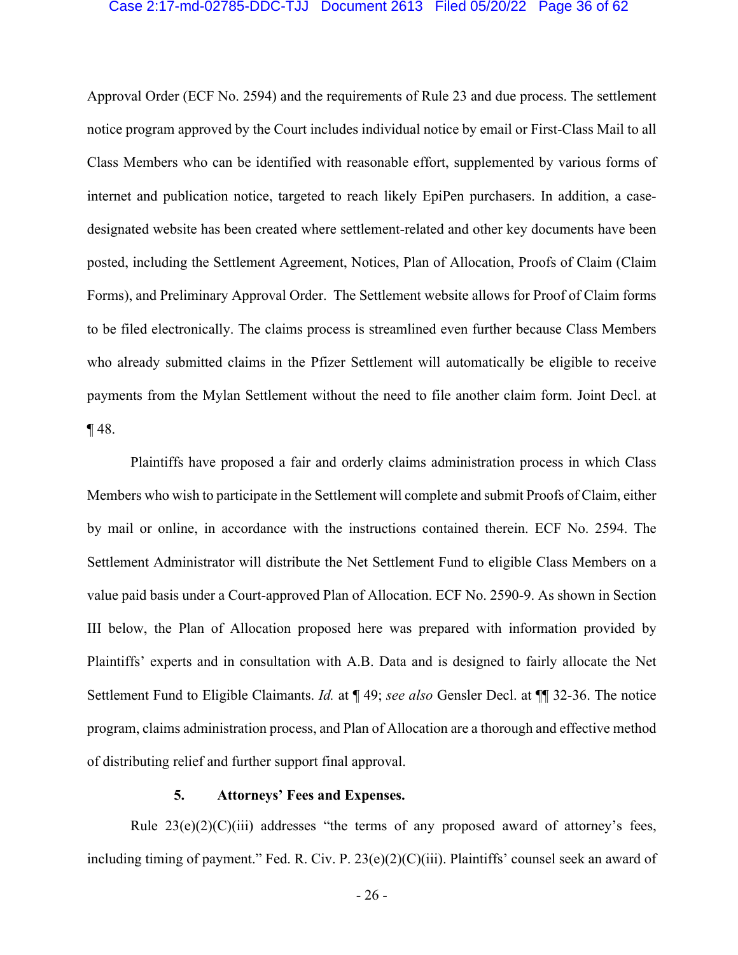#### Case 2:17-md-02785-DDC-TJJ Document 2613 Filed 05/20/22 Page 36 of 62

Approval Order (ECF No. 2594) and the requirements of Rule 23 and due process. The settlement notice program approved by the Court includes individual notice by email or First-Class Mail to all Class Members who can be identified with reasonable effort, supplemented by various forms of internet and publication notice, targeted to reach likely EpiPen purchasers. In addition, a casedesignated website has been created where settlement-related and other key documents have been posted, including the Settlement Agreement, Notices, Plan of Allocation, Proofs of Claim (Claim Forms), and Preliminary Approval Order. The Settlement website allows for Proof of Claim forms to be filed electronically. The claims process is streamlined even further because Class Members who already submitted claims in the Pfizer Settlement will automatically be eligible to receive payments from the Mylan Settlement without the need to file another claim form. Joint Decl. at ¶ 48.

Plaintiffs have proposed a fair and orderly claims administration process in which Class Members who wish to participate in the Settlement will complete and submit Proofs of Claim, either by mail or online, in accordance with the instructions contained therein. ECF No. 2594. The Settlement Administrator will distribute the Net Settlement Fund to eligible Class Members on a value paid basis under a Court-approved Plan of Allocation. ECF No. 2590-9. As shown in Section III below, the Plan of Allocation proposed here was prepared with information provided by Plaintiffs' experts and in consultation with A.B. Data and is designed to fairly allocate the Net Settlement Fund to Eligible Claimants. *Id.* at ¶ 49; *see also* Gensler Decl. at ¶¶ 32-36. The notice program, claims administration process, and Plan of Allocation are a thorough and effective method of distributing relief and further support final approval.

#### **5. Attorneys' Fees and Expenses.**

Rule  $23(e)(2)(C)(iii)$  addresses "the terms of any proposed award of attorney's fees, including timing of payment." Fed. R. Civ. P. 23(e)(2)(C)(iii). Plaintiffs' counsel seek an award of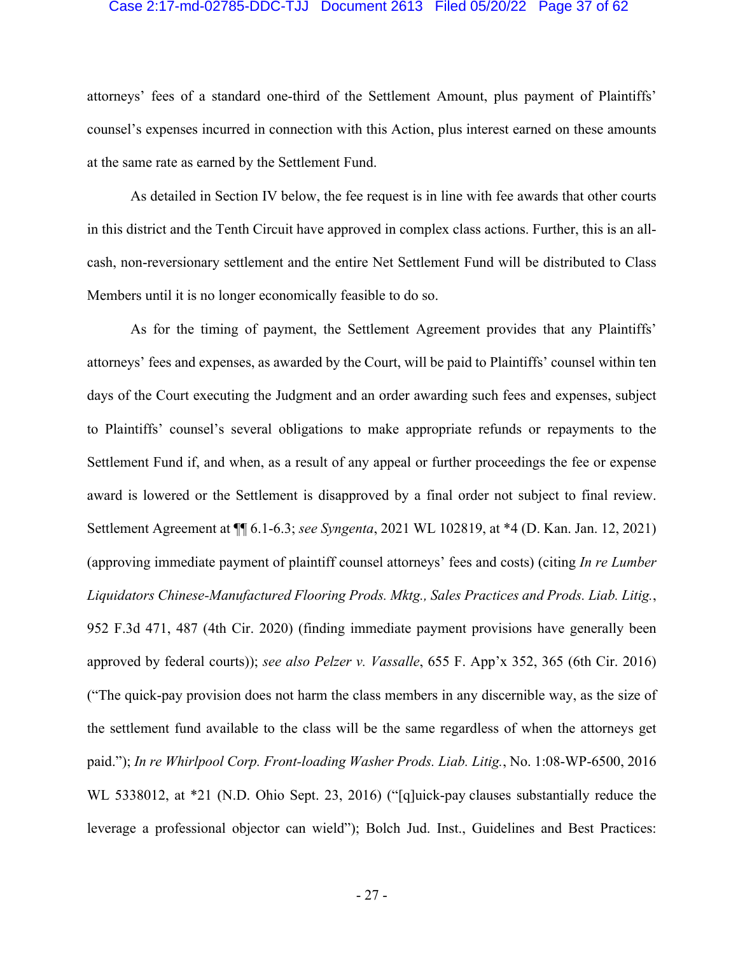#### Case 2:17-md-02785-DDC-TJJ Document 2613 Filed 05/20/22 Page 37 of 62

attorneys' fees of a standard one-third of the Settlement Amount, plus payment of Plaintiffs' counsel's expenses incurred in connection with this Action, plus interest earned on these amounts at the same rate as earned by the Settlement Fund.

As detailed in Section IV below, the fee request is in line with fee awards that other courts in this district and the Tenth Circuit have approved in complex class actions. Further, this is an allcash, non-reversionary settlement and the entire Net Settlement Fund will be distributed to Class Members until it is no longer economically feasible to do so.

As for the timing of payment, the Settlement Agreement provides that any Plaintiffs' attorneys' fees and expenses, as awarded by the Court, will be paid to Plaintiffs' counsel within ten days of the Court executing the Judgment and an order awarding such fees and expenses, subject to Plaintiffs' counsel's several obligations to make appropriate refunds or repayments to the Settlement Fund if, and when, as a result of any appeal or further proceedings the fee or expense award is lowered or the Settlement is disapproved by a final order not subject to final review. Settlement Agreement at ¶¶ 6.1-6.3; *see Syngenta*, 2021 WL 102819, at \*4 (D. Kan. Jan. 12, 2021) (approving immediate payment of plaintiff counsel attorneys' fees and costs) (citing *In re Lumber Liquidators Chinese-Manufactured Flooring Prods. Mktg., Sales Practices and Prods. Liab. Litig.*, 952 F.3d 471, 487 (4th Cir. 2020) (finding immediate payment provisions have generally been approved by federal courts)); *see also Pelzer v. Vassalle*, 655 F. App'x 352, 365 (6th Cir. 2016) ("The quick-pay provision does not harm the class members in any discernible way, as the size of the settlement fund available to the class will be the same regardless of when the attorneys get paid."); *In re Whirlpool Corp. Front-loading Washer Prods. Liab. Litig.*, No. 1:08-WP-6500, 2016 WL 5338012, at \*21 (N.D. Ohio Sept. 23, 2016) ("[q]uick-pay clauses substantially reduce the leverage a professional objector can wield"); Bolch Jud. Inst., Guidelines and Best Practices: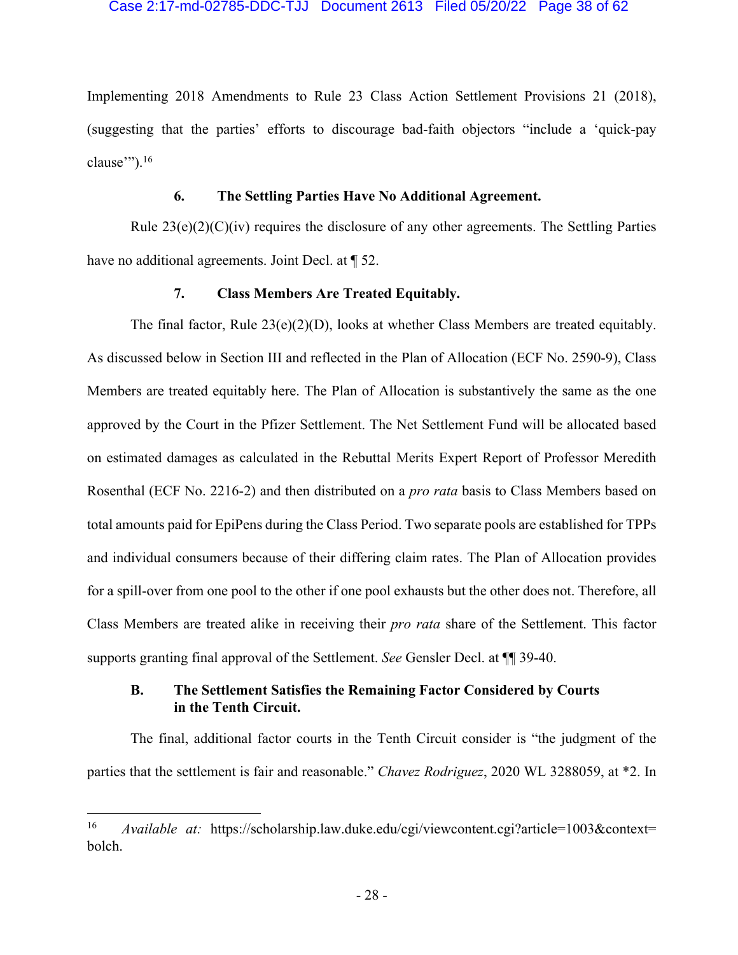Implementing 2018 Amendments to Rule 23 Class Action Settlement Provisions 21 (2018), (suggesting that the parties' efforts to discourage bad-faith objectors "include a 'quick-pay clause""). $16$ 

### **6. The Settling Parties Have No Additional Agreement.**

Rule  $23(e)(2)(C)(iv)$  requires the disclosure of any other agreements. The Settling Parties have no additional agreements. Joint Decl. at  $\P$  52.

## **7. Class Members Are Treated Equitably.**

The final factor, Rule 23(e)(2)(D), looks at whether Class Members are treated equitably. As discussed below in Section III and reflected in the Plan of Allocation (ECF No. 2590-9), Class Members are treated equitably here. The Plan of Allocation is substantively the same as the one approved by the Court in the Pfizer Settlement. The Net Settlement Fund will be allocated based on estimated damages as calculated in the Rebuttal Merits Expert Report of Professor Meredith Rosenthal (ECF No. 2216-2) and then distributed on a *pro rata* basis to Class Members based on total amounts paid for EpiPens during the Class Period. Two separate pools are established for TPPs and individual consumers because of their differing claim rates. The Plan of Allocation provides for a spill-over from one pool to the other if one pool exhausts but the other does not. Therefore, all Class Members are treated alike in receiving their *pro rata* share of the Settlement. This factor supports granting final approval of the Settlement. *See* Gensler Decl. at ¶¶ 39-40.

## **B. The Settlement Satisfies the Remaining Factor Considered by Courts in the Tenth Circuit.**

The final, additional factor courts in the Tenth Circuit consider is "the judgment of the parties that the settlement is fair and reasonable." *Chavez Rodriguez*, 2020 WL 3288059, at \*2. In

<sup>&</sup>lt;sup>16</sup> *Available at:* https://scholarship.law.duke.edu/cgi/viewcontent.cgi?article=1003&context= bolch.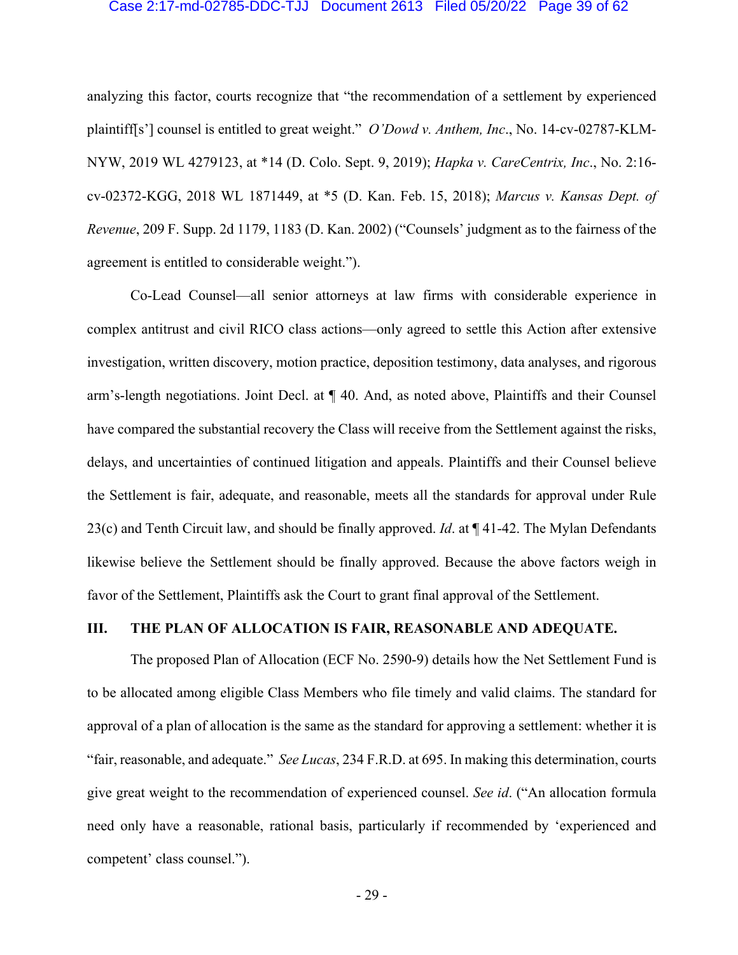#### Case 2:17-md-02785-DDC-TJJ Document 2613 Filed 05/20/22 Page 39 of 62

analyzing this factor, courts recognize that "the recommendation of a settlement by experienced plaintiff[s'] counsel is entitled to great weight." *O'Dowd v. Anthem, Inc*., No. 14-cv-02787-KLM-NYW, 2019 WL 4279123, at \*14 (D. Colo. Sept. 9, 2019); *Hapka v. CareCentrix, Inc*., No. 2:16 cv-02372-KGG, 2018 WL 1871449, at \*5 (D. Kan. Feb. 15, 2018); *Marcus v. Kansas Dept. of Revenue*, 209 F. Supp. 2d 1179, 1183 (D. Kan. 2002) ("Counsels' judgment as to the fairness of the agreement is entitled to considerable weight.").

Co-Lead Counsel—all senior attorneys at law firms with considerable experience in complex antitrust and civil RICO class actions—only agreed to settle this Action after extensive investigation, written discovery, motion practice, deposition testimony, data analyses, and rigorous arm's-length negotiations. Joint Decl. at ¶ 40. And, as noted above, Plaintiffs and their Counsel have compared the substantial recovery the Class will receive from the Settlement against the risks, delays, and uncertainties of continued litigation and appeals. Plaintiffs and their Counsel believe the Settlement is fair, adequate, and reasonable, meets all the standards for approval under Rule 23(c) and Tenth Circuit law, and should be finally approved. *Id*. at ¶ 41-42. The Mylan Defendants likewise believe the Settlement should be finally approved. Because the above factors weigh in favor of the Settlement, Plaintiffs ask the Court to grant final approval of the Settlement.

## **III. THE PLAN OF ALLOCATION IS FAIR, REASONABLE AND ADEQUATE.**

The proposed Plan of Allocation (ECF No. 2590-9) details how the Net Settlement Fund is to be allocated among eligible Class Members who file timely and valid claims. The standard for approval of a plan of allocation is the same as the standard for approving a settlement: whether it is "fair, reasonable, and adequate." *See Lucas*, 234 F.R.D. at 695. In making this determination, courts give great weight to the recommendation of experienced counsel. *See id*. ("An allocation formula need only have a reasonable, rational basis, particularly if recommended by 'experienced and competent' class counsel.").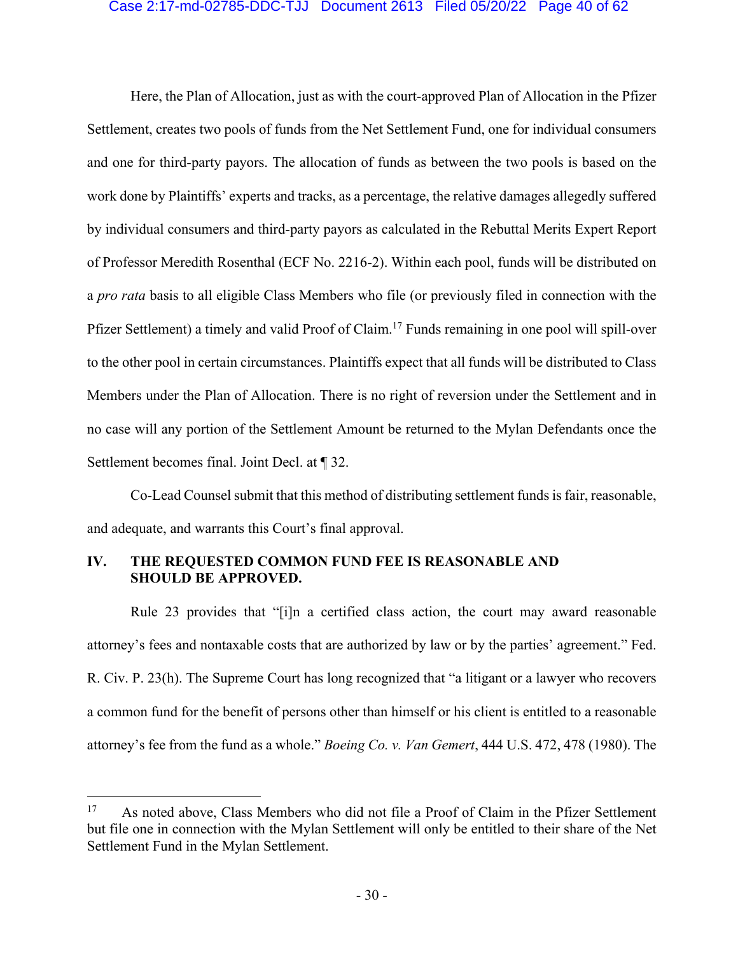#### Case 2:17-md-02785-DDC-TJJ Document 2613 Filed 05/20/22 Page 40 of 62

Here, the Plan of Allocation, just as with the court-approved Plan of Allocation in the Pfizer Settlement, creates two pools of funds from the Net Settlement Fund, one for individual consumers and one for third-party payors. The allocation of funds as between the two pools is based on the work done by Plaintiffs' experts and tracks, as a percentage, the relative damages allegedly suffered by individual consumers and third-party payors as calculated in the Rebuttal Merits Expert Report of Professor Meredith Rosenthal (ECF No. 2216-2). Within each pool, funds will be distributed on a *pro rata* basis to all eligible Class Members who file (or previously filed in connection with the Pfizer Settlement) a timely and valid Proof of Claim.17 Funds remaining in one pool will spill-over to the other pool in certain circumstances. Plaintiffs expect that all funds will be distributed to Class Members under the Plan of Allocation. There is no right of reversion under the Settlement and in no case will any portion of the Settlement Amount be returned to the Mylan Defendants once the Settlement becomes final. Joint Decl. at ¶ 32.

Co-Lead Counsel submit that this method of distributing settlement funds is fair, reasonable, and adequate, and warrants this Court's final approval.

## **IV. THE REQUESTED COMMON FUND FEE IS REASONABLE AND SHOULD BE APPROVED.**

Rule 23 provides that "[i]n a certified class action, the court may award reasonable attorney's fees and nontaxable costs that are authorized by law or by the parties' agreement." Fed. R. Civ. P. 23(h). The Supreme Court has long recognized that "a litigant or a lawyer who recovers a common fund for the benefit of persons other than himself or his client is entitled to a reasonable attorney's fee from the fund as a whole." *Boeing Co. v. Van Gemert*, 444 U.S. 472, 478 (1980). The

<sup>&</sup>lt;sup>17</sup> As noted above, Class Members who did not file a Proof of Claim in the Pfizer Settlement but file one in connection with the Mylan Settlement will only be entitled to their share of the Net Settlement Fund in the Mylan Settlement.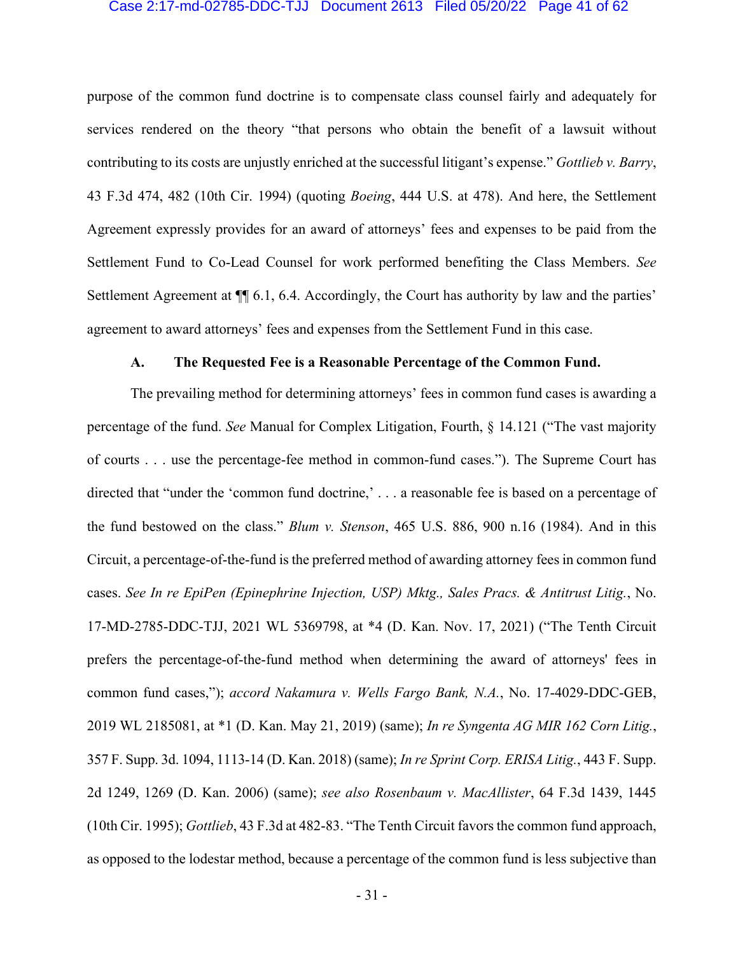#### Case 2:17-md-02785-DDC-TJJ Document 2613 Filed 05/20/22 Page 41 of 62

purpose of the common fund doctrine is to compensate class counsel fairly and adequately for services rendered on the theory "that persons who obtain the benefit of a lawsuit without contributing to its costs are unjustly enriched at the successful litigant's expense." *Gottlieb v. Barry*, 43 F.3d 474, 482 (10th Cir. 1994) (quoting *Boeing*, 444 U.S. at 478). And here, the Settlement Agreement expressly provides for an award of attorneys' fees and expenses to be paid from the Settlement Fund to Co-Lead Counsel for work performed benefiting the Class Members. *See*  Settlement Agreement at  $\P$  6.1, 6.4. Accordingly, the Court has authority by law and the parties' agreement to award attorneys' fees and expenses from the Settlement Fund in this case.

#### **A. The Requested Fee is a Reasonable Percentage of the Common Fund.**

The prevailing method for determining attorneys' fees in common fund cases is awarding a percentage of the fund. *See* Manual for Complex Litigation, Fourth, § 14.121 ("The vast majority of courts . . . use the percentage-fee method in common-fund cases."). The Supreme Court has directed that "under the 'common fund doctrine,' . . . a reasonable fee is based on a percentage of the fund bestowed on the class." *Blum v. Stenson*, 465 U.S. 886, 900 n.16 (1984). And in this Circuit, a percentage-of-the-fund is the preferred method of awarding attorney fees in common fund cases. *See In re EpiPen (Epinephrine Injection, USP) Mktg., Sales Pracs. & Antitrust Litig.*, No. 17-MD-2785-DDC-TJJ, 2021 WL 5369798, at \*4 (D. Kan. Nov. 17, 2021) ("The Tenth Circuit prefers the percentage-of-the-fund method when determining the award of attorneys' fees in common fund cases,"); *accord Nakamura v. Wells Fargo Bank, N.A.*, No. 17-4029-DDC-GEB, 2019 WL 2185081, at \*1 (D. Kan. May 21, 2019) (same); *In re Syngenta AG MIR 162 Corn Litig.*, 357 F. Supp. 3d. 1094, 1113-14 (D. Kan. 2018) (same); *In re Sprint Corp. ERISA Litig.*, 443 F. Supp. 2d 1249, 1269 (D. Kan. 2006) (same); *see also Rosenbaum v. MacAllister*, 64 F.3d 1439, 1445 (10th Cir. 1995); *Gottlieb*, 43 F.3d at 482-83. "The Tenth Circuit favors the common fund approach, as opposed to the lodestar method, because a percentage of the common fund is less subjective than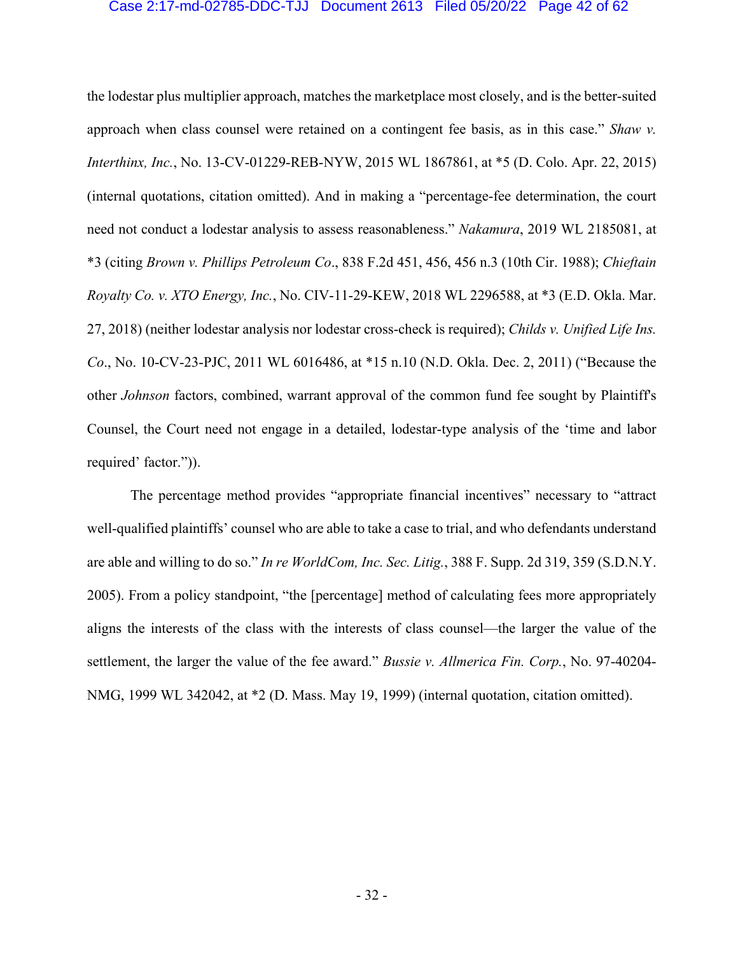#### Case 2:17-md-02785-DDC-TJJ Document 2613 Filed 05/20/22 Page 42 of 62

the lodestar plus multiplier approach, matches the marketplace most closely, and is the better-suited approach when class counsel were retained on a contingent fee basis, as in this case." *Shaw v. Interthinx, Inc.*, No. 13-CV-01229-REB-NYW, 2015 WL 1867861, at \*5 (D. Colo. Apr. 22, 2015) (internal quotations, citation omitted). And in making a "percentage-fee determination, the court need not conduct a lodestar analysis to assess reasonableness." *Nakamura*, 2019 WL 2185081, at \*3 (citing *Brown v. Phillips Petroleum Co*., 838 F.2d 451, 456, 456 n.3 (10th Cir. 1988); *Chieftain Royalty Co. v. XTO Energy, Inc.*, No. CIV-11-29-KEW, 2018 WL 2296588, at \*3 (E.D. Okla. Mar. 27, 2018) (neither lodestar analysis nor lodestar cross-check is required); *Childs v. Unified Life Ins. Co*., No. 10-CV-23-PJC, 2011 WL 6016486, at \*15 n.10 (N.D. Okla. Dec. 2, 2011) ("Because the other *Johnson* factors, combined, warrant approval of the common fund fee sought by Plaintiff's Counsel, the Court need not engage in a detailed, lodestar-type analysis of the 'time and labor required' factor.")).

The percentage method provides "appropriate financial incentives" necessary to "attract well-qualified plaintiffs' counsel who are able to take a case to trial, and who defendants understand are able and willing to do so." *In re WorldCom, Inc. Sec. Litig.*, 388 F. Supp. 2d 319, 359 (S.D.N.Y. 2005). From a policy standpoint, "the [percentage] method of calculating fees more appropriately aligns the interests of the class with the interests of class counsel—the larger the value of the settlement, the larger the value of the fee award." *Bussie v. Allmerica Fin. Corp.*, No. 97-40204- NMG, 1999 WL 342042, at \*2 (D. Mass. May 19, 1999) (internal quotation, citation omitted).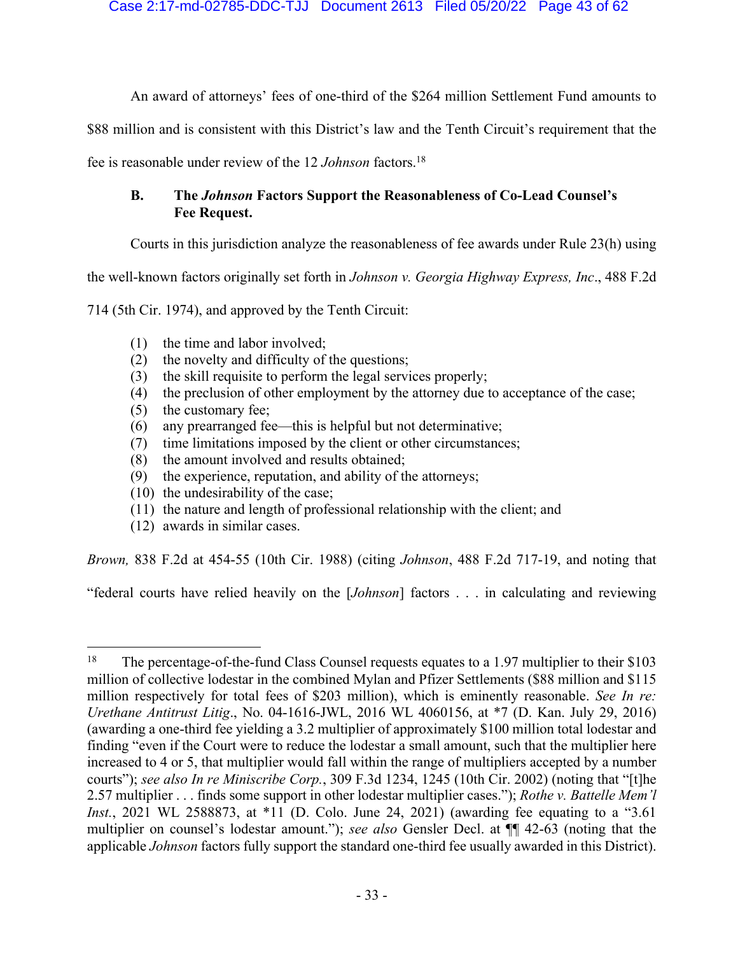An award of attorneys' fees of one-third of the \$264 million Settlement Fund amounts to

\$88 million and is consistent with this District's law and the Tenth Circuit's requirement that the

fee is reasonable under review of the 12 *Johnson* factors.18

## **B. The** *Johnson* **Factors Support the Reasonableness of Co-Lead Counsel's Fee Request.**

Courts in this jurisdiction analyze the reasonableness of fee awards under Rule 23(h) using

the well-known factors originally set forth in *Johnson v. Georgia Highway Express, Inc*., 488 F.2d

714 (5th Cir. 1974), and approved by the Tenth Circuit:

- (1) the time and labor involved;
- (2) the novelty and difficulty of the questions;
- (3) the skill requisite to perform the legal services properly;
- (4) the preclusion of other employment by the attorney due to acceptance of the case;
- (5) the customary fee;
- (6) any prearranged fee—this is helpful but not determinative;
- (7) time limitations imposed by the client or other circumstances;
- (8) the amount involved and results obtained;
- (9) the experience, reputation, and ability of the attorneys;
- (10) the undesirability of the case;
- (11) the nature and length of professional relationship with the client; and
- (12) awards in similar cases.

*Brown,* 838 F.2d at 454-55 (10th Cir. 1988) (citing *Johnson*, 488 F.2d 717-19, and noting that

"federal courts have relied heavily on the [*Johnson*] factors . . . in calculating and reviewing

<sup>&</sup>lt;sup>18</sup> The percentage-of-the-fund Class Counsel requests equates to a 1.97 multiplier to their \$103 million of collective lodestar in the combined Mylan and Pfizer Settlements (\$88 million and \$115 million respectively for total fees of \$203 million), which is eminently reasonable. *See In re: Urethane Antitrust Litig*., No. 04-1616-JWL, 2016 WL 4060156, at \*7 (D. Kan. July 29, 2016) (awarding a one-third fee yielding a 3.2 multiplier of approximately \$100 million total lodestar and finding "even if the Court were to reduce the lodestar a small amount, such that the multiplier here increased to 4 or 5, that multiplier would fall within the range of multipliers accepted by a number courts"); *see also In re Miniscribe Corp.*, 309 F.3d 1234, 1245 (10th Cir. 2002) (noting that "[t]he 2.57 multiplier . . . finds some support in other lodestar multiplier cases."); *Rothe v. Battelle Mem'l Inst.*, 2021 WL 2588873, at \*11 (D. Colo. June 24, 2021) (awarding fee equating to a "3.61" multiplier on counsel's lodestar amount."); *see also* Gensler Decl. at ¶¶ 42-63 (noting that the applicable *Johnson* factors fully support the standard one-third fee usually awarded in this District).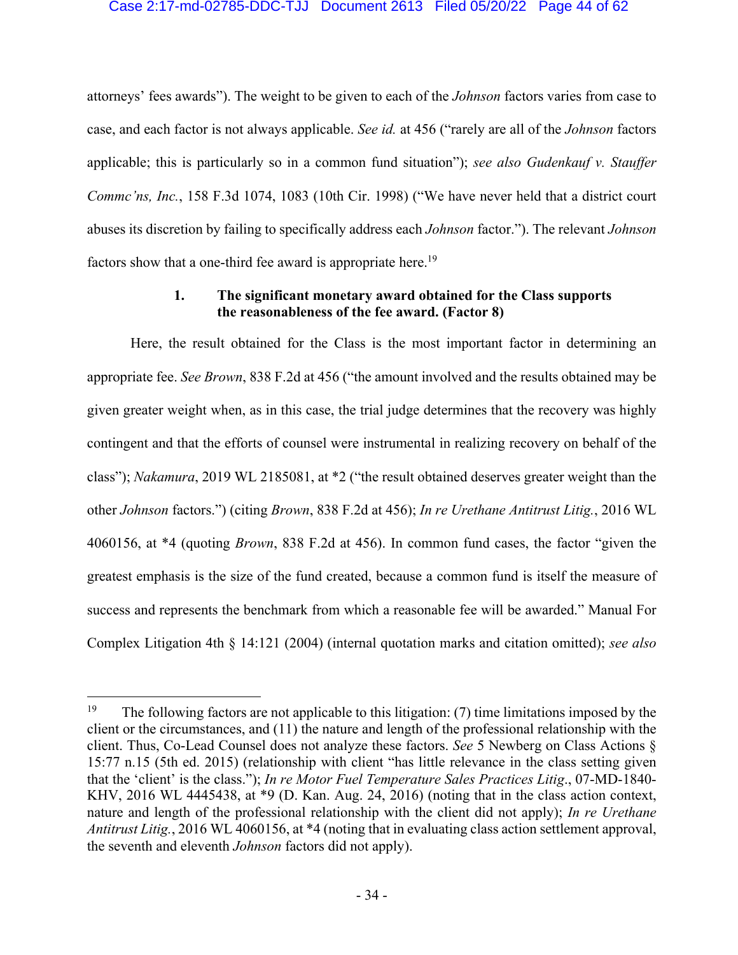#### Case 2:17-md-02785-DDC-TJJ Document 2613 Filed 05/20/22 Page 44 of 62

attorneys' fees awards"). The weight to be given to each of the *Johnson* factors varies from case to case, and each factor is not always applicable. *See id.* at 456 ("rarely are all of the *Johnson* factors applicable; this is particularly so in a common fund situation"); *see also Gudenkauf v. Stauffer Commc'ns, Inc.*, 158 F.3d 1074, 1083 (10th Cir. 1998) ("We have never held that a district court abuses its discretion by failing to specifically address each *Johnson* factor."). The relevant *Johnson*  factors show that a one-third fee award is appropriate here.<sup>19</sup>

## **1. The significant monetary award obtained for the Class supports the reasonableness of the fee award. (Factor 8)**

Here, the result obtained for the Class is the most important factor in determining an appropriate fee. *See Brown*, 838 F.2d at 456 ("the amount involved and the results obtained may be given greater weight when, as in this case, the trial judge determines that the recovery was highly contingent and that the efforts of counsel were instrumental in realizing recovery on behalf of the class"); *Nakamura*, 2019 WL 2185081, at \*2 ("the result obtained deserves greater weight than the other *Johnson* factors.") (citing *Brown*, 838 F.2d at 456); *In re Urethane Antitrust Litig.*, 2016 WL 4060156, at \*4 (quoting *Brown*, 838 F.2d at 456). In common fund cases, the factor "given the greatest emphasis is the size of the fund created, because a common fund is itself the measure of success and represents the benchmark from which a reasonable fee will be awarded." Manual For Complex Litigation 4th § 14:121 (2004) (internal quotation marks and citation omitted); *see also* 

<sup>&</sup>lt;sup>19</sup> The following factors are not applicable to this litigation: (7) time limitations imposed by the client or the circumstances, and (11) the nature and length of the professional relationship with the client. Thus, Co-Lead Counsel does not analyze these factors. *See* 5 Newberg on Class Actions § 15:77 n.15 (5th ed. 2015) (relationship with client "has little relevance in the class setting given that the 'client' is the class."); *In re Motor Fuel Temperature Sales Practices Litig*., 07-MD-1840- KHV, 2016 WL 4445438, at \*9 (D. Kan. Aug. 24, 2016) (noting that in the class action context, nature and length of the professional relationship with the client did not apply); *In re Urethane Antitrust Litig.*, 2016 WL 4060156, at \*4 (noting that in evaluating class action settlement approval, the seventh and eleventh *Johnson* factors did not apply).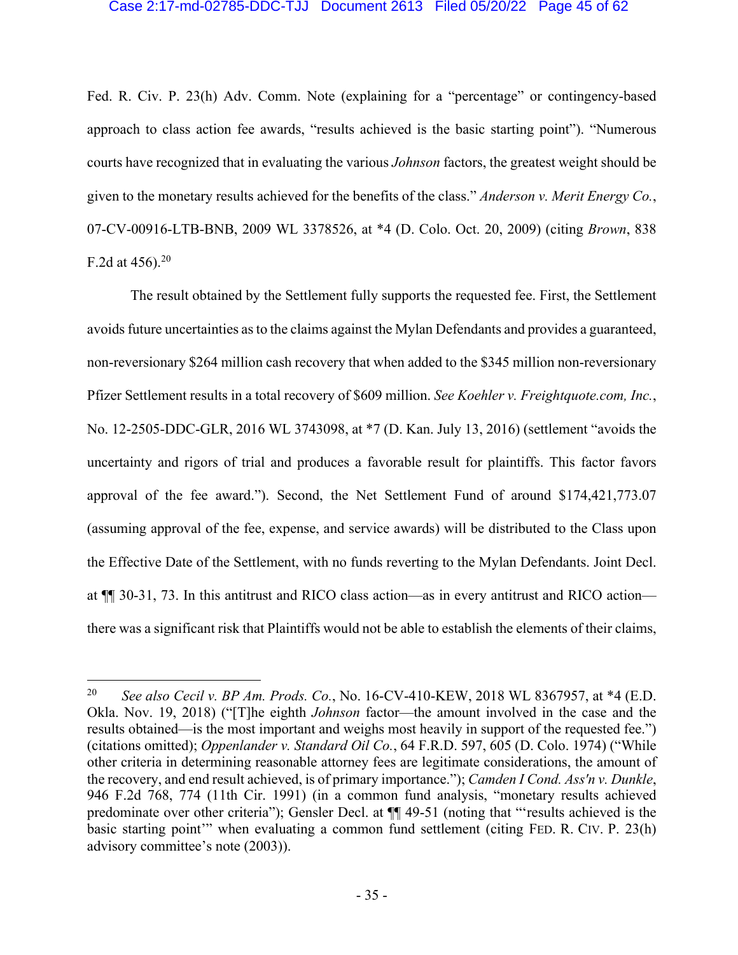#### Case 2:17-md-02785-DDC-TJJ Document 2613 Filed 05/20/22 Page 45 of 62

Fed. R. Civ. P. 23(h) Adv. Comm. Note (explaining for a "percentage" or contingency-based approach to class action fee awards, "results achieved is the basic starting point"). "Numerous courts have recognized that in evaluating the various *Johnson* factors, the greatest weight should be given to the monetary results achieved for the benefits of the class." *Anderson v. Merit Energy Co.*, 07-CV-00916-LTB-BNB, 2009 WL 3378526, at \*4 (D. Colo. Oct. 20, 2009) (citing *Brown*, 838 F.2d at  $456$ ).<sup>20</sup>

The result obtained by the Settlement fully supports the requested fee. First, the Settlement avoids future uncertainties as to the claims against the Mylan Defendants and provides a guaranteed, non-reversionary \$264 million cash recovery that when added to the \$345 million non-reversionary Pfizer Settlement results in a total recovery of \$609 million. *See Koehler v. Freightquote.com, Inc.*, No. 12-2505-DDC-GLR, 2016 WL 3743098, at \*7 (D. Kan. July 13, 2016) (settlement "avoids the uncertainty and rigors of trial and produces a favorable result for plaintiffs. This factor favors approval of the fee award."). Second, the Net Settlement Fund of around \$174,421,773.07 (assuming approval of the fee, expense, and service awards) will be distributed to the Class upon the Effective Date of the Settlement, with no funds reverting to the Mylan Defendants. Joint Decl. at ¶¶ 30-31, 73. In this antitrust and RICO class action—as in every antitrust and RICO action there was a significant risk that Plaintiffs would not be able to establish the elements of their claims,

<sup>20</sup> *See also Cecil v. BP Am. Prods. Co.*, No. 16-CV-410-KEW, 2018 WL 8367957, at \*4 (E.D. Okla. Nov. 19, 2018) ("[T]he eighth *Johnson* factor—the amount involved in the case and the results obtained—is the most important and weighs most heavily in support of the requested fee.") (citations omitted); *Oppenlander v. Standard Oil Co.*, 64 F.R.D. 597, 605 (D. Colo. 1974) ("While other criteria in determining reasonable attorney fees are legitimate considerations, the amount of the recovery, and end result achieved, is of primary importance."); *Camden I Cond. Ass'n v. Dunkle*, 946 F.2d 768, 774 (11th Cir. 1991) (in a common fund analysis, "monetary results achieved predominate over other criteria"); Gensler Decl. at ¶¶ 49-51 (noting that "'results achieved is the basic starting point'" when evaluating a common fund settlement (citing FED. R. CIV. P. 23(h) advisory committee's note (2003)).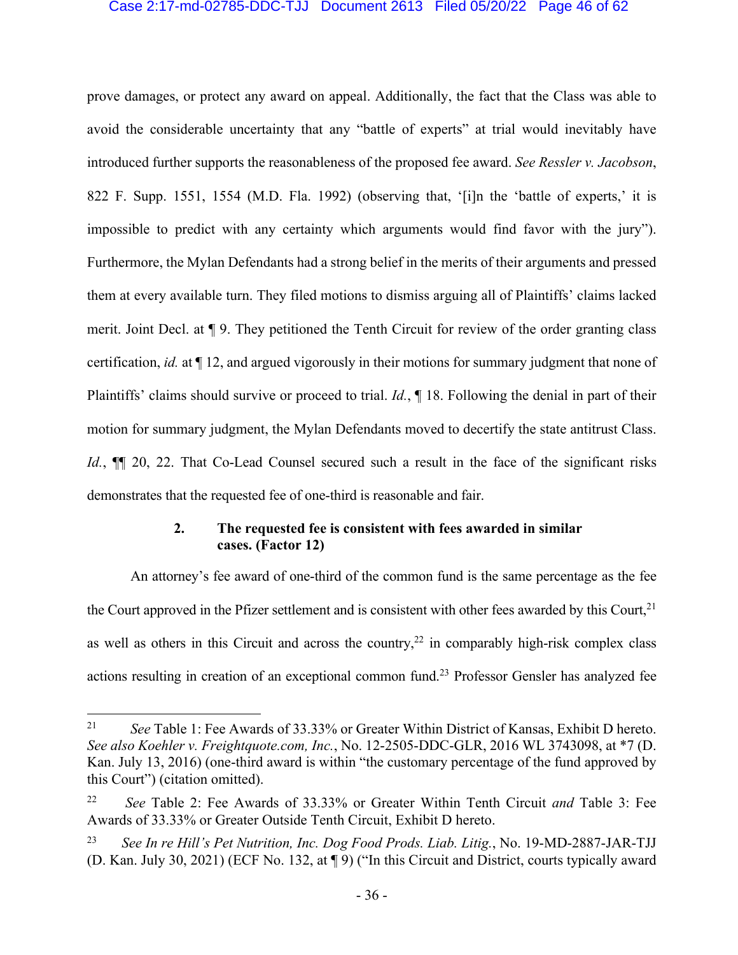#### Case 2:17-md-02785-DDC-TJJ Document 2613 Filed 05/20/22 Page 46 of 62

prove damages, or protect any award on appeal. Additionally, the fact that the Class was able to avoid the considerable uncertainty that any "battle of experts" at trial would inevitably have introduced further supports the reasonableness of the proposed fee award. *See Ressler v. Jacobson*, 822 F. Supp. 1551, 1554 (M.D. Fla. 1992) (observing that, '[i]n the 'battle of experts,' it is impossible to predict with any certainty which arguments would find favor with the jury"). Furthermore, the Mylan Defendants had a strong belief in the merits of their arguments and pressed them at every available turn. They filed motions to dismiss arguing all of Plaintiffs' claims lacked merit. Joint Decl. at ¶ 9. They petitioned the Tenth Circuit for review of the order granting class certification, *id.* at ¶ 12, and argued vigorously in their motions for summary judgment that none of Plaintiffs' claims should survive or proceed to trial. *Id.*, ¶ 18. Following the denial in part of their motion for summary judgment, the Mylan Defendants moved to decertify the state antitrust Class. *Id.*,  $\P$  20, 22. That Co-Lead Counsel secured such a result in the face of the significant risks demonstrates that the requested fee of one-third is reasonable and fair.

## **2. The requested fee is consistent with fees awarded in similar cases. (Factor 12)**

An attorney's fee award of one-third of the common fund is the same percentage as the fee the Court approved in the Pfizer settlement and is consistent with other fees awarded by this Court,  $2<sup>1</sup>$ as well as others in this Circuit and across the country,<sup>22</sup> in comparably high-risk complex class actions resulting in creation of an exceptional common fund.<sup>23</sup> Professor Gensler has analyzed fee

<sup>21</sup> *See* Table 1: Fee Awards of 33.33% or Greater Within District of Kansas, Exhibit D hereto. *See also Koehler v. Freightquote.com, Inc.*, No. 12-2505-DDC-GLR, 2016 WL 3743098, at \*7 (D. Kan. July 13, 2016) (one-third award is within "the customary percentage of the fund approved by this Court") (citation omitted).

<sup>22</sup> *See* Table 2: Fee Awards of 33.33% or Greater Within Tenth Circuit *and* Table 3: Fee Awards of 33.33% or Greater Outside Tenth Circuit, Exhibit D hereto.

<sup>23</sup> *See In re Hill's Pet Nutrition, Inc. Dog Food Prods. Liab. Litig.*, No. 19-MD-2887-JAR-TJJ (D. Kan. July 30, 2021) (ECF No. 132, at ¶ 9) ("In this Circuit and District, courts typically award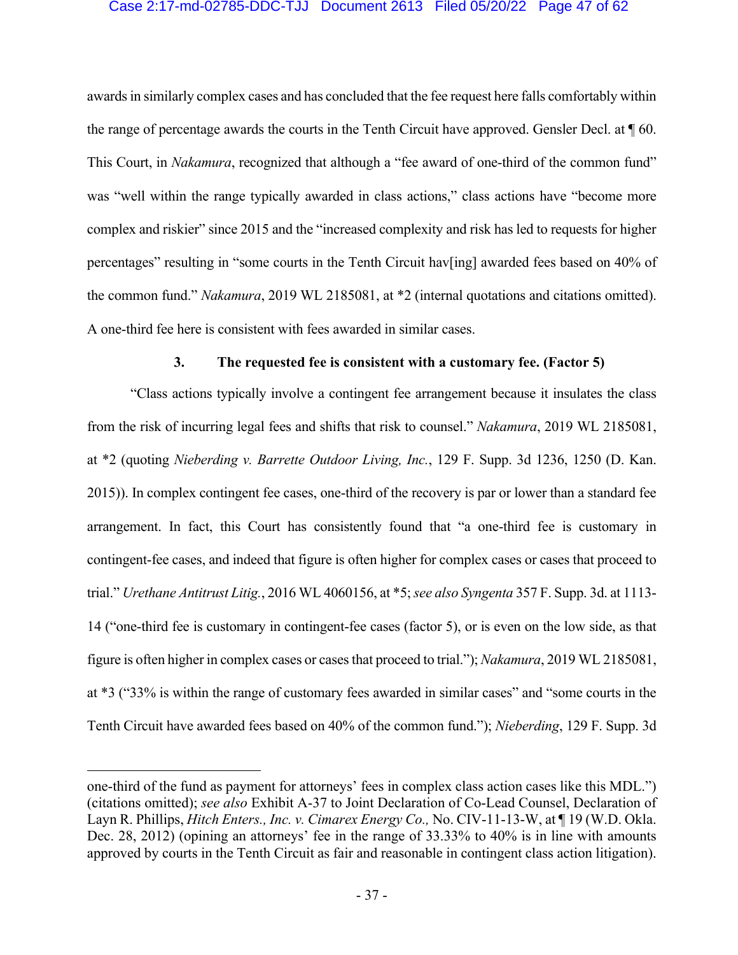#### Case 2:17-md-02785-DDC-TJJ Document 2613 Filed 05/20/22 Page 47 of 62

awards in similarly complex cases and has concluded that the fee request here falls comfortably within the range of percentage awards the courts in the Tenth Circuit have approved. Gensler Decl. at ¶ 60. This Court, in *Nakamura*, recognized that although a "fee award of one-third of the common fund" was "well within the range typically awarded in class actions," class actions have "become more complex and riskier" since 2015 and the "increased complexity and risk has led to requests for higher percentages" resulting in "some courts in the Tenth Circuit hav[ing] awarded fees based on 40% of the common fund." *Nakamura*, 2019 WL 2185081, at \*2 (internal quotations and citations omitted). A one-third fee here is consistent with fees awarded in similar cases.

#### **3. The requested fee is consistent with a customary fee. (Factor 5)**

"Class actions typically involve a contingent fee arrangement because it insulates the class from the risk of incurring legal fees and shifts that risk to counsel." *Nakamura*, 2019 WL 2185081, at \*2 (quoting *Nieberding v. Barrette Outdoor Living, Inc.*, 129 F. Supp. 3d 1236, 1250 (D. Kan. 2015)). In complex contingent fee cases, one-third of the recovery is par or lower than a standard fee arrangement. In fact, this Court has consistently found that "a one-third fee is customary in contingent-fee cases, and indeed that figure is often higher for complex cases or cases that proceed to trial." *Urethane Antitrust Litig.*, 2016 WL 4060156, at \*5; *see also Syngenta* 357 F. Supp. 3d. at 1113- 14 ("one-third fee is customary in contingent-fee cases (factor 5), or is even on the low side, as that figure is often higher in complex cases or cases that proceed to trial."); *Nakamura*, 2019 WL 2185081, at \*3 ("33% is within the range of customary fees awarded in similar cases" and "some courts in the Tenth Circuit have awarded fees based on 40% of the common fund."); *Nieberding*, 129 F. Supp. 3d

one-third of the fund as payment for attorneys' fees in complex class action cases like this MDL.") (citations omitted); *see also* Exhibit A-37 to Joint Declaration of Co-Lead Counsel, Declaration of Layn R. Phillips, *Hitch Enters., Inc. v. Cimarex Energy Co.,* No. CIV-11-13-W, at ¶ 19 (W.D. Okla. Dec. 28, 2012) (opining an attorneys' fee in the range of 33.33% to 40% is in line with amounts approved by courts in the Tenth Circuit as fair and reasonable in contingent class action litigation).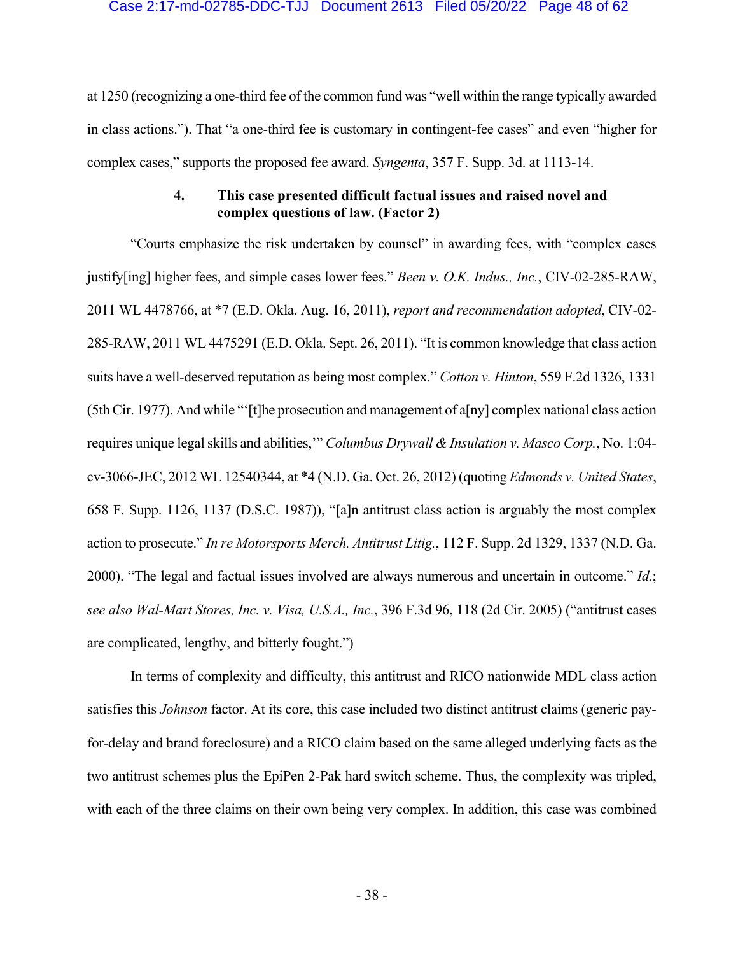#### Case 2:17-md-02785-DDC-TJJ Document 2613 Filed 05/20/22 Page 48 of 62

at 1250 (recognizing a one-third fee of the common fund was "well within the range typically awarded in class actions."). That "a one-third fee is customary in contingent-fee cases" and even "higher for complex cases," supports the proposed fee award. *Syngenta*, 357 F. Supp. 3d. at 1113-14.

## **4. This case presented difficult factual issues and raised novel and complex questions of law. (Factor 2)**

"Courts emphasize the risk undertaken by counsel" in awarding fees, with "complex cases justify[ing] higher fees, and simple cases lower fees." *Been v. O.K. Indus., Inc.*, CIV-02-285-RAW, 2011 WL 4478766, at \*7 (E.D. Okla. Aug. 16, 2011), *report and recommendation adopted*, CIV-02- 285-RAW, 2011 WL 4475291 (E.D. Okla. Sept. 26, 2011). "It is common knowledge that class action suits have a well-deserved reputation as being most complex." *Cotton v. Hinton*, 559 F.2d 1326, 1331 (5th Cir. 1977). And while "'[t]he prosecution and management of a[ny] complex national class action requires unique legal skills and abilities,'" *Columbus Drywall & Insulation v. Masco Corp.*, No. 1:04 cv-3066-JEC, 2012 WL 12540344, at \*4 (N.D. Ga. Oct. 26, 2012) (quoting *Edmonds v. United States*, 658 F. Supp. 1126, 1137 (D.S.C. 1987)), "[a]n antitrust class action is arguably the most complex action to prosecute." *In re Motorsports Merch. Antitrust Litig.*, 112 F. Supp. 2d 1329, 1337 (N.D. Ga. 2000). "The legal and factual issues involved are always numerous and uncertain in outcome." *Id.*; *see also Wal-Mart Stores, Inc. v. Visa, U.S.A., Inc.*, 396 F.3d 96, 118 (2d Cir. 2005) ("antitrust cases are complicated, lengthy, and bitterly fought.")

In terms of complexity and difficulty, this antitrust and RICO nationwide MDL class action satisfies this *Johnson* factor. At its core, this case included two distinct antitrust claims (generic payfor-delay and brand foreclosure) and a RICO claim based on the same alleged underlying facts as the two antitrust schemes plus the EpiPen 2-Pak hard switch scheme. Thus, the complexity was tripled, with each of the three claims on their own being very complex. In addition, this case was combined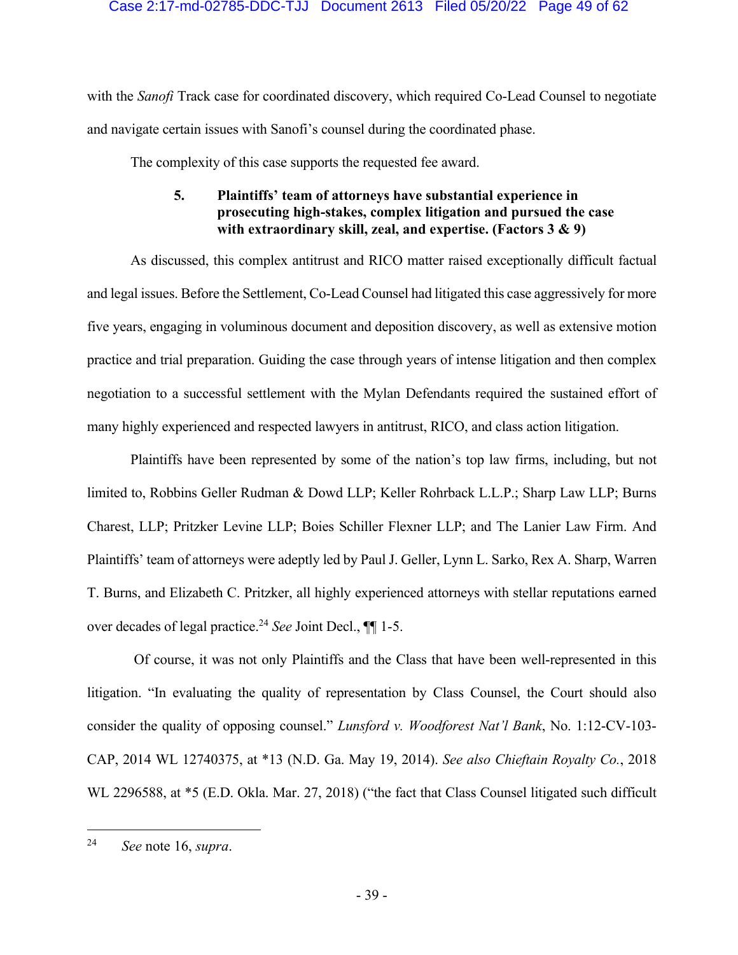with the *Sanofi* Track case for coordinated discovery, which required Co-Lead Counsel to negotiate and navigate certain issues with Sanofi's counsel during the coordinated phase.

The complexity of this case supports the requested fee award.

# **5. Plaintiffs' team of attorneys have substantial experience in prosecuting high-stakes, complex litigation and pursued the case with extraordinary skill, zeal, and expertise. (Factors 3 & 9)**

As discussed, this complex antitrust and RICO matter raised exceptionally difficult factual and legal issues. Before the Settlement, Co-Lead Counsel had litigated this case aggressively for more five years, engaging in voluminous document and deposition discovery, as well as extensive motion practice and trial preparation. Guiding the case through years of intense litigation and then complex negotiation to a successful settlement with the Mylan Defendants required the sustained effort of many highly experienced and respected lawyers in antitrust, RICO, and class action litigation.

Plaintiffs have been represented by some of the nation's top law firms, including, but not limited to, Robbins Geller Rudman & Dowd LLP; Keller Rohrback L.L.P.; Sharp Law LLP; Burns Charest, LLP; Pritzker Levine LLP; Boies Schiller Flexner LLP; and The Lanier Law Firm. And Plaintiffs' team of attorneys were adeptly led by Paul J. Geller, Lynn L. Sarko, Rex A. Sharp, Warren T. Burns, and Elizabeth C. Pritzker, all highly experienced attorneys with stellar reputations earned over decades of legal practice.24 *See* Joint Decl., ¶¶ 1-5.

Of course, it was not only Plaintiffs and the Class that have been well-represented in this litigation. "In evaluating the quality of representation by Class Counsel, the Court should also consider the quality of opposing counsel." *Lunsford v. Woodforest Nat'l Bank*, No. 1:12-CV-103- CAP, 2014 WL 12740375, at \*13 (N.D. Ga. May 19, 2014). *See also Chieftain Royalty Co.*, 2018 WL 2296588, at \*5 (E.D. Okla. Mar. 27, 2018) ("the fact that Class Counsel litigated such difficult

<sup>24</sup> *See* note 16, *supra*.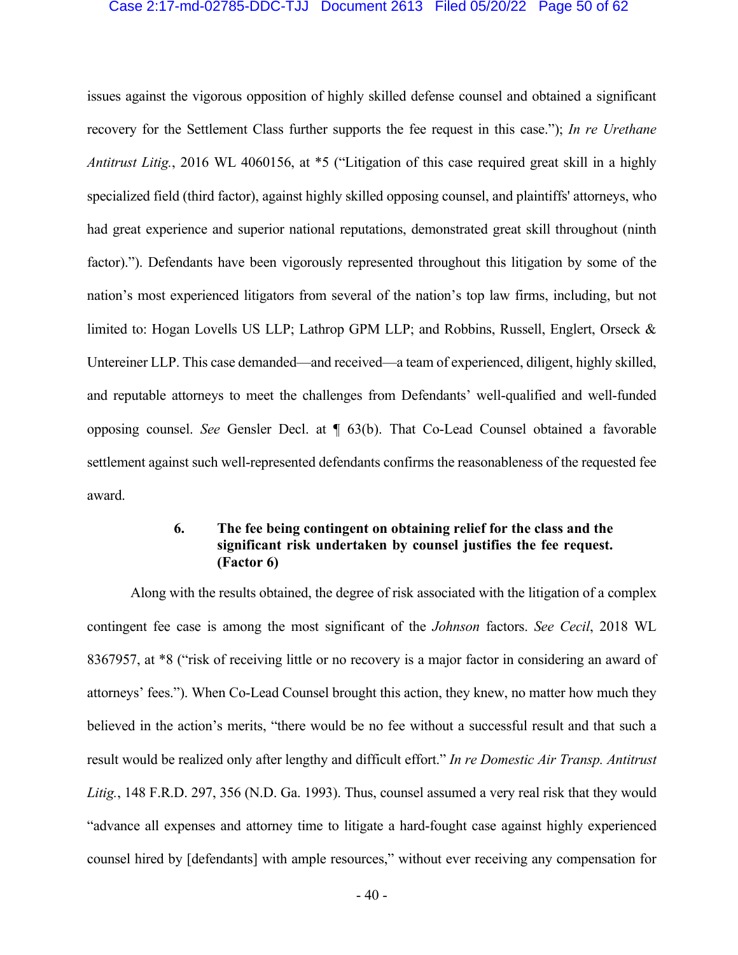#### Case 2:17-md-02785-DDC-TJJ Document 2613 Filed 05/20/22 Page 50 of 62

issues against the vigorous opposition of highly skilled defense counsel and obtained a significant recovery for the Settlement Class further supports the fee request in this case."); *In re Urethane Antitrust Litig.*, 2016 WL 4060156, at \*5 ("Litigation of this case required great skill in a highly specialized field (third factor), against highly skilled opposing counsel, and plaintiffs' attorneys, who had great experience and superior national reputations, demonstrated great skill throughout (ninth factor)."). Defendants have been vigorously represented throughout this litigation by some of the nation's most experienced litigators from several of the nation's top law firms, including, but not limited to: Hogan Lovells US LLP; Lathrop GPM LLP; and Robbins, Russell, Englert, Orseck & Untereiner LLP. This case demanded—and received—a team of experienced, diligent, highly skilled, and reputable attorneys to meet the challenges from Defendants' well-qualified and well-funded opposing counsel. *See* Gensler Decl. at ¶ 63(b). That Co-Lead Counsel obtained a favorable settlement against such well-represented defendants confirms the reasonableness of the requested fee award.

## **6. The fee being contingent on obtaining relief for the class and the significant risk undertaken by counsel justifies the fee request. (Factor 6)**

Along with the results obtained, the degree of risk associated with the litigation of a complex contingent fee case is among the most significant of the *Johnson* factors. *See Cecil*, 2018 WL 8367957, at \*8 ("risk of receiving little or no recovery is a major factor in considering an award of attorneys' fees."). When Co-Lead Counsel brought this action, they knew, no matter how much they believed in the action's merits, "there would be no fee without a successful result and that such a result would be realized only after lengthy and difficult effort." *In re Domestic Air Transp. Antitrust Litig.*, 148 F.R.D. 297, 356 (N.D. Ga. 1993). Thus, counsel assumed a very real risk that they would "advance all expenses and attorney time to litigate a hard-fought case against highly experienced counsel hired by [defendants] with ample resources," without ever receiving any compensation for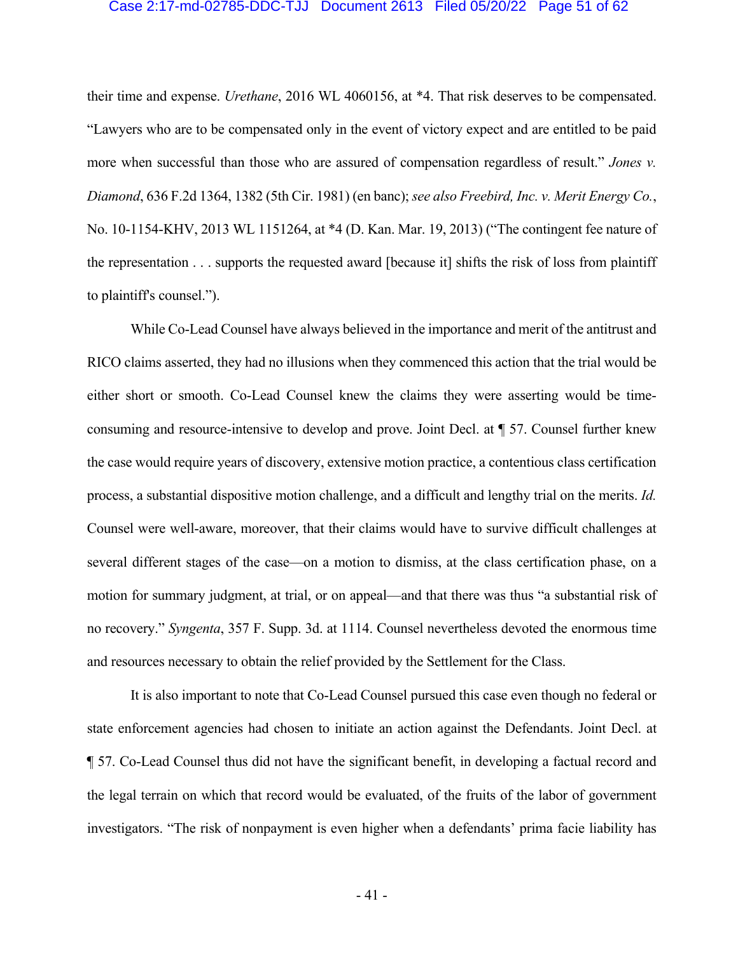#### Case 2:17-md-02785-DDC-TJJ Document 2613 Filed 05/20/22 Page 51 of 62

their time and expense. *Urethane*, 2016 WL 4060156, at \*4. That risk deserves to be compensated. "Lawyers who are to be compensated only in the event of victory expect and are entitled to be paid more when successful than those who are assured of compensation regardless of result." *Jones v. Diamond*, 636 F.2d 1364, 1382 (5th Cir. 1981) (en banc); *see also Freebird, Inc. v. Merit Energy Co.*, No. 10-1154-KHV, 2013 WL 1151264, at \*4 (D. Kan. Mar. 19, 2013) ("The contingent fee nature of the representation . . . supports the requested award [because it] shifts the risk of loss from plaintiff to plaintiff's counsel.").

While Co-Lead Counsel have always believed in the importance and merit of the antitrust and RICO claims asserted, they had no illusions when they commenced this action that the trial would be either short or smooth. Co-Lead Counsel knew the claims they were asserting would be timeconsuming and resource-intensive to develop and prove. Joint Decl. at ¶ 57. Counsel further knew the case would require years of discovery, extensive motion practice, a contentious class certification process, a substantial dispositive motion challenge, and a difficult and lengthy trial on the merits. *Id.* Counsel were well-aware, moreover, that their claims would have to survive difficult challenges at several different stages of the case—on a motion to dismiss, at the class certification phase, on a motion for summary judgment, at trial, or on appeal—and that there was thus "a substantial risk of no recovery." *Syngenta*, 357 F. Supp. 3d. at 1114. Counsel nevertheless devoted the enormous time and resources necessary to obtain the relief provided by the Settlement for the Class.

It is also important to note that Co-Lead Counsel pursued this case even though no federal or state enforcement agencies had chosen to initiate an action against the Defendants. Joint Decl. at ¶ 57. Co-Lead Counsel thus did not have the significant benefit, in developing a factual record and the legal terrain on which that record would be evaluated, of the fruits of the labor of government investigators. "The risk of nonpayment is even higher when a defendants' prima facie liability has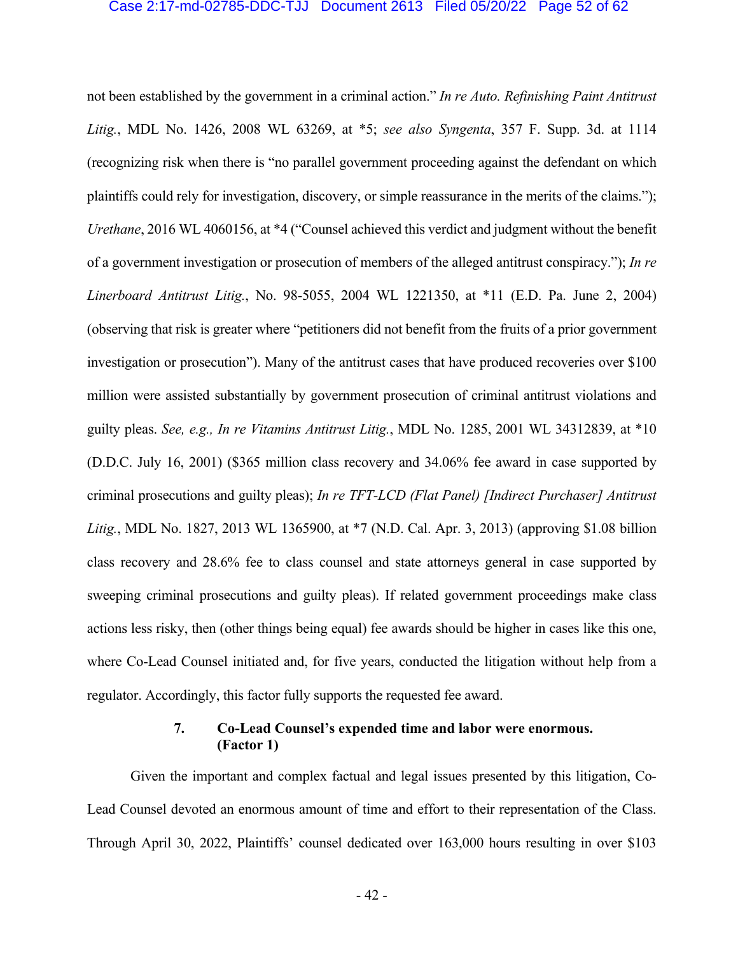#### Case 2:17-md-02785-DDC-TJJ Document 2613 Filed 05/20/22 Page 52 of 62

not been established by the government in a criminal action." *In re Auto. Refinishing Paint Antitrust Litig.*, MDL No. 1426, 2008 WL 63269, at \*5; *see also Syngenta*, 357 F. Supp. 3d. at 1114 (recognizing risk when there is "no parallel government proceeding against the defendant on which plaintiffs could rely for investigation, discovery, or simple reassurance in the merits of the claims."); *Urethane*, 2016 WL 4060156, at \*4 ("Counsel achieved this verdict and judgment without the benefit of a government investigation or prosecution of members of the alleged antitrust conspiracy."); *In re Linerboard Antitrust Litig.*, No. 98-5055, 2004 WL 1221350, at \*11 (E.D. Pa. June 2, 2004) (observing that risk is greater where "petitioners did not benefit from the fruits of a prior government investigation or prosecution"). Many of the antitrust cases that have produced recoveries over \$100 million were assisted substantially by government prosecution of criminal antitrust violations and guilty pleas. *See, e.g., In re Vitamins Antitrust Litig.*, MDL No. 1285, 2001 WL 34312839, at \*10 (D.D.C. July 16, 2001) (\$365 million class recovery and 34.06% fee award in case supported by criminal prosecutions and guilty pleas); *In re TFT-LCD (Flat Panel) [Indirect Purchaser] Antitrust Litig.*, MDL No. 1827, 2013 WL 1365900, at \*7 (N.D. Cal. Apr. 3, 2013) (approving \$1.08 billion class recovery and 28.6% fee to class counsel and state attorneys general in case supported by sweeping criminal prosecutions and guilty pleas). If related government proceedings make class actions less risky, then (other things being equal) fee awards should be higher in cases like this one, where Co-Lead Counsel initiated and, for five years, conducted the litigation without help from a regulator. Accordingly, this factor fully supports the requested fee award.

## **7. Co-Lead Counsel's expended time and labor were enormous. (Factor 1)**

Given the important and complex factual and legal issues presented by this litigation, Co-Lead Counsel devoted an enormous amount of time and effort to their representation of the Class. Through April 30, 2022, Plaintiffs' counsel dedicated over 163,000 hours resulting in over \$103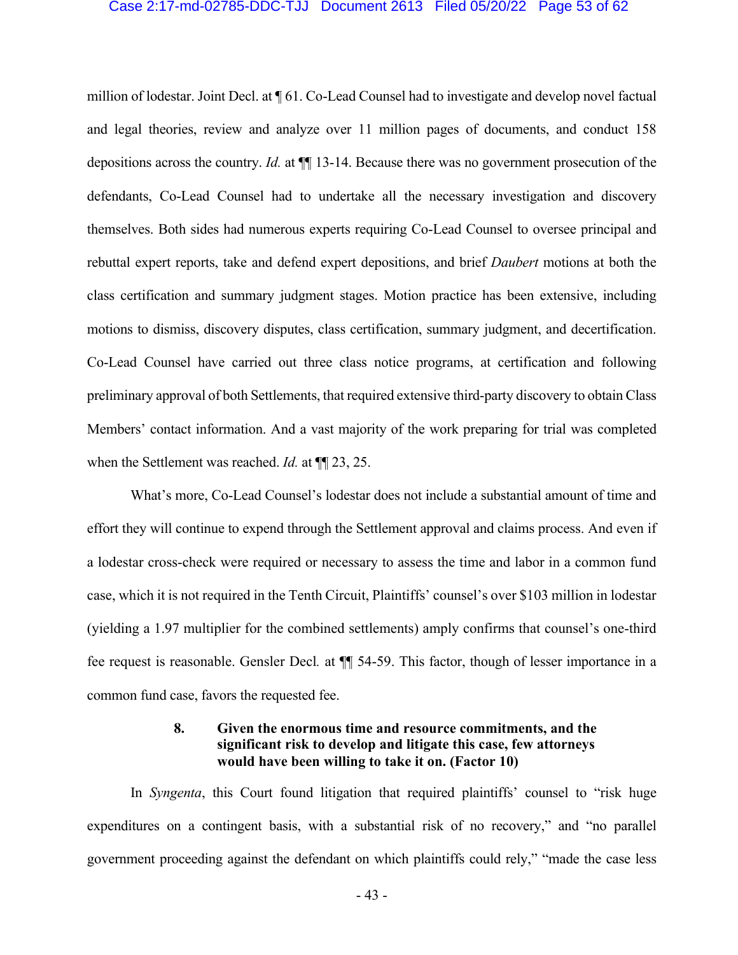#### Case 2:17-md-02785-DDC-TJJ Document 2613 Filed 05/20/22 Page 53 of 62

million of lodestar. Joint Decl. at ¶ 61. Co-Lead Counsel had to investigate and develop novel factual and legal theories, review and analyze over 11 million pages of documents, and conduct 158 depositions across the country. *Id.* at ¶¶ 13-14. Because there was no government prosecution of the defendants, Co-Lead Counsel had to undertake all the necessary investigation and discovery themselves. Both sides had numerous experts requiring Co-Lead Counsel to oversee principal and rebuttal expert reports, take and defend expert depositions, and brief *Daubert* motions at both the class certification and summary judgment stages. Motion practice has been extensive, including motions to dismiss, discovery disputes, class certification, summary judgment, and decertification. Co-Lead Counsel have carried out three class notice programs, at certification and following preliminary approval of both Settlements, that required extensive third-party discovery to obtain Class Members' contact information. And a vast majority of the work preparing for trial was completed when the Settlement was reached. *Id.* at ¶¶ 23, 25.

What's more, Co-Lead Counsel's lodestar does not include a substantial amount of time and effort they will continue to expend through the Settlement approval and claims process. And even if a lodestar cross-check were required or necessary to assess the time and labor in a common fund case, which it is not required in the Tenth Circuit, Plaintiffs' counsel's over \$103 million in lodestar (yielding a 1.97 multiplier for the combined settlements) amply confirms that counsel's one-third fee request is reasonable. Gensler Decl. at  $\P$  54-59. This factor, though of lesser importance in a common fund case, favors the requested fee.

## **8. Given the enormous time and resource commitments, and the significant risk to develop and litigate this case, few attorneys would have been willing to take it on. (Factor 10)**

In *Syngenta*, this Court found litigation that required plaintiffs' counsel to "risk huge expenditures on a contingent basis, with a substantial risk of no recovery," and "no parallel government proceeding against the defendant on which plaintiffs could rely," "made the case less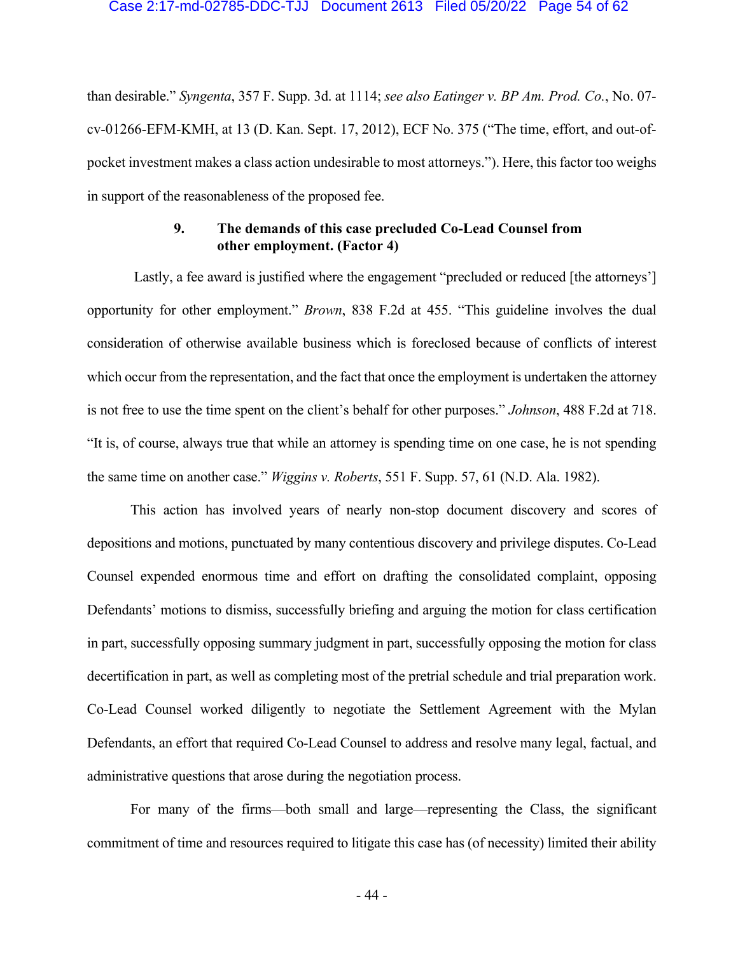#### Case 2:17-md-02785-DDC-TJJ Document 2613 Filed 05/20/22 Page 54 of 62

than desirable." *Syngenta*, 357 F. Supp. 3d. at 1114; *see also Eatinger v. BP Am. Prod. Co.*, No. 07 cv-01266-EFM-KMH, at 13 (D. Kan. Sept. 17, 2012), ECF No. 375 ("The time, effort, and out-ofpocket investment makes a class action undesirable to most attorneys."). Here, this factor too weighs in support of the reasonableness of the proposed fee.

## **9. The demands of this case precluded Co-Lead Counsel from other employment. (Factor 4)**

Lastly, a fee award is justified where the engagement "precluded or reduced [the attorneys'] opportunity for other employment." *Brown*, 838 F.2d at 455. "This guideline involves the dual consideration of otherwise available business which is foreclosed because of conflicts of interest which occur from the representation, and the fact that once the employment is undertaken the attorney is not free to use the time spent on the client's behalf for other purposes." *Johnson*, 488 F.2d at 718. "It is, of course, always true that while an attorney is spending time on one case, he is not spending the same time on another case." *Wiggins v. Roberts*, 551 F. Supp. 57, 61 (N.D. Ala. 1982).

This action has involved years of nearly non-stop document discovery and scores of depositions and motions, punctuated by many contentious discovery and privilege disputes. Co-Lead Counsel expended enormous time and effort on drafting the consolidated complaint, opposing Defendants' motions to dismiss, successfully briefing and arguing the motion for class certification in part, successfully opposing summary judgment in part, successfully opposing the motion for class decertification in part, as well as completing most of the pretrial schedule and trial preparation work. Co-Lead Counsel worked diligently to negotiate the Settlement Agreement with the Mylan Defendants, an effort that required Co-Lead Counsel to address and resolve many legal, factual, and administrative questions that arose during the negotiation process.

For many of the firms—both small and large—representing the Class, the significant commitment of time and resources required to litigate this case has (of necessity) limited their ability

- 44 -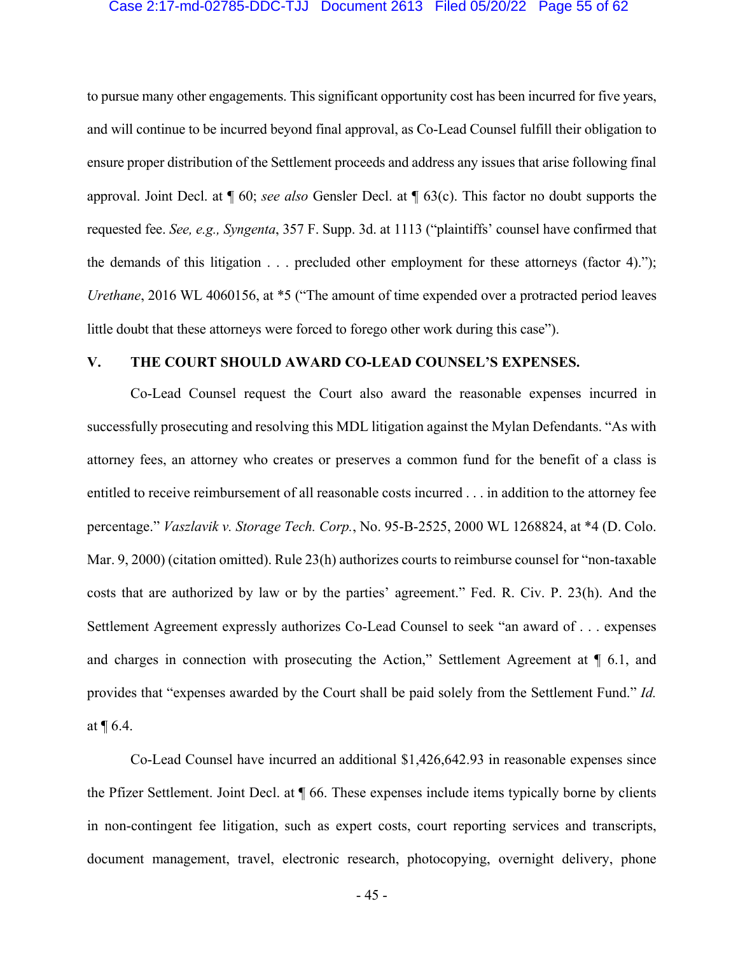#### Case 2:17-md-02785-DDC-TJJ Document 2613 Filed 05/20/22 Page 55 of 62

to pursue many other engagements. This significant opportunity cost has been incurred for five years, and will continue to be incurred beyond final approval, as Co-Lead Counsel fulfill their obligation to ensure proper distribution of the Settlement proceeds and address any issues that arise following final approval. Joint Decl. at ¶ 60; *see also* Gensler Decl. at ¶ 63(c). This factor no doubt supports the requested fee. *See, e.g., Syngenta*, 357 F. Supp. 3d. at 1113 ("plaintiffs' counsel have confirmed that the demands of this litigation . . . precluded other employment for these attorneys (factor 4)."); *Urethane*, 2016 WL 4060156, at \*5 ("The amount of time expended over a protracted period leaves little doubt that these attorneys were forced to forego other work during this case").

## **V. THE COURT SHOULD AWARD CO-LEAD COUNSEL'S EXPENSES.**

Co-Lead Counsel request the Court also award the reasonable expenses incurred in successfully prosecuting and resolving this MDL litigation against the Mylan Defendants. "As with attorney fees, an attorney who creates or preserves a common fund for the benefit of a class is entitled to receive reimbursement of all reasonable costs incurred . . . in addition to the attorney fee percentage." *Vaszlavik v. Storage Tech. Corp.*, No. 95-B-2525, 2000 WL 1268824, at \*4 (D. Colo. Mar. 9, 2000) (citation omitted). Rule 23(h) authorizes courts to reimburse counsel for "non-taxable" costs that are authorized by law or by the parties' agreement." Fed. R. Civ. P. 23(h). And the Settlement Agreement expressly authorizes Co-Lead Counsel to seek "an award of . . . expenses and charges in connection with prosecuting the Action," Settlement Agreement at ¶ 6.1, and provides that "expenses awarded by the Court shall be paid solely from the Settlement Fund." *Id.* at ¶ 6.4.

Co-Lead Counsel have incurred an additional \$1,426,642.93 in reasonable expenses since the Pfizer Settlement. Joint Decl. at ¶ 66. These expenses include items typically borne by clients in non-contingent fee litigation, such as expert costs, court reporting services and transcripts, document management, travel, electronic research, photocopying, overnight delivery, phone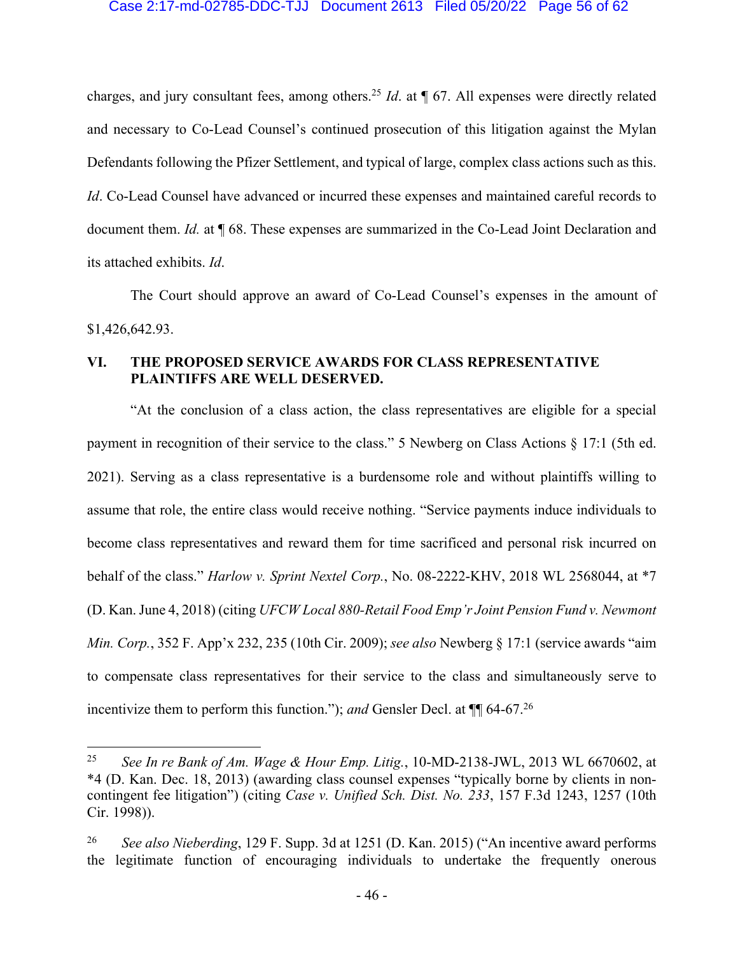#### Case 2:17-md-02785-DDC-TJJ Document 2613 Filed 05/20/22 Page 56 of 62

charges, and jury consultant fees, among others.25 *Id*. at ¶ 67. All expenses were directly related and necessary to Co-Lead Counsel's continued prosecution of this litigation against the Mylan Defendants following the Pfizer Settlement, and typical of large, complex class actions such as this. *Id*. Co-Lead Counsel have advanced or incurred these expenses and maintained careful records to document them. *Id.* at ¶ 68. These expenses are summarized in the Co-Lead Joint Declaration and its attached exhibits. *Id*.

The Court should approve an award of Co-Lead Counsel's expenses in the amount of \$1,426,642.93.

## **VI. THE PROPOSED SERVICE AWARDS FOR CLASS REPRESENTATIVE PLAINTIFFS ARE WELL DESERVED.**

"At the conclusion of a class action, the class representatives are eligible for a special payment in recognition of their service to the class." 5 Newberg on Class Actions § 17:1 (5th ed. 2021). Serving as a class representative is a burdensome role and without plaintiffs willing to assume that role, the entire class would receive nothing. "Service payments induce individuals to become class representatives and reward them for time sacrificed and personal risk incurred on behalf of the class." *Harlow v. Sprint Nextel Corp.*, No. 08-2222-KHV, 2018 WL 2568044, at \*7 (D. Kan. June 4, 2018) (citing *UFCW Local 880-Retail Food Emp'r Joint Pension Fund v. Newmont Min. Corp.*, 352 F. App'x 232, 235 (10th Cir. 2009); *see also* Newberg § 17:1 (service awards "aim to compensate class representatives for their service to the class and simultaneously serve to incentivize them to perform this function."); *and* Gensler Decl. at ¶¶ 64-67.26

<sup>25</sup> *See In re Bank of Am. Wage & Hour Emp. Litig.*, 10-MD-2138-JWL, 2013 WL 6670602, at \*4 (D. Kan. Dec. 18, 2013) (awarding class counsel expenses "typically borne by clients in noncontingent fee litigation") (citing *Case v. Unified Sch. Dist. No. 233*, 157 F.3d 1243, 1257 (10th Cir. 1998)).

<sup>26</sup> *See also Nieberding*, 129 F. Supp. 3d at 1251 (D. Kan. 2015) ("An incentive award performs the legitimate function of encouraging individuals to undertake the frequently onerous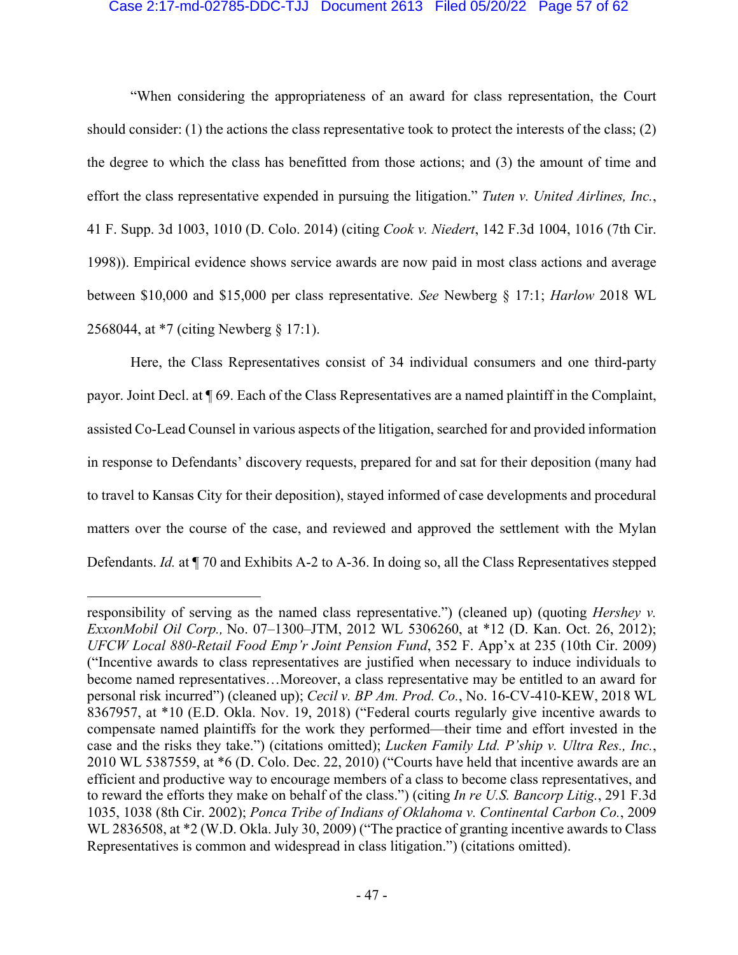#### Case 2:17-md-02785-DDC-TJJ Document 2613 Filed 05/20/22 Page 57 of 62

"When considering the appropriateness of an award for class representation, the Court should consider: (1) the actions the class representative took to protect the interests of the class; (2) the degree to which the class has benefitted from those actions; and (3) the amount of time and effort the class representative expended in pursuing the litigation." *Tuten v. United Airlines, Inc.*, 41 F. Supp. 3d 1003, 1010 (D. Colo. 2014) (citing *Cook v. Niedert*, 142 F.3d 1004, 1016 (7th Cir. 1998)). Empirical evidence shows service awards are now paid in most class actions and average between \$10,000 and \$15,000 per class representative. *See* Newberg § 17:1; *Harlow* 2018 WL 2568044, at \*7 (citing Newberg § 17:1).

Here, the Class Representatives consist of 34 individual consumers and one third-party payor. Joint Decl. at ¶ 69. Each of the Class Representatives are a named plaintiff in the Complaint, assisted Co-Lead Counsel in various aspects of the litigation, searched for and provided information in response to Defendants' discovery requests, prepared for and sat for their deposition (many had to travel to Kansas City for their deposition), stayed informed of case developments and procedural matters over the course of the case, and reviewed and approved the settlement with the Mylan Defendants. *Id.* at ¶ 70 and Exhibits A-2 to A-36. In doing so, all the Class Representatives stepped

responsibility of serving as the named class representative.") (cleaned up) (quoting *Hershey v. ExxonMobil Oil Corp.,* No. 07–1300–JTM, 2012 WL 5306260, at \*12 (D. Kan. Oct. 26, 2012); *UFCW Local 880-Retail Food Emp'r Joint Pension Fund*, 352 F. App'x at 235 (10th Cir. 2009) ("Incentive awards to class representatives are justified when necessary to induce individuals to become named representatives…Moreover, a class representative may be entitled to an award for personal risk incurred") (cleaned up); *Cecil v. BP Am. Prod. Co.*, No. 16-CV-410-KEW, 2018 WL 8367957, at \*10 (E.D. Okla. Nov. 19, 2018) ("Federal courts regularly give incentive awards to compensate named plaintiffs for the work they performed—their time and effort invested in the case and the risks they take.") (citations omitted); *Lucken Family Ltd. P'ship v. Ultra Res., Inc.*, 2010 WL 5387559, at \*6 (D. Colo. Dec. 22, 2010) ("Courts have held that incentive awards are an efficient and productive way to encourage members of a class to become class representatives, and to reward the efforts they make on behalf of the class.") (citing *In re U.S. Bancorp Litig.*, 291 F.3d 1035, 1038 (8th Cir. 2002); *Ponca Tribe of Indians of Oklahoma v. Continental Carbon Co.*, 2009 WL 2836508, at \*2 (W.D. Okla. July 30, 2009) ("The practice of granting incentive awards to Class Representatives is common and widespread in class litigation.") (citations omitted).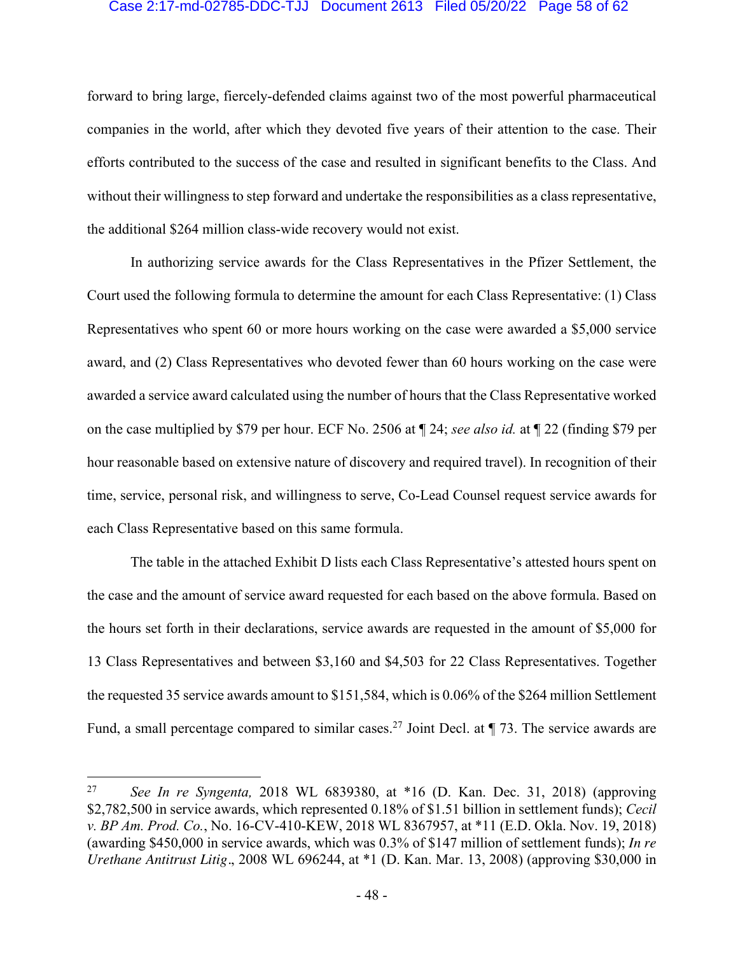#### Case 2:17-md-02785-DDC-TJJ Document 2613 Filed 05/20/22 Page 58 of 62

forward to bring large, fiercely-defended claims against two of the most powerful pharmaceutical companies in the world, after which they devoted five years of their attention to the case. Their efforts contributed to the success of the case and resulted in significant benefits to the Class. And without their willingness to step forward and undertake the responsibilities as a class representative, the additional \$264 million class-wide recovery would not exist.

In authorizing service awards for the Class Representatives in the Pfizer Settlement, the Court used the following formula to determine the amount for each Class Representative: (1) Class Representatives who spent 60 or more hours working on the case were awarded a \$5,000 service award, and (2) Class Representatives who devoted fewer than 60 hours working on the case were awarded a service award calculated using the number of hours that the Class Representative worked on the case multiplied by \$79 per hour. ECF No. 2506 at ¶ 24; *see also id.* at ¶ 22 (finding \$79 per hour reasonable based on extensive nature of discovery and required travel). In recognition of their time, service, personal risk, and willingness to serve, Co-Lead Counsel request service awards for each Class Representative based on this same formula.

The table in the attached Exhibit D lists each Class Representative's attested hours spent on the case and the amount of service award requested for each based on the above formula. Based on the hours set forth in their declarations, service awards are requested in the amount of \$5,000 for 13 Class Representatives and between \$3,160 and \$4,503 for 22 Class Representatives. Together the requested 35 service awards amount to \$151,584, which is 0.06% of the \$264 million Settlement Fund, a small percentage compared to similar cases.<sup>27</sup> Joint Decl. at  $\P$  73. The service awards are

<sup>27</sup> *See In re Syngenta,* 2018 WL 6839380, at \*16 (D. Kan. Dec. 31, 2018) (approving \$2,782,500 in service awards, which represented 0.18% of \$1.51 billion in settlement funds); *Cecil v. BP Am. Prod. Co.*, No. 16-CV-410-KEW, 2018 WL 8367957, at \*11 (E.D. Okla. Nov. 19, 2018) (awarding \$450,000 in service awards, which was 0.3% of \$147 million of settlement funds); *In re Urethane Antitrust Litig.*, 2008 WL 696244, at \*1 (D. Kan. Mar. 13, 2008) (approving \$30,000 in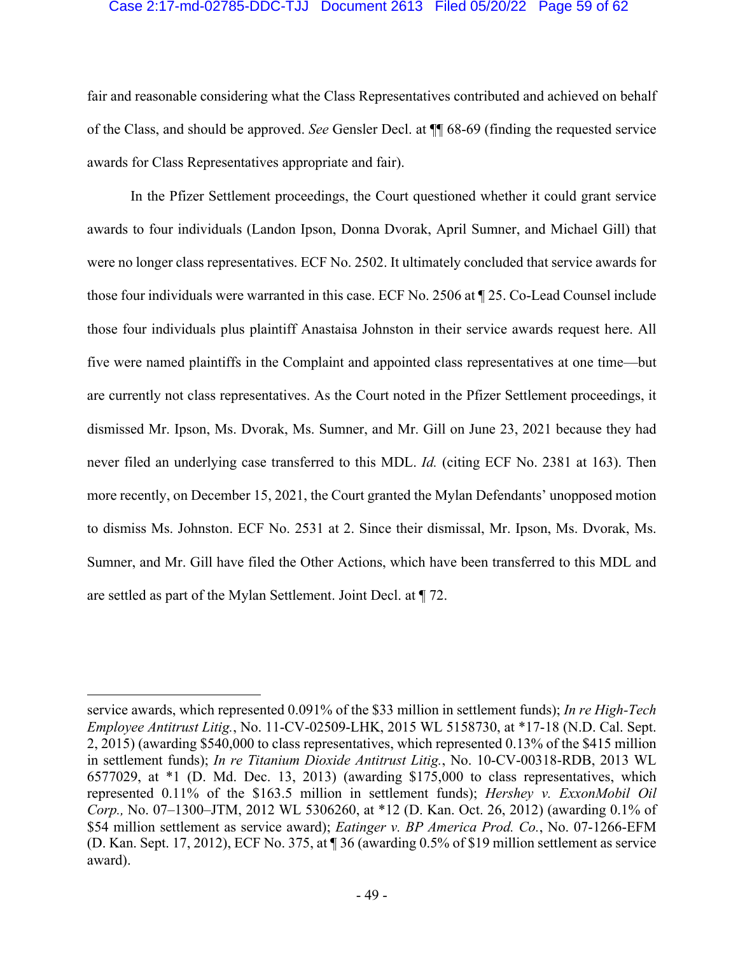#### Case 2:17-md-02785-DDC-TJJ Document 2613 Filed 05/20/22 Page 59 of 62

fair and reasonable considering what the Class Representatives contributed and achieved on behalf of the Class, and should be approved. *See* Gensler Decl. at ¶¶ 68-69 (finding the requested service awards for Class Representatives appropriate and fair).

In the Pfizer Settlement proceedings, the Court questioned whether it could grant service awards to four individuals (Landon Ipson, Donna Dvorak, April Sumner, and Michael Gill) that were no longer class representatives. ECF No. 2502. It ultimately concluded that service awards for those four individuals were warranted in this case. ECF No. 2506 at ¶ 25. Co-Lead Counsel include those four individuals plus plaintiff Anastaisa Johnston in their service awards request here. All five were named plaintiffs in the Complaint and appointed class representatives at one time—but are currently not class representatives. As the Court noted in the Pfizer Settlement proceedings, it dismissed Mr. Ipson, Ms. Dvorak, Ms. Sumner, and Mr. Gill on June 23, 2021 because they had never filed an underlying case transferred to this MDL. *Id.* (citing ECF No. 2381 at 163). Then more recently, on December 15, 2021, the Court granted the Mylan Defendants' unopposed motion to dismiss Ms. Johnston. ECF No. 2531 at 2. Since their dismissal, Mr. Ipson, Ms. Dvorak, Ms. Sumner, and Mr. Gill have filed the Other Actions, which have been transferred to this MDL and are settled as part of the Mylan Settlement. Joint Decl. at ¶ 72.

service awards, which represented 0.091% of the \$33 million in settlement funds); *In re High-Tech Employee Antitrust Litig.*, No. 11-CV-02509-LHK, 2015 WL 5158730, at \*17-18 (N.D. Cal. Sept. 2, 2015) (awarding \$540,000 to class representatives, which represented 0.13% of the \$415 million in settlement funds); *In re Titanium Dioxide Antitrust Litig.*, No. 10-CV-00318-RDB, 2013 WL 6577029, at \*1 (D. Md. Dec. 13, 2013) (awarding \$175,000 to class representatives, which represented 0.11% of the \$163.5 million in settlement funds); *Hershey v. ExxonMobil Oil Corp.,* No. 07–1300–JTM, 2012 WL 5306260, at \*12 (D. Kan. Oct. 26, 2012) (awarding 0.1% of \$54 million settlement as service award); *Eatinger v. BP America Prod. Co.*, No. 07-1266-EFM (D. Kan. Sept. 17, 2012), ECF No. 375, at ¶ 36 (awarding 0.5% of \$19 million settlement as service award).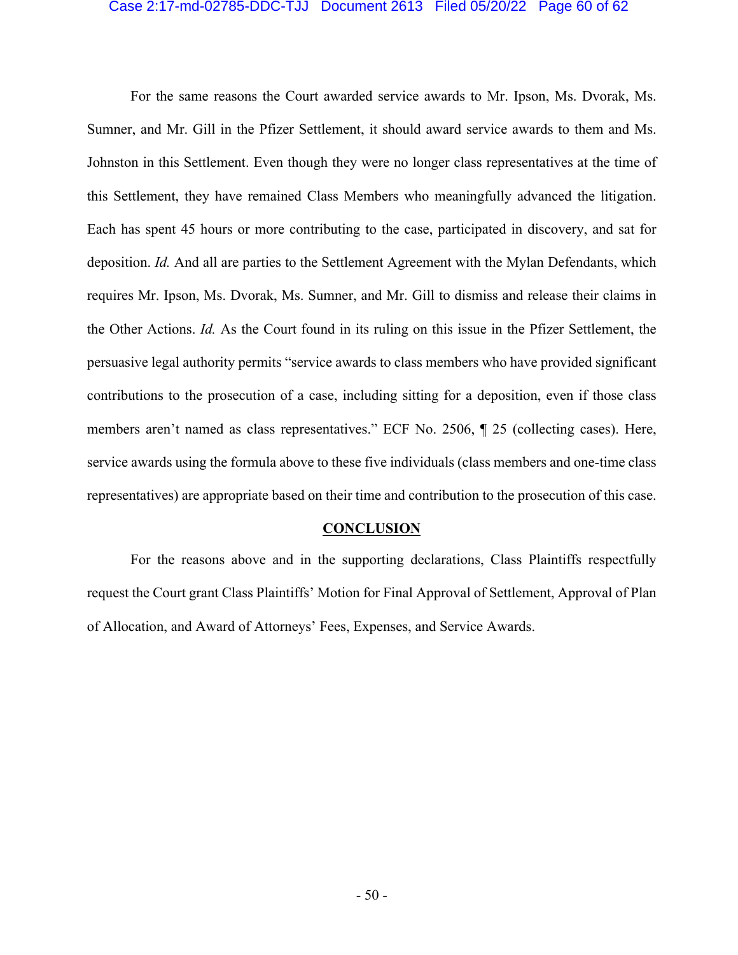#### Case 2:17-md-02785-DDC-TJJ Document 2613 Filed 05/20/22 Page 60 of 62

For the same reasons the Court awarded service awards to Mr. Ipson, Ms. Dvorak, Ms. Sumner, and Mr. Gill in the Pfizer Settlement, it should award service awards to them and Ms. Johnston in this Settlement. Even though they were no longer class representatives at the time of this Settlement, they have remained Class Members who meaningfully advanced the litigation. Each has spent 45 hours or more contributing to the case, participated in discovery, and sat for deposition. *Id.* And all are parties to the Settlement Agreement with the Mylan Defendants, which requires Mr. Ipson, Ms. Dvorak, Ms. Sumner, and Mr. Gill to dismiss and release their claims in the Other Actions. *Id.* As the Court found in its ruling on this issue in the Pfizer Settlement, the persuasive legal authority permits "service awards to class members who have provided significant contributions to the prosecution of a case, including sitting for a deposition, even if those class members aren't named as class representatives." ECF No. 2506, ¶ 25 (collecting cases). Here, service awards using the formula above to these five individuals (class members and one-time class representatives) are appropriate based on their time and contribution to the prosecution of this case.

#### **CONCLUSION**

For the reasons above and in the supporting declarations, Class Plaintiffs respectfully request the Court grant Class Plaintiffs' Motion for Final Approval of Settlement, Approval of Plan of Allocation, and Award of Attorneys' Fees, Expenses, and Service Awards.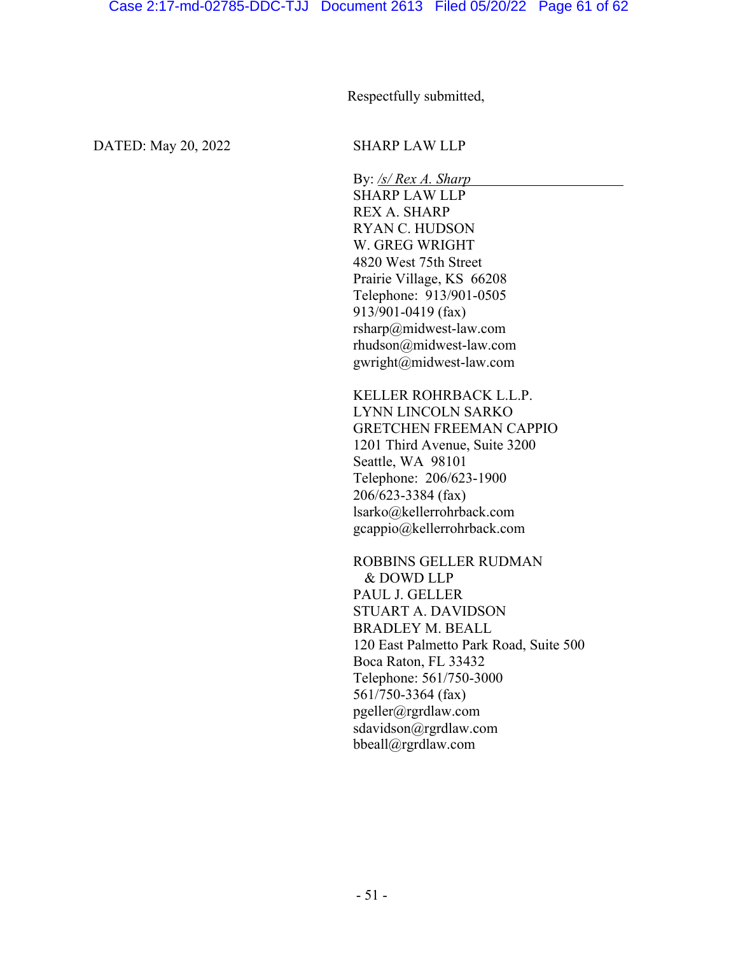Respectfully submitted,

DATED: May 20, 2022 SHARP LAW LLP

By: */s/ Rex A. Sharp* SHARP LAW LLP REX A. SHARP RYAN C. HUDSON W. GREG WRIGHT 4820 West 75th Street Prairie Village, KS 66208 Telephone: 913/901-0505 913/901-0419 (fax) rsharp@midwest-law.com rhudson@midwest-law.com gwright@midwest-law.com

KELLER ROHRBACK L.L.P. LYNN LINCOLN SARKO GRETCHEN FREEMAN CAPPIO 1201 Third Avenue, Suite 3200 Seattle, WA 98101 Telephone: 206/623-1900 206/623-3384 (fax) lsarko@kellerrohrback.com gcappio@kellerrohrback.com

ROBBINS GELLER RUDMAN & DOWD LLP PAUL J. GELLER STUART A. DAVIDSON BRADLEY M. BEALL 120 East Palmetto Park Road, Suite 500 Boca Raton, FL 33432 Telephone: 561/750-3000 561/750-3364 (fax) pgeller@rgrdlaw.com sdavidson@rgrdlaw.com bbeall@rgrdlaw.com